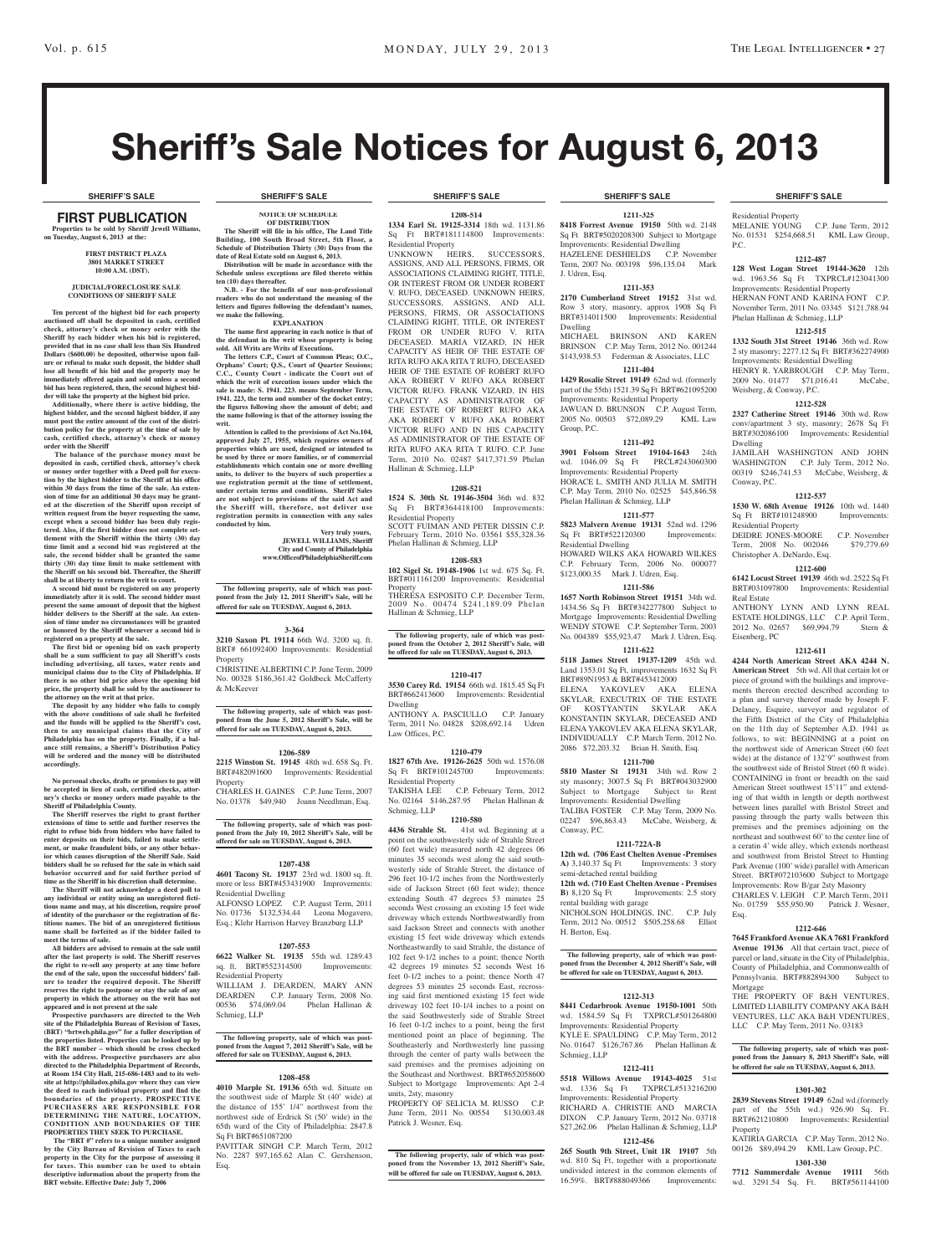# Sheriff's Sale Notices for August 6, 2013

First PUBLICATION **Properties to be sold by Sheriff Jewell Williams, on Tuesday, August 6, 2013 at the:** 

#### **First District Plaza 3801 Market Street 10:00 A.M. (DST).**

#### **JUDICIAL/FORECLOSURE SALE CONDITIONS OF SHERIFF SALE**

**Ten percent of the highest bid for each property auctioned off shall be deposited in cash, certified check, attorney's check or money order with the Sheriff by each bidder when his bid is registered, provided that in no case shall less than Six Hundred Dollars (\$600.00) be deposited, otherwise upon fail-ure or refusal to make such deposit, the bidder shall lose all benefit of his bid and the property may be immediately offered again and sold unless a second bid has been registered, then, the second highest bid-**

**der will take the property at the highest bid price. Additionally, where there is active bidding, the highest bidder, and the second highest bidder, if any must post the entire amount of the cost of the distri-bution policy for the property at the time of sale by cash, certified check, attorney's check or money order with the Sheriff**

 **The balance of the purchase money must be deposited in cash, certified check, attorney's check or money order together with a Deed poll for execution by the highest bidder to the Sheriff at his office within 30 days from the time of the sale. An extension of time for an additional 30 days may be granted at the discretion of the Sheriff upon receipt of written request from the buyer requesting the same,**  excent when a second bidder has been duly regis**tered. Also, if the first bidder does not complete settlement with the Sheriff within the thirty (30) day time limit and a second bid was registered at the sale, the second bidder shall be granted the same thirty (30) day time limit to make settlement with the Sheriff on his second bid. Thereafter, the Sheriff shall be at liberty to return the writ to court.**

**A second bid must be registered on any property immediately after it is sold. The second bidder must present the same amount of deposit that the highest bidder delivers to the Sheriff at the sale. An extension of time under no circumstances will be granted or honored by the Sheriff whenever a second bid is registered on a property at the sale.** 

**The first bid or opening bid on each property shall be a sum sufficient to pay all Sheriff's costs including advertising, all taxes, water rents and municipal claims due to the City of Philadelphia. If there is no other bid price above the opening bid price, the property shall be sold by the auctioneer to the attorney on the writ at that price.**

**The deposit by any bidder who fails to comply with the above conditions of sale shall be forfeited and the funds will be applied to the Sheriff's cost, then to any municipal claims that the City of Philadelphia has on the property. Finally, if a bal-ance still remains, a Sheriff's Distribution Policy will be ordered and the money will be distributed accordingly.**

**No personal checks, drafts or promises to pay will be accepted in lieu of cash, certified checks, attorney's checks or money orders made payable to the Sheriff of Philadelphia County.**

**The Sheriff reserves the right to grant further extensions of time to settle and further reserves the right to refuse bids from bidders who have failed to enter deposits on their bids, failed to make settle-ment, or make fraudulent bids, or any other behavior which causes disruption of the Sheriff Sale. Said bidders shall be so refused for the sale in which said behavior occurred and for said further period of time as the Sheriff in his discretion shall determine. The Sheriff will not acknowledge a deed poll to** 

**any individual or entity using an unregistered ficti-**If the *times* and may, at his discretion, require pro **of identity of the purchaser or the registration of fictitious names. The bid of an unregistered fictitious name shall be forfeited as if the bidder failed to meet the terms of sale.**

All bidders are advised to remain at the s **after the last property is sold. The Sheriff reserves the right to re-sell any property at any time before the end of the sale, upon the successful bidders' failure to tender the required deposit. The Sheriff reserves the right to postpone or stay the sale of any property in which the attorney on the writ has not** 

**appeared and is not present at the sale Prospective purchasers are directed to the Web site of the Philadelphia Bureau of Revision of Taxes, (BRT) "brtweb.phila.gov" for a fuller description of the properties listed. Properties can be looked up by the BRT number – which should be cross checked with the address. Prospective purchasers are also directed to the Philadelphia Department of Records, at Room 154 City Hall, 215-686-1483 and to its website at http://philadox.phila.gov where they can view the deed to each individual property and find the boundaries of the property. PROSPECTIVE PURCHASERS ARE RESPONSIBLE FOR DETERMINING THE NATURE, LOCATION, CONDITION AND BOUNDARIES OF THE PROPERTIES THEY SEEK TO PURCHASE.**

**The "BRT #" refers to a unique number assigned by the City Bureau of Revision of Taxes to each property in the City for the purpose of assessing it for taxes. This number can be used to obtain descriptive information about the property from the BRT website. Effective Date: July 7, 2006**

**NOTICE OF SCHEDULE OF DISTRIBUTION The Sheriff will file in his office, The Land Title Building, 100 South Broad Street, 5th Floor, a Schedule of Distribution Thirty (30) Days from the** 

**date of Real Estate sold on August 6, 2013. Distribution will be made in accordance with the Schedule unless exceptions are filed thereto within ten (10) days thereafter. N.B. - For the benefit of our non-professional** 

**readers who do not understand the meaning of the letters and figures following the defendant's names, we make the following. EXPLANATION**

**The name first appearing in each notice is that of the defendant in the writ whose property is being sold. All Writs are Writs of Executions.**

**The letters C.P., Court of Common Pleas; O.C.,**  Orphans' Court; Q.S., Court of Quarter Session **C.C., County Court - indicate the Court out of which the writ of execution issues under which the**  sale is made: S. 1941. 223. means September Term, **1941. 223, the term and number of the docket entry;**  the figures following show the amount of debt; and **the name following is that of the attorney issuing the writ.**

**Attention is called to the provisions of Act No.104, approved July 27, 1955, which requires owners of properties which are used, designed or intended to be used by three or more families, or of commercial establishments which contain one or more dwelling units, to deliver to the buyers of such properties a use registration permit at the time of settlement, under certain terms and conditions. Sheriff Sales are not subject to provisions of the said Act and the Sheriff will, therefore, not deliver use registration permits in connection with any sales conducted by him.**

### **Very truly yours, JEWELL WILLIAMS, Sheriff City and County of Philadelphia www.OfficeofPhiladelphiaSheriff.com**

**The following property, sale of which was postponed from the July 12, 2011 Sheriff's Sale, will be offered for sale on TUESDAY, August 6, 2013.**

#### **3-364**

**3210 Saxon Pl. 19114** 66th Wd. 3200 sq. ft. BRT# 661092400 Improvements: Residential Property CHRISTINE ALBERTINI C.P. June Term, 2009

No. 00328 \$186,361.42 Goldbeck McCafferty & McKeever

**The following property, sale of which was postponed from the June 5, 2012 Sheriff's Sale, will be offered for sale on TUESDAY, August 6, 2013.**

#### **1206-589**

**2215 Winston St. 19145** 48th wd. 658 Sq. Ft. BRT#482091600 Improvements: Residential Property CHARLES H. GAINES C.P. June Term, 2007

No. 01378 \$49,940 Joann Needlman, Esq.

**The following property, sale of which was post-poned from the July 10, 2012 Sheriff's Sale, will be offered for sale on TUESDAY, August 6, 2013.**

#### **1207-438**

**4601 Tacony St. 19137** 23rd wd. 1800 sq. ft. more or less BRT#453431900 Improvements: Residential Dwelling ALFONSO LOPEZ C.P. August Term, 2011

No. 01736 \$132,534.44 Leona Mogavero, Esq.; Klehr Harrison Harvey Branzburg LLP

#### **1207-553**

**6622 Walker St. 19135** 55th wd. 1289.43 sq. ft. BRT#552314500 Improvements: Residential Property WILLIAM J. DEARDEN, MARY A DEARDEN C.P. January Term, 2008 No. 00536 \$74,069.04 Phelan Hallinan & Schmieg, LLP

**The following property, sale of which was post-poned from the August 7, 2012 Sheriff's Sale, will be offered for sale on TUESDAY, August 6, 2013.**

#### **1208-458**

**4010 Marple St. 19136** 65th wd. Situate on the southwest side of Marple St (40' wide) at the distance of 155' 1/4" northwest from the northwest side of Erdrick St (50' wide) in the 65th ward of the City of Philadelphia; 2847.8 Sq Ft BRT#651087200

PAVITTAR SINGH C.P. March Term, 2012 No. 2287 \$97,165.62 Alan C. Gershenson, Esq.

#### **SHERIFF'S SALE SHERIFF'S SALE SHERIFF'S SALE SHERIFF'S SALE SHERIFF'S SALE**

#### **1208-514**

**1334 Earl St. 19125-3314** 18th wd. 1131.86 Sq Ft BRT#181114800 Improvements: Residential Property

UNKNOWN HEIRS, SUCCESSORS, ASSIGNS, AND ALL PERSONS, FIRMS, OR ASSOCIATIONS CLAIMING RIGHT, TITLE, OR INTEREST FROM OR UNDER ROBERT V. RUFO, DECEASED. UNKNOWN HEIRS, SUCCESSORS, ASSIGNS, AND ALL PERSONS, FIRMS, OR ASSOCIATIONS CLAIMING RIGHT, TITLE, OR INTEREST FROM OR UNDER RUFO V. RITA DECEASED. MARIA VIZARD, IN HER CAPACITY AS HEIR OF THE ESTATE OF RITA RUFO AKA RITA T RUFO, DECEASED HEIR OF THE ESTATE OF ROBERT RUFO AKA ROBERT V RUFO AKA ROBERT VICTOR RUFO. FRANK VIZARD, IN HIS CAPACITY AS ADMINISTRATOR OF THE ESTATE OF ROBERT RUFO AKA AKA ROBERT V RUFO AKA ROBERT VICTOR RUFO AND IN HIS CAPACITY AS ADMINISTRATOR OF THE ESTATE OF RITA RUFO AKA RITA T RUFO. C.P. June Term, 2010 No. 02487 \$417,371.59 Phelan Hallinan & Schmieg, LLP

# **1208-521**

**1524 S. 30th St. 19146-3504** 36th wd. 832 Sq Ft BRT#364418100 Improvements: Residential Property SCOTT FUIMAN AND PETER DISSIN C.P. February Term, 2010 No. 03561 \$55,328.36 Phelan Hallinan & Schmieg, LLP

**1208-583**

**102 Sigel St. 19148-1906** 1st wd. 675 Sq. Ft. BRT#011161200 Improvements: Residential **Property** THERESA ESPOSITO C.P. December Term,

2009 No. 00474 \$241,189.09 Phelan Hallinan & Schmieg, LLP

**The following property, sale of which was post-poned from the October 2, 2012 Sheriff's Sale, will be offered for sale on TUESDAY, August 6, 2013.**

#### **1210-417**

**3530 Carey Rd. 19154** 66th wd. 1815.45 Sq Ft BRT#662413600 Improvements: Residential Dwelling

ANTHONY A. PASCIULLO C.P. January Term, 2011 No. 04828 \$208,692.14 Udren Law Offices, P.C.

#### **1210-479**

**1827 67th Ave. 19126-2625** 50th wd. 1576.08 Sq Ft BRT#101245700 Improvements: Residential Property

TAKISHA LEE C.P. February Term, 2012 No. 02164 \$146,287.95 Phelan Hallinan & Schmieg, LLP **1210-580**

**4436 Strahle St.** 41st wd. Beginning at a point on the southwesterly side of Strahle Street (60 feet wide) measured north 42 degrees 06 minutes 35 seconds west along the said southwesterly side of Strahle Street, the distance of 296 feet 10-1/2 inches from the Northwesterly side of Jackson Street (60 feet wide); thence extending South 47 degrees 53 minutes 25 seconds West crossing an existing 15 feet wide driveway which extends Northwestwardly from said Jackson Street and connects with another existing 15 feet wide driveway which extends Northeastwardly to said Strahle, the distance of 102 feet 9-1/2 inches to a point; thence North 42 degrees 19 minutes 52 seconds West 16 feet 0-1/2 inches to a point; thence North 47 degrees 53 minutes 25 seconds East, recrossing said first mentioned existing 15 feet wide driveway 102 feet 10-1/4 inches to a point on the said Southwesterly side of Strahle Street 16 feet 0-1/2 inches to a point, being the first mentioned point an place of beginning. The Southeasterly and Northwesterly line through the center of party walls between the said premises and the premises adjoining on the Southeast and Northwest. BRT#652058600 Subject to Mortgage Improvements: Apt 2-4 units, 2sty, masonry

PROPERTY OF SELICIA M. RUSSO C.P. June Term, 2011 No. 00554 \$130,003.48 Patrick J. Wesner, Esq.

**The following property, sale of which was postponed from the November 13, 2012 Sheriff's Sale, will be offered for sale on TUESDAY, August 6, 2013.**

**1211-325 8418 Forrest Avenue 19150** 50th wd. 2148

Sq Ft BRT#5020208300 Subject to Mortgage Improvements: Residential Dwelling HAZELENE DESHIELDS C.P. November Term, 2007 No. 003198 \$96,135.04 Mark J. Udren, Esq.

#### **1211-353**

**2170 Cumberland Street 19152** 31st wd. Row 3 story, masonry, approx 1908 Sq Ft BRT#314011500 Improvements: Residential Dwelling MICHAEL BRINSON AND KAREN

BRINSON C.P. May Term, 2012 No. 001244 \$143,938.53 Federman & Associates, LLC **1211-404**

**1429 Rosalie Street 19149** 62nd wd. (formerly part of the 55th) 1521.39 Sq Ft BRT#621095200 Improvements: Residential Property JAWUAN D. BRUNSON C.P. August Term,<br>2005 No. 00503 \$72.089.29 KML Law 2005 No. 00503 \$72,089.29 Group, P.C.

#### **1211-492**

**3901 Folsom Street 19104-1643** 24th wd. 1046.09 Sq Ft PRCL#243060300 Improvements: Residential Property HORACE L. SMITH AND JULIA M. SMITH C.P. May Term, 2010 No. 02525 \$45,846.58 Phelan Hallinan & Schmieg, LLP

**1211-577 5823 Malvern Avenue 19131** 52nd wd. 1296 Sq Ft BRT#522120300 Improvements:

Residential Dwelling HOWARD WILKS AKA HOWARD WILKES C.P. February Term, 2006 No. 000077

\$123,000.35 Mark J. Udren, Esq. **1211-586**

**1657 North Robinson Street 19151** 34th wd. 1434.56 Sq Ft BRT#342277800 Subject to Mortgage Improvements: Residential Dwelling WENDY STOWE C.P. September Term, 2003 No. 004389 \$55,923.47 Mark J. Udren, Esq.

**1211-622 5118 James Street 19137-1209** 45th wd. Land 1353.01 Sq Ft, improvements 1632 Sq Ft BRT#89N1953 & BRT#453412000 ELENA YAKOVLEV AKA ELENA SKYLAR, EXECUTRIX OF THE ESTATE OF KOSTYANTIN SKYLAR AKA KONSTANTIN SKYLAR, DECEASED AND ELENA YAKOVLEV AKA ELENA SKYLAR, INDIVIDUALLY C.P. March Term, 2012 No. 2086 \$72,203.32 Brian H. Smith, Esq.

#### **1211-700**

**5810 Master St 19131** 34th wd. Row 2 sty masonry; 3007.5 Sq Ft BRT#043032900 Subject to Mortgage Subject to Rent Improvements: Residential Dwelling TALIBA FOSTER C.P. May Term, 2009 No. 02247 \$96,863.43 McCabe, Weisberg, & Conway, P.C.

#### **1211-722A-B**

**12th wd. (706 East Chelten Avenue -Premises A)** 3,140.37 Sq Ft Improvements: 3 story semi-detached rental building **12th wd. (710 East Chelten Avenue - Premises B**) 8,120 Sq Ft Improvements: 2.5 story

rental building with garage NICHOLSON HOLDINGS, INC. C.P. July Term, 2012 No. 00512 \$505,258.68 Elliot

H. Berton, Esq.

#### **The following property, sale of which was postponed from the December 4, 2012 Sheriff's Sale, will be offered for sale on TUESDAY, August 6, 2013.**

#### **1212-313**

**8441 Cedarbrook Avenue 19150-1001** 50th wd. 1584.59 Sq Ft TXPRCL#501264800 Improvements: Residential Property KYLE E. SPAULDING C.P. May Term, 2012 01647 \$126,767.86 Phelan Halli Schmieg, LLP

#### **1212-411 5518 Willows Avenue 19143-4025** 51st

wd. 1336 Sq Ft TXPRCL#513216200 Improvements: Residential Property RICHARD A. CHRISTIE AND MARCIA DIXON C.P. January Term, 2012 No. 03718 \$27,262.06 Phelan Hallinan & Schmieg, LLP

**1212-456 265 South 9th Street, Unit 1R 19107** 5th wd. 810 Sq Ft, together with a proportionate undivided interest in the common elements of 16.59%. BRT#888049366 Improvements:

### Residential Property

Weisberg, & Conway, P.C.

Sq Ft BRT#101248900 Residential Property

Christopher A. DeNardo, Esq.

2012 No. 02657 \$69,994.79

Dwelling

Conway, P.C.

Real Estate

Eisenberg, PC

Esq.

Mortgage

Property

MELANIE YOUNG C.P. June Term, 2012 No. 01531 \$254,668.51 KML Law Group, P.C.

#### **1212-487**

**128 West Logan Street 19144-3620** 12th wd. 1963.56 Sq Ft TXPRCL#123041300 Improvements: Residential Property HERNAN FONT AND KARINA FONT C.P. November Term, 2011 No. 03345 \$121,788.94 Phelan Hallinan & Schmieg, LLP

**1212-515 1332 South 31st Street 19146** 36th wd. Row 2 sty masonry; 2277.12 Sq Ft BRT#362274900 Improvements: Residential Dwelling HENRY R. YARBROUGH C.P. May Term, 2009 No. 01477 \$71,016.41 McCabe,

**1212-528 2327 Catherine Street 19146** 30th wd. Row conv/apartment 3 sty, masonry; 2678 Sq Ft BRT#302086100 Improvements: Residential

JAMILAH WASHINGTON AND JOHN WASHINGTON C.P. July Term, 2012 No. 00319 \$246,741.53 McCabe, Weisberg, &

**1212-537 1530 W. 68th Avenue 19126** 10th wd. 1440<br>Sq Ft BRT#101248900 Improvements:

DEIDRE JONES-MOORE C.P. November Term, 2008 No. 002046 \$79,779.69

**1212-600 6142 Locust Street 19139** 46th wd. 2522 Sq Ft BRT#031097800 Improvements: Residential

ANTHONY LYNN AND LYNN REAL ESTATE HOLDINGS, LLC C.P. April Term,<br>2012 No. 02657 \$69,994.79 Stern &

**1212-611 4244 North American Street AKA 4244 N. American Street** 5th wd. All that certain lot or piece of ground with the buildings and improvements thereon erected described according to a plan and survey thereof made by Joseph F. Delaney, Esquire, surveyor and regulator of the Fifth District of the City of Philadelphia on the 11th day of September A.D. 1941 as follows, to wit: BEGINNING at a point on the northwest side of American Street (60 feet wide) at the distance of 132'9" southwest from the southwest side of Bristol Street (60 ft wide). CONTAINING in front or breadth on the said American Street southwest 15'11" and extending of that width in length or depth northwest between lines parallel with Bristol Street and passing through the party walls between this premises and the premises adjoining on the northeast and southwest 60' to the center line of a ceratin 4' wide alley, which extends northeast and southwest from Bristol Street to Hunting Park Avenue (100' wide) parallel with American Street. BRT#072103600 Subject to Mortgage Improvements: Row B/gar 2sty Masonry CHARLES V. LEIGH C.P. March Term, 2011 No. 01759 \$55,950.90 Patrick J. Wesner,

**1212-646 7645 Frankford Avenue AKA 7681 Frankford Avenue 19136** All that certain tract, piece of parcel or land, situate in the City of Philadelphia, County of Philadelphia, and Commonwealth of Pennsylvania. BRT#882894300 Subject to

THE PROPERTY OF B&H VENTURES, LIMITED LIABILITY COMPANY AKA B&H VENTURES, LLC AKA B&H VDENTURES, LLC C.P. May Term, 2011 No. 03183

The following property, sale of which was **poned from the January 8, 2013 Sheriff's Sale, will be offered for sale on TUESDAY, August 6, 2013.**

**1301-302 2839 Stevens Street 19149** 62nd wd.(formerly part of the 55th wd.) 926.90 Sq. Ft. BRT#621210800 Improvements: Residential

KATIRIA GARCIA C.P. May Term, 2012 No. 00126 \$89,494.29 KML Law Group, P.C. **1301-330 7712 Summerdale Avenue 19111** 56th wd. 3291.54 Sq. Ft. BRT#561144100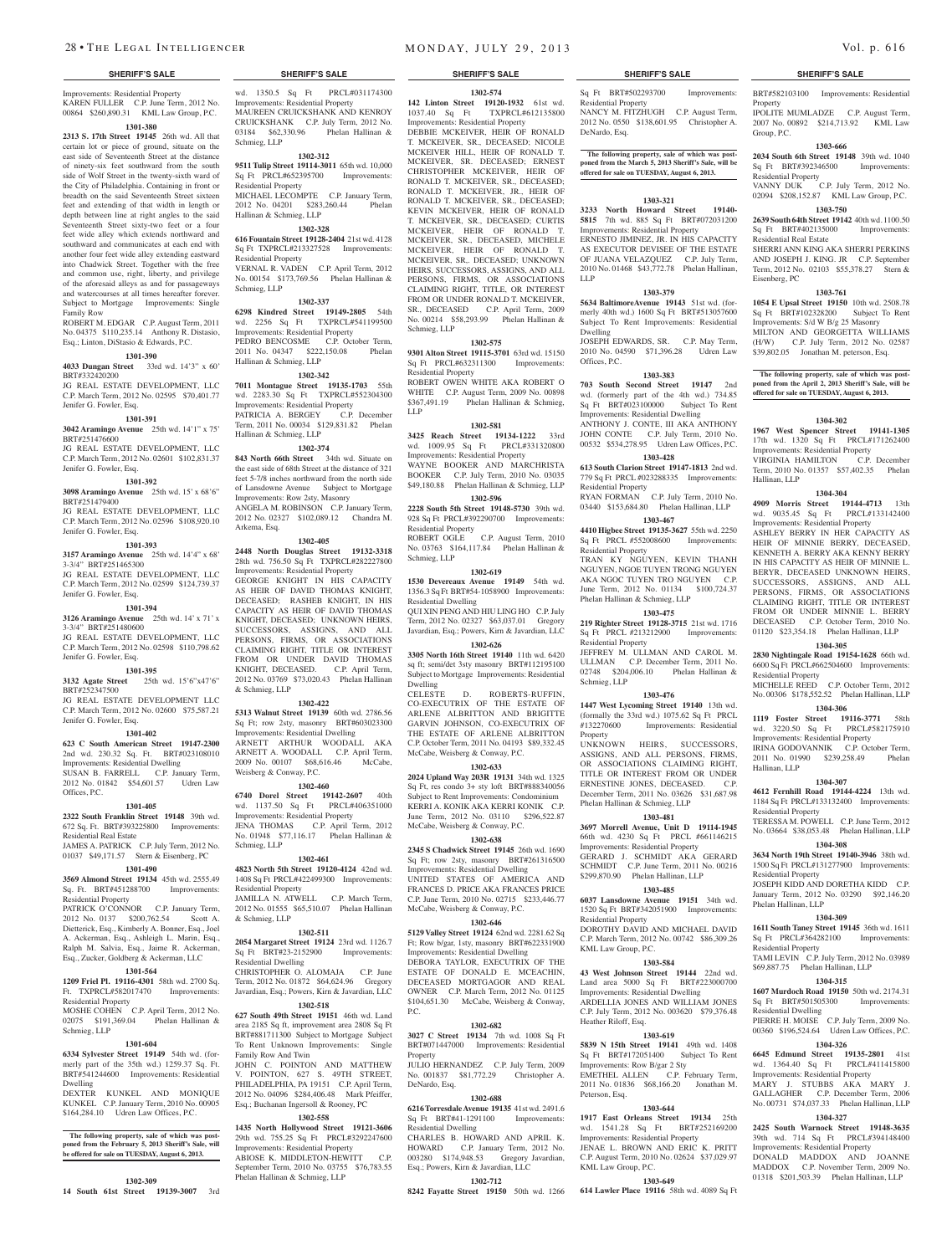Improvements: Residential Property KAREN FULLER C.P. June Term, 2012 No. 00864 \$260,890.31 KML Law Group, P.C.

### **1301-380**

**2313 S. 17th Street 19145** 26th wd. All that certain lot or piece of ground, situate on the east side of Seventeenth Street at the distance of ninety-six feet southward from the south side of Wolf Street in the twenty-sixth ward of the City of Philadelphia. Containing in front or breadth on the said Seventeenth Street sixteen feet and extending of that width in length or depth between line at right angles to the said Seventeenth Street sixty-two feet or a four feet wide alley which extends northward and southward and communicates at each end with another four feet wide alley extending eastward into Chadwick Street. Together with the free and common use, right, liberty, and privilege of the aforesaid alleys as and for passageways and watercourses at all times hereafter forever. Subject to Mortgage Improvements: Single Family Row ROBERT M. EDGAR C.P. August Term, 2011

No. 04375 \$110,235.14 Anthony R. Distasio, Esq.; Linton, DiStasio & Edwards, P.C.

### **1301-390**

# **4033 Dungan Street** 33rd wd. 14'3" x 60'

BRT#332420200 JG REAL ESTATE DEVELOPMENT, LLC C.P. March Term, 2012 No. 02595 \$70,401.77 Jenifer G. Fowler, Esq.

## **1301-391**

**3042 Aramingo Avenue** 25th wd. 14'1" x 75' BRT#251476600 JG REAL ESTATE DEVELOPMENT, LLC C.P. March Term, 2012 No. 02601 \$102,831.37 Jenifer G. Fowler, Esq.

# **1301-392**

**3098 Aramingo Avenue** 25th wd. 15' x 68'6" BRT#251479400

JG REAL ESTATE DEVELOPMENT, LLC C.P. March Term, 2012 No. 02596 \$108,920.10

### Jenifer G. Fowler, Esq.

**1301-393 3157 Aramingo Avenue** 25th wd. 14'4" x 68'

3-3/4" BRT#251465300 JG REAL ESTATE DEVELOPMENT, LLC

C.P. March Term, 2012 No. 02599 \$124,739.37 Jenifer G. Fowler, Esq.

# **1301-394**

**3126 Aramingo Avenue** 25th wd. 14' x 71' x 3-3/4" BRT#251480600 JG REAL ESTATE DEVELOPMENT, LLC C.P. March Term, 2012 No. 02598 \$110,798.62 Jenifer G. Fowler, Esq.

# **1301-395**

**3132 Agate Street** 25th wd. 15'6"x47'6"

BRT#252347500 JG REAL ESTATE DEVELOPMENT LLC C.P. March Term, 2012 No. 02600 \$75,587.21 Jenifer G. Fowler, Esq.

#### **1301-402**

**623 C South American Street 19147-2300**  2nd wd. 230.32 Sq. Ft. BRT#023108010 Improvements: Residential Dwelling SUSAN B. FARRELL C.P. January Term, 2012 No. 01842 \$54,601.57 Udren Law Offices, P.C.

#### **1301-405**

**2322 South Franklin Street 19148** 39th wd. 672 Sq. Ft. BRT#393225800 Improvements: Residential Real Estate JAMES A. PATRICK C.P. July Term, 2012 No.

01037 \$49,171.57 Stern & Eisenberg, PC **1301-490**

**3569 Almond Street 19134** 45th wd. 2555.49 Sq. Ft. BRT#451288700 Improvements: Residential Property

PATRICK O'CONNOR C.P. January Term, 2012 No. 0137 \$200,762.54 Scott A. Dietterick, Esq., Kimberly A. Bonner, Esq., Joel A. Ackerman, Esq., Ashleigh L. Marin, Esq., Ralph M. Salvia, Esq., Jaime R. Ackerman, Esq., Zucker, Goldberg & Ackerman, LLC

#### **1301-564**

**1209 Friel Pl. 19116-4301** 58th wd. 2700 Sq. Ft. TXPRCL#582017470 Improvements: Residential Property

MOSHE COHEN C.P. April Term, 2012 No. 02075 \$191,369.04 Phelan Hallinan & Schmieg, LLP

### **1301-604**

**6334 Sylvester Street 19149** 54th wd. (formerly part of the 35th wd.) 1259.37 Sq. Ft. BRT#541244600 Improvements: Residential Dwelling

DEXTER KUNKEL AND MONIQUE KUNKEL C.P. January Term, 2010 No. 00905 \$164,284.10 Udren Law Offices, P.C.

**The following property, sale of which was post-poned from the February 5, 2013 Sheriff's Sale, will be offered for sale on TUESDAY, August 6, 2013.**

#### **1302-309**

**14 South 61st Street 19139-3007** 3rd

wd. 1350.5 Sq Ft PRCL#031174300 Improvements: Residential Property MAUREEN CRUICKSHANK AND KENROY CRUICKSHANK C.P. July Term, 2012 No. 03184 \$62,330.96 Phelan Hallinan & Schmieg, LLP

#### **1302-312**

**9511 Tulip Street 19114-3011** 65th wd. 10,000 Sq Ft PRCL#652395700 Improvements: Residential Property MICHAEL LECOMPTE C.P. January Term,

#### 2012 No. 04201 \$283,260.44 Phelan Hallinan & Schmieg, LLP

# **1302-328**

**616 Fountain Street 19128-2404** 21st wd. 4128 Sq Ft TXPRCL#213327528 Improvements: Residential Property VERNAL R. VADEN C.P. April Term, 2012

No. 00154 \$173,769.56 Phelan Hallinan & Schmieg, LLP

# **1302-337**

**6298 Kindred Street 19149-2805** 54th wd. 2256 Sq Ft TXPRCL#541199500 Improvements: Residential Property PEDRO BENCOSME C.P. October Term, 2011 No. 04347 \$222,150.08 Phelan Hallinan & Schmieg, LLP

#### **1302-342**

**7011 Montague Street 19135-1703** 55th wd. 2283.30 Sq Ft TXPRCL#552304300 Improvements: Residential Property<br>PATRICIA A. BERGEY C.P. December PATRICIA A. BERGEY Term, 2011 No. 00034 \$129,831.82 Phelan Hallinan & Schmieg, LLP

# **1302-374**

**843 North 66th Street** 34th wd. Situate on the east side of 68th Street at the distance of 321 feet 5-7/8 inches northward from the north side of Lansdowne Avenue Subject to Mortgage Improvements: Row 2sty, Masonry ANGELA M. ROBINSON C.P. January Term, 2012 No. 02327 \$102,089.12 Chandra M.

Arkema, Esq.

**1302-405 2448 North Douglas Street 19132-3318**  28th wd. 756.50 Sq Ft TXPRCL#282227800 Improvements: Residential Property GEORGE KNIGHT IN HIS CAPACITY AS HEIR OF DAVID THOMAS KNIGHT, DECEASED; RASHEB KNIGHT, IN HIS CAPACITY AS HEIR OF DAVID THOMAS KNIGHT, DECEASED; UNKNOWN HEIRS, SUCCESSORS, ASSIGNS, AND ALL PERSONS, FIRMS, OR ASSOCIATIONS CLAIMING RIGHT, TITLE OR INTEREST FROM OR UNDER DAVID THOMAS KNIGHT, DECEASED. C.P. April Term, 2012 No. 03769 \$73,020.43 Phelan Hallinan & Schmieg, LLP

#### **1302-422**

**5313 Walnut Street 19139** 60th wd. 2786.56 Sq Ft; row 2sty, masonry BRT#603023300 Improvements: Residential Dwelling ARNETT ARTHUR WOODALL AKA ARNETT A. WOODALL C.P. April Term, 2009 No. 00107 \$68,616.46 McCabe, Weisberg & Conway, P.C.

#### **1302-460**

**6740 Dorel Street 19142-2607** 40th wd. 1137.50 Sq Ft PRCL#406351000 Improvements: Residential Property JENA THOMAS C.P. April Term, 2012 No. 01948 \$77,116.17 Phelan Hallinan & Schmieg, LLP

# **1302-461**

**4823 North 5th Street 19120-4124** 42nd wd. 1408 Sq Ft PRCL#422499300 Improvements: Residential Property JAMILLA N. ATWELL C.P. March Term, 2012 No. 01555 \$65,510.07 Phelan Hallinan

& Schmieg, LLP **1302-511**

#### **2054 Margaret Street 19124** 23rd wd. 1126.7 Sq Ft BRT#23-2152900 Improvements: Residential Dwelling

CHRISTOPHER O. ALOMAJA C.P. June Term, 2012 No. 01872 \$64,624.96 Gregory Javardian, Esq.; Powers, Kirn & Javardian, LLC

**1302-518 627 South 49th Street 19151** 46th wd. Land area 2185 Sq ft, improvement area 2808 Sq Ft BRT#881711300 Subject to Mortgage Subject o Rent Unknown Improvements: Single Family Row And Twin JOHN C. POINTON AND MATTHEW V. POINTON, 627 S. 49TH STREET, PHILADELPHIA, PA 19151 C.P. April Term,

2012 No. 04096 \$284,406.48 Mark Pfeiffer, Esq.; Buchanan Ingersoll & Rooney, PC **1302-558**

**1435 North Hollywood Street 19121-3606**  29th wd. 755.25 Sq Ft PRCL#3292247600 Improvements: Residential Property

ABIOSE K. MIDDLETON-HEWITT September Term, 2010 No. 03755 \$76,783.55 Phelan Hallinan & Schmieg, LLP

**1302-682 3027 C Street 19134** 7th wd. 1008 Sq Ft BRT#071447000 Improvements: Residential

JULIO HERNANDEZ C.P. July Term, 2009 No. 001837 \$81,772.29 Christopher A.

**1302-688 6216 Torresdale Avenue 19135** 41st wd. 2491.6 Sq Ft BRT#41-1291100 Improvements:

CHARLES B. HOWARD AND APRIL K. HOWARD C.P. January Term, 2012 No. 003280 \$174,948.53 Gregory Javardian, Esq.; Powers, Kirn & Javardian, LLC

#### **SHERIFF'S SALE SHERIFF'S SALE SHERIFF'S SALE SHERIFF'S SALE SHERIFF'S SALE**

**1302-574 142 Linton Street 19120-1932** 61st wd. 1037.40 Sq Ft TXPRCL#612135800 Improvements: Residential Property DEBBIE MCKEIVER, HEIR OF RONALD T. MCKEIVER, SR., DECEASED; NICOLE MCKEIVER HILL, HEIR OF RONALD T. MCKEIVER, SR. DECEASED; ERNEST CHRISTOPHER MCKEIVER, HEIR OF RONALD T. MCKEIVER, SR., DECEASED; RONALD T. MCKEIVER, JR., HEIR OF RONALD T. MCKEIVER, SR., DECEASED; KEVIN MCKEIVER, HEIR OF RONALD T. MCKEIVER, SR., DECEASED; CURTIS MCKEIVER, HEIR OF RONALD T. MCKEIVER, SR., DECEASED, MICHELE MCKEIVER, HEIR OF RONALD T. MCKEIVER, SR,. DECEASED; UNKNOWN HEIRS, SUCCESSORS, ASSIGNS, AND ALL PERSONS, FIRMS, OR ASSOCIATIONS CLAIMING RIGHT, TITLE, OR INTEREST FROM OR UNDER RONALD T. MCKEIVER, SR., DECEASED C.P. April Term, 2009 No. 00214 \$58,293.99 Phelan Hallinan &

**1302-575 9301 Alton Street 19115-3701** 63rd wd. 15150 Sq Ft PRCL#632311300 Improvements:

ROBERT OWEN WHITE AKA ROBERT O WHITE C.P. August Term, 2009 No. 00898 \$367,491.19 Phelan Hallinan & Schmieg,

**1302-581 3425 Reach Street 19134-1222** 33rd wd. 1009.95 Sq Ft PRCL#331320800 Improvements: Residential Property WAYNE BOOKER AND MARCHRISTA BOOKER C.P. July Term, 2010 No. 03035 \$49,180.88 Phelan Hallinan & Schmieg, LLP **1302-596 2228 South 5th Street 19148-5730** 39th wd. 928 Sq Ft PRCL#392290700 Improvements:

ROBERT OGLE C.P. August Term, 2010 No. 03763 \$164,117.84 Phelan Hallinan &

**1302-619 1530 Devereaux Avenue 19149** 54th wd. 1356.3 Sq Ft BRT#54-1058900 Improvements:

QUI XIN PENG AND HIU LING HO C.P. July Term, 2012 No. 02327 \$63,037.01 Gregory Javardian, Esq.; Powers, Kirn & Javardian, LLC **1302-626 3305 North 16th Street 19140** 11th wd. 6420 sq ft; semi/det 3sty masonry BRT#112195100 Subject to Mortgage Improvements: Residential

CO-EXECUTRIX OF THE ESTATE OF ARLENE ALBRITTON AND BRIGITTE GARVIN JOHNSON, CO-EXECUTRIX OF THE ESTATE OF ARLENE ALBRITTON C.P. October Term, 2011 No. 04193 \$89,332.45 McCabe, Weisberg & Conway, P.C. **1302-633 2024 Upland Way 203R 19131** 34th wd. 1325 Sq Ft, res condo 3+ sty loft BRT#888340056 Subject to Rent Improvements: Condominium KERRI A. KONIK AKA KERRI KONIK C.P. June Term, 2012 No. 03110 \$296,522.87

McCabe, Weisberg & Conway, P.C. **1302-638 2345 S Chadwick Street 19145** 26th wd. 1690 Sq Ft; row 2sty, masonry BRT#261316500 Improvements: Residential Dwelling UNITED STATES OF AMERICA AND FRANCES D. PRICE AKA FRANCES PRICE C.P. June Term, 2010 No. 02715 \$233,446.77 McCabe, Weisberg & Conway, P.C. **1302-646 5129 Valley Street 19124** 62nd wd. 2281.62 Sq Ft; Row b/gar, 1sty, masonry BRT#622331900 Improvements: Residential Dwelling DEBORA TAYLOR, EXECUTRIX OF THE ESTATE OF DONALD E. MCEACHIN, DECEASED MORTGAGOR AND REAL OWNER C.P. March Term, 2012 No. 01125 \$104,651.30 McCabe, Weisberg & Conway,

D. ROBERTS-RUFFIN.

Schmieg, LLP

Residential Property

Residential Property

Residential Dwelling

Schmieg, LLP

Dwelling

P.C.

Property

DeNardo, Esq.

Residential Dwelling

LLP

Sq Ft BRT#502293700 Improvements: Residential Property NANCY M. FITZHUGH C.P. August Term, 2012 No. 0550 \$138,601.95 Christopher A. DeNardo, Esq.

BRT#582103100 Improvements: Residential

IPOLITE MUMLADZE C.P. August Term, 2007 No. 00892 \$214,713.92 KML Law

**1303-666 2034 South 6th Street 19148** 39th wd. 1040<br>Sq Ft BRT#392346500 Improvements:

VANNY DUK C.P. July Term, 2012 No. 02094 \$208,152.87 KML Law Group, P.C. **1303-750 2639 South 64th Street 19142** 40th wd. 1100.50 Sq Ft BRT#402135000 Improvements:

SHERRI ANN KING AKA SHERRI PERKINS AND JOSEPH J. KING. JR C.P. September Term, 2012 No. 02103 \$55,378.27 Stern &

**1303-761 1054 E Upsal Street 19150** 10th wd. 2508.78 Sq Ft BRT#102328200 Subject To Rent Improvements: S/d W B/g 25 Masonry MILTON AND GEORGETTA WILLIAMS (H/W) C.P. July Term, 2012 No. 02587 \$39,802.05 Jonathan M. peterson, Esq.

**The following property, sale of which was post-poned from the April 2, 2013 Sheriff's Sale, will be offered for sale on TUESDAY, August 6, 2013.**

**1304-302 1967 West Spencer Street 19141-1305**  17th wd. 1320 Sq Ft PRCL#171262400 Improvements: Residential Property<br>VIRGINIA HAMILTON C.P. December

Term, 2010 No. 01357 \$57,402.35 Phelan

**1304-304 4909 Morris Street 19144-4713** 13th wd. 9035.45 Sq Ft PRCL#133142400 Improvements: Residential Property ASHLEY BERRY IN HER CAPACITY AS HEIR OF MINNIE BERRY, DECEASED, KENNETH A. BERRY AKA KENNY BERRY IN HIS CAPACITY AS HEIR OF MINNIE L. BERYR, DECEASED UNKNOWN HEIRS, SUCCESSORS, ASSIGNS, AND ALL PERSONS, FIRMS, OR ASSOCIATIONS CLAIMING RIGHT, TITLE OR INTEREST FROM OR UNDER MINNIE L. BERRY DECEASED C.P. October Term, 2010 No. 01120 \$23,354.18 Phelan Hallinan, LLP **1304-305 2830 Nightingale Road 19154-1628** 66th wd. 6600 Sq Ft PRCL#662504600 Improvements:

MICHELLE REED C.P. October Term, 2012 No. 00306 \$178,552.52 Phelan Hallinan, LLP **1304-306 1119 Foster Street 19116-3771** 58th wd. 3220.50 Sq Ft PRCL#582175910 Improvements: Residential Property IRINA GODOVANNIK C.P. October Term, 2011 No. 01990 \$239,258.49 Phelan

**1304-307 4612 Fernhill Road 19144-4224** 13th wd. 1184 Sq Ft PRCL#133132400 Improvements:

TERESSA M. POWELL C.P. June Term, 2012 No. 03664 \$38,053.48 Phelan Hallinan, LLP **1304-308 3634 North 19th Street 19140-3946** 38th wd. 1500 Sq Ft PRCL#131277900 Improvements:

JOSEPH KIDD AND DORETHA KIDD C.P. January Term, 2012 No. 03290 \$92,146.20

**1304-309 1611 South Taney Street 19145** 36th wd. 1611 Sq Ft PRCL#364282100 Improvements:

TAMI LEVIN C.P. July Term, 2012 No. 03989 \$69,887.75 Phelan Hallinan, LLP **1304-315 1607 Murdoch Road 19150** 50th wd. 2174.31<br>
Sq Ft BRT#501505300 Improvements:

PIERRE H. MOISE C.P. July Term, 2009 No. 00360 \$196,524.64 Udren Law Offices, P.C. **1304-326 6645 Edmund Street 19135-2801** 41st wd. 1364.40 Sq Ft PRCL#411415800 Improvements: Residential Property MARY J. STUBBS AKA MARY J. GALLAGHER C.P. December Term, 2006 No. 00731 \$74,037.33 Phelan Hallinan, LLP **1304-327 2425 South Warnock Street 19148-3635**  39th wd. 714 Sq Ft PRCL#394148400 Improvements: Residential Property DONALD MADDOX AND JOANNE MADDOX C.P. November Term, 2009 No. 01318 \$201,503.39 Phelan Hallinan, LLP

VIRGINIA HAMILTON

Hallinan, LLP

Residential Property

Hallinan, LLP

Residential Property

Residential Property

Phelan Hallinan, LLP

Residential Property

Sq Ft BRT#501505300 Residential Dwelling

Property

Group, P.C.

Sq Ft BRT#392346500 Residential Property

Residential Real Estate

Eisenberg, PC

**The following property, sale of which was postponed from the March 5, 2013 Sheriff's Sale, will be offered for sale on TUESDAY, August 6, 2013.**

#### **1303-321**

**3233 North Howard Street 19140- 5815** 7th wd. 885 Sq Ft BRT#072031200 Improvements: Residential Property ERNESTO JIMINEZ, JR. IN HIS CAPACITY AS EXECUTOR DEVISEE OF THE ESTATE OF JUANA VELAZQUEZ C.P. July Term, 2010 No. 01468 \$43,772.78 Phelan Hallinan, LLP

#### **1303-379**

**5634 BaltimoreAvenue 19143** 51st wd. (formerly 40th wd.) 1600 Sq Ft BRT#513057600 Subject To Rent Improvements: Residential Dwelling

JOSEPH EDWARDS, SR. C.P. May Term, 2010 No. 04590 \$71,396.28 Udren Law Offices, P.C.

### **1303-383**

**703 South Second Street 19147** 2nd wd. (formerly part of the 4th wd.) 734.85 Sq Ft BRT#023100000 Subject To Rent Improvements: Residential Dwelling ANTHONY J. CONTE, III AKA ANTHONY JOHN CONTE C.P. July Term, 2010 No. 00532 \$534,278.95 Udren Law Offices, P.C.

**1303-428 613 South Clarion Street 19147-1813** 2nd wd.

779 Sq Ft PRCL #023288335 Improvements: Residential Property RYAN FORMAN C.P. July Term, 2010 No.

03440 \$153,684.80 Phelan Hallinan, LLP **1303-467 4410 Higbee Street 19135-3627** 55th wd. 2250

Sq Ft PRCL #552008600 Improvements: Residential Property

TRAN KY NGUYEN, KEVIN THANH NGUYEN, NGOE TUYEN TRONG NGUYEN AKA NGOC TUYEN TRO NGUYEN C.P. June Term, 2012 No. 01134 \$100,724.37 Phelan Hallinan & Schmieg, LLP

#### **1303-475 219 Righter Street 19128-3715** 21st wd. 1716

Sq Ft PRCL #213212900 Improvements: Residential Property JEFFREY M. ULLMAN AND CAROL M. ULLMAN C.P. December Term, 2011 No. 02748 \$204,006.10 Phelan Hallinan &

Schmieg, LLP

# **1303-476**

**1447 West Lycoming Street 19140** 13th wd. (formally the 33rd wd.) 1075.62 Sq Ft PRCL #132270600 Improvements: Residential Property

UNKNOWN HEIRS, SUCCESSORS, ASSIGNS, AND ALL PERSONS, FIRMS, OR ASSOCIATIONS CLAIMING RIGHT, TITLE OR INTEREST FROM OR UNDER ERNESTINE JONES, DECEASED. C.P. December Term, 2011 No. 03626 \$31,687.98 Phelan Hallinan & Schmieg, LLP

# **1303-481**

**3697 Morrell Avenue, Unit D 19114-1945**  66th wd. 4230 Sq Ft PRCL #661146215 Improvements: Residential Property GERARD J. SCHMIDT AKA GERARD SCHMIDT C.P. June Term, 2011 No. 00216 \$299,870.90 Phelan Hallinan, LLP

# **1303-485**

**6037 Lansdowne Avenue 19151** 34th wd. 1520 Sq Ft BRT#342051900 Improvements: Residential Property DOROTHY DAVID AND MICHAEL DAVID C.P. March Term, 2012 No. 00742 \$86,309.26 KML Law Group, P.C.

# **1303-584**

**43 West Johnson Street 19144** 22nd wd. Land area 5000 Sq Ft BRT#223000700 Improvements: Residential Dwelling ARDELLIA JONES AND WILLIAM JONES C.P. July Term, 2012 No. 003620 \$79,376.48 Heather Riloff, Esq.

# **1303-619**

**5839 N 15th Street 19141** 49th wd. 1408 Sq Ft BRT#172051400 Subject To Rent Improvements: Row B/gar 2 Sty<br>EMETHEL ALLEN C.P. February Term. EMETHEL ALLEN 2011 No. 01836 \$68,166.20 Jonathan M. Peterson, Esq.

# **1303-644**

**1917 East Orleans Street 19134** 25th wd. 1541.28 Sq Ft BRT#252169200 Improvements: Residential Property JENAE L. BROWN AND ERIC K. PRITT C.P. August Term, 2010 No. 02624 \$37,029.97 KML Law Group, P.C. **1303-649**

**614 Lawler Place 19116** 58th wd. 4089 Sq Ft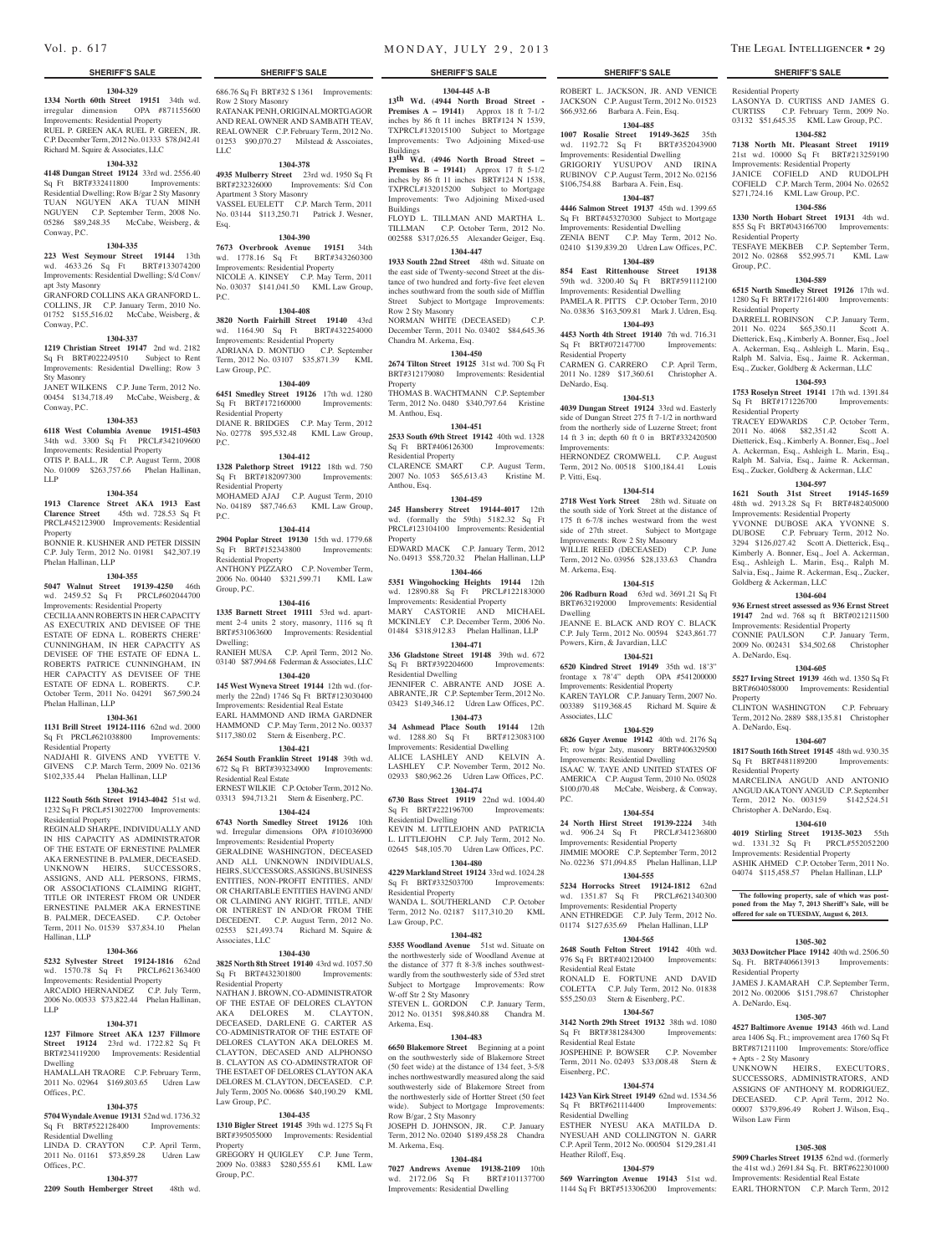#### **1304-329**

**1334 North 60th Street 19151** 34th wd. irregular dimension OPA #871155600 Improvements: Residential Property RUEL P. GREEN AKA RUEL P. GREEN, JR. C.P. December Term, 2012 No. 01333 \$78,042.41 Richard M. Squire & Associates, LLC

#### **1304-332**

**4148 Dungan Street 19124** 33rd wd. 2556.40 Sq Ft BRT#332411800 Improvements: Residential Dwelling; Row B/gar 2 Sty Masonry TUAN NGUYEN AKA TUAN MINH NGUYEN C.P. September Term, 2008 No. 05286 \$89,248.35 McCabe, Weisberg, & Conway, P.C.

#### **1304-335**

**223 West Seymour Street 19144** 13th wd. 4633.26 Sq Ft BRT#133074200 Improvements: Residential Dwelling; S/d Conv/ apt 3sty Masonry

GRANFORD COLLINS AKA GRANFORD L. COLLINS, JR C.P. January Term, 2010 No. 01752 \$155,516.02 McCabe, Weisberg, & Conway, P.C.

#### **1304-337**

**1219 Christian Street 19147** 2nd wd. 2182 Sq Ft BRT#022249510 Subject to Rent Improvements: Residential Dwelling; Row 3

Sty Masonry JANET WILKENS C.P. June Term, 2012 No.

00454 \$134,718.49 McCabe, Weisberg, & Conway, P.C. **1304-353**

**6118 West Columbia Avenue 19151-4503**  34th wd. 3300 Sq Ft PRCL#342109600 Improvements: Residential Property OTIS P. BALL, JR C.P. August Term, 2008

No. 01009 \$263,757.66 Phelan Hallinan, LLP

#### **1304-354**

**1913 Clarence Street AKA 1913 East Clarence Street** 45th wd. 728.53 Sq Ft PRCL#452123900 Improvements: Residential

Property BONNIE R. KUSHNER AND PETER DISSIN C.P. July Term, 2012 No. 01981 \$42,307.19 Phelan Hallinan, LLP

#### **1304-355**

**5047 Walnut Street 19139-4250** 46th wd. 2459.52 Sq Ft PRCL#602044700 Improvements: Residential Property

CECILIA ANN ROBERTS IN HER CAPACITY AS EXECUTRIX AND DEVISEE OF THE ESTATE OF EDNA L. ROBERTS CHERE' CUNNINGHAM, IN HER CAPACITY AS DEVISEE OF THE ESTATE OF EDNA L. ROBERTS PATRICE CUNNINGHAM, IN HER CAPACITY AS DEVISEE OF THE<br>ESTATE OF EDNA L. ROBERTS. C.P. ESTATE OF EDNA L. ROBERTS. October Term, 2011 No. 04291 \$67,590.24 Phelan Hallinan, LLP

#### **1304-361**

**1131 Brill Street 19124-1116** 62nd wd. 2000 Sq Ft PRCL#621038800 Improvements: Residential Property

NADJAHI R. GIVENS AND YVETTE V. GIVENS C.P. March Term, 2009 No. 02136 \$102,335.44 Phelan Hallinan, LLP

#### **1304-362**

**1122 South 56th Street 19143-4042** 51st wd. 1232 Sq Ft PRCL#513022700 Improvements: Residential Property

REGINALD SHARPE, INDIVIDUALLY AND IN HIS CAPACITY AS ADMINISTRATOR OF THE ESTATE OF ERNESTINE PALMER AKA ERNESTINE B. PALMER, DECEASED. UNKNOWN HEIRS, SUCCESSORS, ASSIGNS, AND ALL PERSONS, FIRMS, OR ASSOCIATIONS CLAIMING RIGHT, TITLE OR INTEREST FROM OR UNDER ERNESTINE PALMER AKA ERNESTINE B. PALMER, DECEASED. C.P. October Term, 2011 No. 01539 \$37,834.10 Phelan Hallinan, LLP

# **1304-366**

**5232 Sylvester Street 19124-1816** 62nd wd. 1570.78 Sq Ft PRCL#621363400 Improvements: Residential Property ARCADIO HERNANDEZ C.P. July Term,

2006 No. 00533 \$73,822.44 Phelan Hallinan, LLP

# **1304-371**

**1237 Filmore Street AKA 1237 Fillmore Street 19124** 23rd wd. 1722.82 Sq Ft. BRT#234119200 Improvements: Residential Dwelling HAMALLAH TRAORE C.P. February Term,

2011 No. 02964 \$169,803.65 Udren Law Offices, P.C.

## **1304-375**

**5704 Wyndale Avenue 19131** 52nd wd. 1736.32 Sq Ft BRT#522128400 Improvements: Residential Dwelling LINDA D. CRAYTON C.P. April Term,

2011 No. 01161 \$73,859.28 Udren Law **1304-377**

**2209 South Hemberger Street** 48th wd.

Offices, P.C.

686.76 Sq Ft BRT#32 S 1361 Improvements: Row 2 Story Masonry RATANAK PENH, ORIGINAL MORTGAGOR

AND REAL OWNER AND SAMBATH TEAV, REAL OWNER C.P. February Term, 2012 No. 01253 \$90,070.27 Milstead & Asscoiates, LLC **1304-378**

**4935 Mulberry Street** 23rd wd. 1950 Sq Ft BRT#232326000 Improvements: S/d Con Apartment 3 Story Masonry VASSEL EUELETT C.P. March Term, 2011 No. 03144 \$113,250.71 Patrick J. Wesner, Esq.

#### **1304-390**

**7673 Overbrook Avenue 19151** 34th wd. 1778.16 Sq Ft BRT#343260300 Improvements: Residential Property NICOLE A. KINSEY C.P. May Term, 2011 No. 03037 \$141,041.50 KML Law Group,

#### **1304-408**

P.C.

**3820 North Fairhill Street 19140** 43rd wd. 1164.90 Sq Ft BRT#432254000 Improvements: Residential Property ADRIANA D. MONTIJO C.P. September Term, 2012 No. 03107 \$35,871.39 KML Law Group, P.C.

#### **1304-409**

**6451 Smedley Street 19126** 17th wd. 1280 Sq Ft BRT#172160000 Improvements: Residential Property DIANE R. BRIDGES C.P. May Term, 2012 No. 02778 \$95,532.48 KML Law Group, P.C.

#### **1304-412**

**1328 Palethorp Street 19122** 18th wd. 750 Sq Ft BRT#182097300 Improvements: Residential Property MOHAMED AJAJ C.P. August Term, 2010 No. 04189 \$87,746.63 KML Law Group, P.C.

# **1304-414**

**2904 Poplar Street 19130** 15th wd. 1779.68 Sq Ft BRT#152343800 Improvements: Residential Property ANTHONY PIZZARO C.P. November Term, 2006 No. 00440 \$321,599.71 KML Law

**1304-416**

Group, P.C.

**1335 Barnett Street 19111** 53rd wd. apartment 2-4 units 2 story, masonry, 1116 sq ft BRT#531063600 Improvements: Residential

Dwelling; RANIEH MUSA C.P. April Term, 2012 No. 03140 \$87,994.68 Federman & Associates, LLC

## **1304-420**

**145 West Wyneva Street 19144** 12th wd. (formerly the 22nd) 1746 Sq Ft BRT#123030400 Improvements: Residential Real Estate EARL HAMMOND AND IRMA GARDNER HAMMOND C.P. May Term, 2012 No. 00337 \$117,380.02 Stern & Eisenberg, P.C.

### **1304-421**

**2654 South Franklin Street 19148** 39th wd. 672 Sq Ft BRT#393234900 Improvements: Residential Real Estate

ERNEST WILKIE C.P. October Term, 2012 No. 03313 \$94,713.21 Stern & Eisenberg, P.C.

#### **1304-424**

**6743 North Smedley Street 19126** 10th wd. Irregular dimensions OPA #101036900 Improvements: Residential Property GERALDINE WASHINGTON, DECEASED AND ALL UNKNOWN INDIVIDUALS, HEIRS, SUCCESSORS, ASSIGNS, BUSINESS ENTITIES, NON-PROFIT ENTITIES, AND/ OR CHARITABLE ENTITIES HAVING AND/ OR CLAIMING ANY RIGHT, TITLE, AND/ OR INTEREST IN AND/OR FROM THE DECEDENT. C.P. August Term, 2012 No. 02553 \$21,493.74 Richard M. Squire & Associates, LLC

#### **1304-430**

**3825 North 8th Street 19140** 43rd wd. 1057.50 Sq Ft BRT#432301800 Improvements: Residential Property NATHAN J. BROWN, CO-ADMINISTRATOR OF THE ESTAE OF DELORES CLAYTON AKA DELORES M. CLAYTON, DECEASED, DARLENE G. CARTER AS CO-ADMINISTRATOR OF THE ESTATE OF DELORES CLAYTON AKA DELORES M. CLAYTON, DECASED AND ALPHONSO B. CLAYTON AS CO-ADMINSTRATOR OF THE ESTAET OF DELORES CLAYTON AKA DELORES M. CLAYTON, DECEASED. C.P. July Term, 2005 No. 00686 \$40,190.29 KML

#### **1304-435**

Law Group, P.C.

**1310 Bigler Street 19145** 39th wd. 1275 Sq Ft BRT#395055000 Improvements: Residential Property GREGORY H QUIGLEY C.P. June Term,

2009 No. 03883 \$280,555.61 KML Law Group, P.C.

**1304-445 A-B 13th Wd. (4944 North Broad Street - Premises A – 19141)** Approx 18 ft 7-1/2 inches by 86 ft 11 inches BRT#124 N 1539, TXPRCL#132015100 Subject to Mortgage Improvements: Two Adjoining Mixed-use

**13th Wd.** (**4946 North Broad Street – Premises B – 19141)** Approx 17 ft 5-1/2 inches by 86 ft 11 inches BRT#124 N 1538, TXPRCL#132015200 Subject to Mortgage Improvements: Two Adjoining Mixed-used

FLOYD L. TILLMAN AND MARTHA L. TILLMAN C.P. October Term, 2012 No. 002588 \$317,026.55 Alexander Geiger, Esq. **1304-447 1933 South 22nd Street** 48th wd. Situate on the east side of Twenty-second Street at the distance of two hundred and forty-five feet eleven inches southward from the south side of Mifflin Street Subject to Mortgage Improvements:

Buildings

Buildings

Row 2 Sty Masonry

Property

M. Anthou, Esq.

Residential Property

Residential Dwelling

Residential Dwelling

Residential Property

Law Group, P.C.

W-off Str 2 Sty Masonry

Row B/gar, 2 Sty Masonry

M. Arkema, Esq.

Arkema, Esq.

Anthou, Esq.

Property

Chandra M. Arkema, Esq.

NORMAN WHITE (DECEASED) December Term, 2011 No. 03402 \$84,645.36

**1304-450 2674 Tilton Street 19125** 31st wd. 700 Sq Ft BRT#312179080 Improvements: Residential

THOMAS B. WACHTMANN C.P. September Term, 2012 No. 0480 \$340,797.64 Kristine

**1304-451 2533 South 69th Street 19142** 40th wd. 1328 Sq Ft BRT#406126300 Improvements:

CLARENCE SMART C.P. August Term, 2007 No. 1053 \$65,613.43 Kristine M.

**1304-459 245 Hansberry Street 19144-4017** 12th wd. (formally the 59th) 5182.32 Sq Ft PRCL#123104100 Improvements: Residential

EDWARD MACK C.P. January Term, 2012 No. 04913 \$58,720.32 Phelan Hallinan, LLP **1304-466 5351 Wingohocking Heights 19144** 12th wd. 12890.88 Sq Ft PRCL#122183000 Improvements: Residential Property MARY CASTORIE AND MICHAEL MCKINLEY C.P. December Term, 2006 No. 01484 \$318,912.83 Phelan Hallinan, LLP **1304-471 336 Gladstone Street 19148** 39th wd. 672 Sq Ft BRT#392204600 Improvements:

JENNIFER C. ABRANTE AND JOSE A. ABRANTE, JR C.P. September Term, 2012 No. 03423 \$149,346.12 Udren Law Offices, P.C. **1304-473 34 Ashmead Place South 19144** 12th wd. 1288.80 Sq Ft BRT#123083100 Improvements: Residential Dwelling ALICE LASHLEY AND KELVIN A. LASHLEY C.P. November Term, 2012 No. 02933 \$80,962.26 Udren Law Offices, P.C. **1304-474 6730 Bass Street 19119** 22nd wd. 1004.40 Sq Ft BRT#222196700 Improvements:

KEVIN M. LITTLEJOHN AND PATRICIA L. LITTLEJOHN C.P. July Term, 2012 No. 02645 \$48,105.70 Udren Law Offices, P.C. **1304-480 4229 Markland Street 19124** 33rd wd. 1024.28 Sq Ft BRT#332503700 Improvements:

WANDA L. SOUTHERLAND C.P. October Term, 2012 No. 02187 \$117,310.20 KML

**1304-482 5355 Woodland Avenue** 51st wd. Situate on the northwesterly side of Woodland Avenue at the distance of 377 ft 8-3/8 inches southwestwardly from the southwesterly side of 53rd stret Subject to Mortgage Improvements: Row

STEVEN L. GORDON C.P. January Term, 2012 No. 01351 \$98,840.88 Chandra M.

**1304-483 6650 Blakemore Street** Beginning at a point on the southwesterly side of Blakemore Street (50 feet wide) at the distance of 134 feet, 3-5/8 inches northwestwardly measured along the said southwesterly side of Blakemore Street from the northwesterly side of Hortter Street (50 feet wide). Subject to Mortgage Improvements:

JOSEPH D. JOHNSON, JR. C.P. January Term, 2012 No. 02040 \$189,458.28 Chandra

**1304-484 7027 Andrews Avenue 19138-2109** 10th wd. 2172.06 Sq Ft BRT#101137700 Improvements: Residential Dwelling

# **SHERIFF'S SALE SHERIFF'S SALE SHERIFF'S SALE SHERIFF'S SALE SHERIFF'S SALE**

ROBERT L. JACKSON, JR. AND VENICE JACKSON C.P. August Term, 2012 No. 01523 \$66,932.66 Barbara A. Fein, Esq. **1304-485 1007 Rosalie Street 19149-3625** 35th

Residential Property

Residential Property

Residential Property

Residential Property

Goldberg & Ackerman, LLC

A. DeNardo, Esq.

A. DeNardo, Esq.

Residential Property

Residential Property

A. DeNardo, Esq.

+ Apts - 2 Sty Masonry

Wilson Law Firm

Christopher A. DeNardo, Esq.

Property

**1304-604 936 Ernest street assessed as 936 Ernst Street 19147** 2nd wd. 768 sq ft BRT#021211500 Improvements: Residential Property CONNIE PAULSON C.P. January Term, 2009 No. 002431 \$34,502.68 Christopher

**1304-605 5527 Irving Street 19139** 46th wd. 1350 Sq Ft BRT#604058000 Improvements: Residential

CLINTON WASHINGTON C.P. February Term, 2012 No. 2889 \$88,135.81 Christopher

**1304-607 1817 South 16th Street 19145** 48th wd. 930.35 Sq Ft BRT#481189200 Improvements:

MARCELINA ANGUD AND ANTONIO ANGUD AKA TONY ANGUD C.P. September Term, 2012 No. 003159 \$142,524.51

**1304-610 4019 Stirling Street 19135-3023** 55th wd. 1331.32 Sq Ft PRCL#552052200 Improvements: Residential Property ASHIK AHMED C.P. October Term, 2011 No. 04074 \$115,458.57 Phelan Hallinan, LLP

**The following property, sale of which was post-poned from the May 7, 2013 Sheriff's Sale, will be offered for sale on TUESDAY, August 6, 2013.**

**1305-302 3033 Dowitcher Place 19142** 40th wd. 2506.50 Sq. Ft. BRT#406613913 Improvements:

JAMES J. KAMARAH C.P. September Term, 2012 No. 002006 \$151,798.67 Christopher

**1305-307 4527 Baltimore Avenue 19143** 46th wd. Land area 1406 Sq. Ft.; improvement area 1760 Sq Ft BRT#871211100 Improvements: Store/office

UNKNOWN HEIRS, EXECUTORS, SUCCESSORS, ADMINISTRATORS, AND ASSIGNS OF ANTHONY M. RODRIGUEZ, DECEASED. C.P. April Term, 2012 No. 00007 \$379,896.49 Robert J. Wilson, Esq.,

**1305-308 5909 Charles Street 19135** 62nd wd. (formerly the 41st wd.) 2691.84 Sq. Ft. BRT#622301000 Improvements: Residential Real Estate EARL THORNTON C.P. March Term, 2012

Group, P.C.

LASONYA D. CURTISS AND JAMES G. CURTISS C.P. February Term, 2009 No. 03132 \$51,645.35 KML Law Group, P.C. **1304-582 7138 North Mt. Pleasant Street 19119**  21st wd. 10000 Sq Ft BRT#213259190 Improvements: Residential Property JANICE COFIELD AND RUDOLPH COFIELD C.P. March Term, 2004 No. 02652 \$271,724.16 KML Law Group, P.C. **1304-586 1330 North Hobart Street 19131** 4th wd. 855 Sq Ft BRT#043166700 Improvements:

TESFAYE MEKBEB C.P. September Term, 2012 No. 02868 \$52,995.71 KML Law

**1304-589 6515 North Smedley Street 19126** 17th wd. 1280 Sq Ft BRT#172161400 Improvements:

DARRELL ROBINSON C.P. January Term, 2011 No. 0224 \$65,350.11 Scott A. Dietterick, Esq., Kimberly A. Bonner, Esq., Joel A. Ackerman, Esq., Ashleigh L. Marin, Esq., Ralph M. Salvia, Esq., Jaime R. Ackerman, Esq., Zucker, Goldberg & Ackerman, LLC **1304-593 1753 Roselyn Street 19141** 17th wd. 1391.84 Sq Ft BRT#171226700 Improvements:

TRACEY EDWARDS C.P. October Term, 2011 No. 4068 \$82,351.42 Scott A. Dietterick, Esq., Kimberly A. Bonner, Esq., Joel A. Ackerman, Esq., Ashleigh L. Marin, Esq., Ralph M. Salvia, Esq., Jaime R. Ackerman, Esq., Zucker, Goldberg & Ackerman, LLC **1304-597 1621 South 31st Street 19145-1659**  48th wd. 2913.28 Sq Ft BRT#482405000 Improvements: Residential Property YVONNE DUBOSE AKA YVONNE S. DUBOSE C.P. February Term, 2012 No. 3294 \$126,027.42 Scott A. Dietterick, Esq., Kimberly A. Bonner, Esq., Joel A. Ackerman, Esq., Ashleigh L. Marin, Esq., Ralph M. Salvia, Esq., Jaime R. Ackerman, Esq., Zucker,

#### wd. 1192.72 Sq Ft BRT#352043900 Improvements: Residential Dwelling GRIGORIY YUSUPOV AND IRINA

RUBINOV C.P. August Term, 2012 No. 02156 \$106,754.88 Barbara A. Fein, Esq. **1304-487**

**4446 Salmon Street 19137** 45th wd. 1399.65

Sq Ft BRT#453270300 Subject to Mortgage Improvements: Residential Dwelling ZENIA BENT C.P. May Term, 2012 No. 02410 \$139,839.20 Udren Law Offices, P.C. **1304-489**

**854 East Rittenhouse Street 19138**  59th wd. 3200.40 Sq Ft BRT#591112100 Improvements: Residential Dwelling PAMELA R. PITTS C.P. October Term, 2010 No. 03836 \$163,509.81 Mark J. Udren, Esq.

**1304-493**

**4453 North 4th Street 19140** 7th wd. 716.31 Sq Ft BRT#072147700 Improvements: Residential Property CARMEN G. CARRERO C.P. April Term,

2011 No. 1289 \$17,360.61 Christopher A. DeNardo, Esq. **1304-513**

# **4039 Dungan Street 19124** 33rd wd. Easterly

side of Dungan Street 275 ft 7-1/2 in northward from the northerly side of Luzerne Street; front 14 ft 3 in; depth 60 ft 0 in BRT#332420500 Improvements: HERNONDEZ CROMWELL C.P. August Term, 2012 No. 00518 \$100,184.41 Louis

**1304-514**

P. Vitti, Esq.

**2718 West York Street** 28th wd. Situate on the south side of York Street at the distance of 175 ft 6-7/8 inches westward from the west side of 27th street. Subject to Mortgage Improvements: Row 2 Sty Masonry WILLIE REED (DECEASED) C.P. June Term, 2012 No. 03956 \$28,133.63 Chandra M. Arkema, Esq.

#### **1304-515**

**206 Radburn Road** 63rd wd. 3691.21 Sq Ft BRT#632192000 Improvements: Residential Dwelling JEANNE E. BLACK AND ROY C. BLACK C.P. July Term, 2012 No. 00594 \$243,861.77 Powers, Kirn, & Javardian, LLC

#### **1304-521**

**6520 Kindred Street 19149** 35th wd. 18'3" frontage x 78'4" depth OPA #541200000 Improvements: Residential Property KAREN TAYLOR C.P. January Term, 2007 No. 003389 \$119,368.45 Richard M. Squire & Associates, LLC

# **1304-529**

**6826 Guyer Avenue 19142** 40th wd. 2176 Sq Ft; row b/gar 2sty, masonry BRT#406329500 Improvements: Residential Dwelling ISAAC W. TAYE AND UNITED STATES OF AMERICA C.P. August Term, 2010 No. 05028 \$100,070.48 McCabe, Weisberg, & Conway, P.C.

#### **1304-554**

**24 North Hirst Street 19139-2224** 34th wd. 906.24 Sq Ft PRCL#341236800 Improvements: Residential Property JIMMIE MOORE C.P. September Term, 2012 No. 02236 \$71,094.85 Phelan Hallinan, LLP

**1304-555 5234 Horrocks Street 19124-1812** 62nd wd. 1351.87 Sq Ft PRCL#621340300 Improvements: Residential Property ANN ETHREDGE C.P. July Term, 2012 No. 01174 \$127,635.69 Phelan Hallinan, LLP

#### **1304-565 2648 South Felton Street 19142** 40th wd.

976 Sq Ft BRT#402120400 Improvements: Residential Real Estate RONALD E. FORTUNE AND DAVID COLETTA C.P. July Term, 2012 No. 01838 \$55,250.03 Stern & Eisenberg, P.C.

# **1304-567**

**3142 North 29th Street 19132** 38th wd. 1080 Sq Ft BRT#381284300 Improvements: Residential Real Estate JOSPEHINE P. BOWSER C.P. November Term, 2011 No. 02493 \$33,008.48 Stern &

#### **1304-574**

Eisenberg, P.C.

**1423 Van Kirk Street 19149** 62nd wd. 1534.56 Sq Ft BRT#621114400 Improvements: Residential Dwelling

ESTHER NYESU AKA MATILDA D. NYESUAH AND COLLINGTON N. GARR C.P. April Term, 2012 No. 000504 \$129,281.41 Heather Riloff, Esq.

#### **1304-579**

**569 Warrington Avenue 19143** 51st wd. 1144 Sq Ft BRT#513306200 Improvements: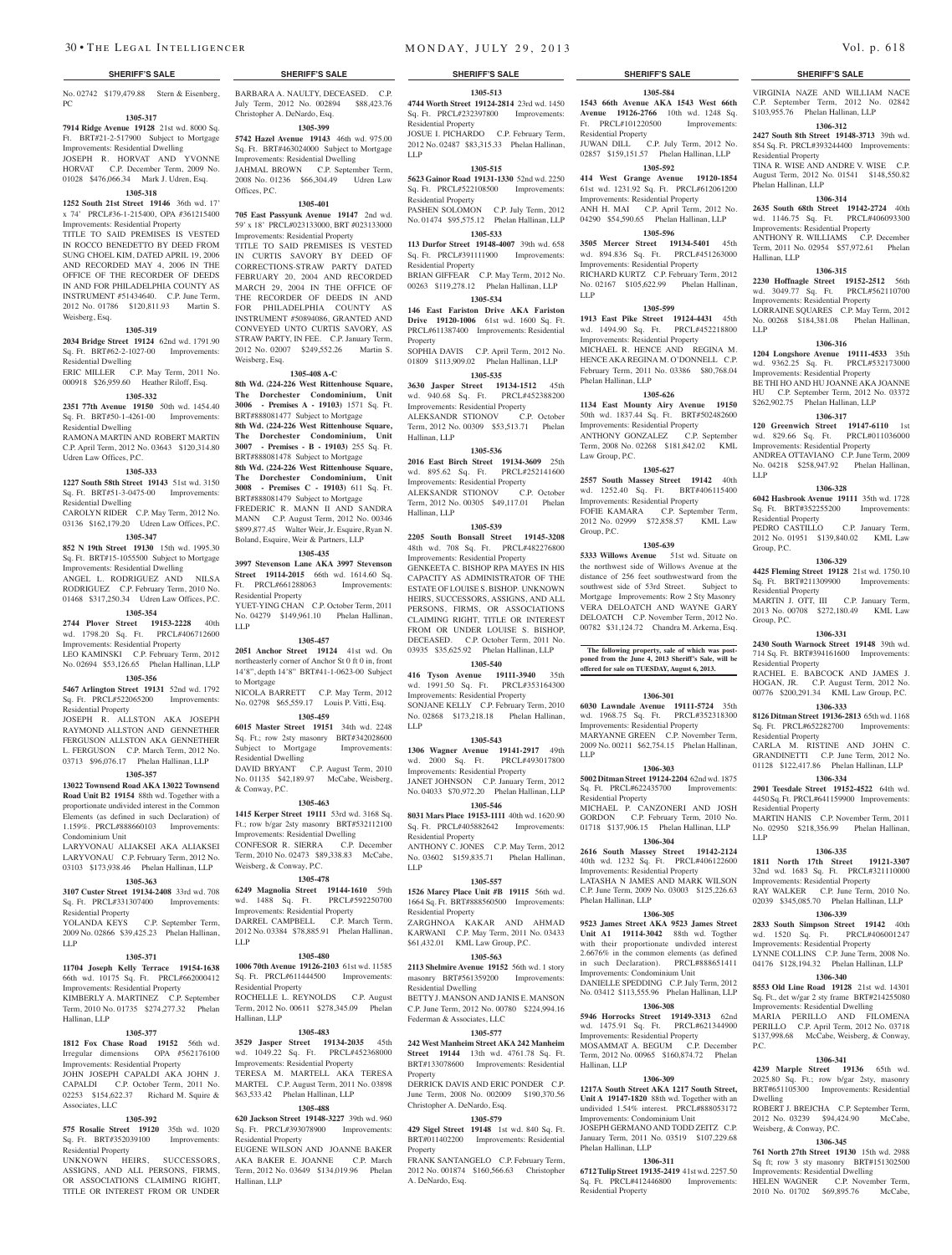No. 02742 \$179,479.88 Stern & Eisenberg, BARBARA A. NAULTY, DECEASED. C.P. PC

#### **1305-317**

**7914 Ridge Avenue 19128** 21st wd. 8000 Sq. Ft. BRT#21-2-517900 Subject to Mortgage Improvements: Residential Dwelling JOSEPH R. HORVAT AND YVONNE HORVAT C.P. December Term, 2009 No. 01028 \$476,066.34 Mark J. Udren, Esq.

# **1305-318**

**1252 South 21st Street 19146** 36th wd. 17' x 74' PRCL#36-1-215400, OPA #361215400 Improvements: Residential Property TITLE TO SAID PREMISES IS VESTED IN ROCCO BENEDETTO BY DEED FROM SUNG CHOEL KIM, DATED APRIL 19, 2006 AND RECORDED MAY 4, 2006 IN THE OFFICE OF THE RECORDER OF DEEDS IN AND FOR PHILADELPHIA COUNTY AS INSTRUMENT #51434640. C.P. June Term,

#### 2012 No. 01786 \$120,811.93 Martin S. Weisberg, Esq.

#### **1305-319**

**2034 Bridge Street 19124** 62nd wd. 1791.90 Sq. Ft. BRT#62-2-1027-00 Improvements: Residential Dwelling ERIC MILLER C.P. May Term, 2011 No.

### 000918 \$26,959.60 Heather Riloff, Esq. **1305-332**

**2351 77th Avenue 19150** 50th wd. 1454.40 Sq. Ft. BRT#50-1-4261-00 Improvements:

Residential Dwelling RAMONA MARTIN AND ROBERT MARTIN C.P. April Term, 2012 No. 03643 \$120,314.80 Udren Law Offices, P.C.

#### **1305-333**

**1227 South 58th Street 19143** 51st wd. 3150 Sq. Ft. BRT#51-3-0475-00 Improvements: Residential Dwelling

CAROLYN RIDER C.P. May Term, 2012 No. 03136 \$162,179.20 Udren Law Offices, P.C. **1305-347**

**852 N 19th Street 19130** 15th wd. 1995.30 Sq. Ft. BRT#15-1055500 Subject to Mortgage Improvements: Residential Dwelling ANGEL L. RODRIGUEZ AND NILSA RODRIGUEZ C.P. February Term, 2010 No. 01468 \$317,250.34 Udren Law Offices, P.C.

#### **1305-354**

**2744 Plover Street 19153-2228** 40th wd. 1798.20 Sq. Ft. PRCL#406712600 Improvements: Residential Property LEO KAMINSKI C.P. February Term, 2012 No. 02694 \$53,126.65 Phelan Hallinan, LLP

# **1305-356**

**5467 Arlington Street 19131** 52nd wd. 1792 Sq. Ft. PRCL#522065200 Improvements: Residential Property

JOSEPH R. ALLSTON AKA JOSEPH RAYMOND ALLSTON AND GENNETHER FERGUSON ALLSTON AKA GENNETHER L. FERGUSON C.P. March Term, 2012 No. 03713 \$96,076.17 Phelan Hallinan, LLP

### **1305-357**

**13022 Townsend Road AKA 13022 Townsend Road Unit B2 19154** 88th wd. Together with a proportionate undivided interest in the Common Elements (as defined in such Declaration) of 1.159%. PRCL#888660103 Improvements: Condominium Unit

LARYVONAU ALIAKSEI AKA ALIAKSEI LARYVONAU C.P. February Term, 2012 No. 03103 \$173,938.46 Phelan Hallinan, LLP

#### **1305-363**

**3107 Custer Street 19134-2408** 33rd wd. 708 Sq. Ft. PRCL#331307400 Improvements: Residential Property YOLANDA KEYS C.P. September Term,

2009 No. 02866 \$39,425.23 Phelan Hallinan, LLP

# **1305-371**

**11704 Joseph Kelly Terrace 19154-1638**  66th wd. 10175 Sq. Ft. PRCL#662000412 Improvements: Residential Property KIMBERLY A. MARTINEZ C.P. September Term, 2010 No. 01735 \$274,277.32 Phelan Hallinan, LLP

#### **1305-377**

**1812 Fox Chase Road 19152** 56th wd. **3529 Jasper Street 19134-2035** 45th **242 West Manheim Street AKA 242 Manheim**  Irregular dimensions OPA #562176100 Improvements: Residential Property JOHN JOSEPH CAPALDI AKA JOHN J.

CAPALDI C.P. October Term, 2011 No. 02253 \$154,622.37 Richard M. Squire & Associates, LLC

#### **1305-392**

**575 Rosalie Street 19120** 35th wd. 1020 Sq. Ft. BRT#352039100 Improvements: Residential Property

UNKNOWN HEIRS, SUCCESSORS, ASSIGNS, AND ALL PERSONS, FIRMS, OR ASSOCIATIONS CLAIMING RIGHT TITLE OR INTEREST FROM OR UNDER

July Term, 2012 No. 002894 \$88,423.76 Christopher A. DeNardo, Esq.

# **1305-399**

**5742 Hazel Avenue 19143** 46th wd. 975.00 Sq. Ft. BRT#463024000 Subject to Mortgage Improvements: Residential Dwelling JAHMAL BROWN C.P. September Term, 2008 No. 01236 \$66,304.49 Udren Law Offices, P.C.

#### **1305-401**

**705 East Passyunk Avenue 19147** 2nd wd. 59' x 18' PRCL#023133000, BRT #023133000 Improvements: Residential Property

TITLE TO SAID PREMISES IS VESTED IN CURTIS SAVORY BY DEED OF CORRECTIONS-STRAW PARTY DATED FEBRUARY 20, 2004 AND RECORDED MARCH 29, 2004 IN THE OFFICE OF THE RECORDER OF DEEDS IN AND FOR PHILADELPHIA COUNTY AS INSTRUMENT #50894086, GRANTED AND CONVEYED UNTO CURTIS SAVORY, AS STRAW PARTY, IN FEE. C.P. January Term, 2012 No. 02007 \$249,552.26 Martin S. Weisberg, Esq.

#### **1305-408 A-C**

**8th Wd.** (**224-226 West Rittenhouse Square, The Dorchester Condominium, Unit 3006 - Premises A - 19103)** 1571 Sq. Ft. BRT#888081477 Subject to Mortgage **8th Wd. (224-226 West Rittenhouse Square, The Dorchester Condominium, Unit 3007 - Premises - B - 19103)** 255 Sq. Ft. BRT#888081478 Subject to Mortgage **8th Wd. (224-226 West Rittenhouse Square,** 

**The Dorchester Condominium, Unit 3008 - Premises C - 19103)** 611 Sq. Ft. BRT#888081479 Subject to Mortgage FREDERIC R. MANN II AND SANDRA MANN C.P. August Term, 2012 No. 00346

\$899,877.45 Walter Weir, Jr. Esquire, Ryan N. Boland, Esquire, Weir & Partners, LLP **1305-435**

**3997 Stevenson Lane AKA 3997 Stevenson Street 19114-2015** 66th wd. 1614.60 Sq. Ft. PRCL#661288063 Improvements: Residential Property YUET-YING CHAN C.P. October Term, 2011

No. 04279 \$149,961.10 Phelan Hallinan, LLP **1305-457**

**2051 Anchor Street 19124** 41st wd. On northeasterly corner of Anchor St 0 ft 0 in, front 14'8", depth 14'8" BRT#41-1-0623-00 Subject to Mortgage NICOLA BARRETT C.P. May Term, 2012 No. 02798 \$65,559.17 Louis P. Vitti, Esq.

**1305-459 6015 Master Street 19151** 34th wd. 2248 Sq. Ft.; row 2sty masonry BRT#342028600

Subject to Mortgage Improvements: Residential Dwelling DAVID BRYANT C.P. August Term, 2010 No. 01135 \$42,189.97 McCabe, Weisberg, & Conway, P.C.

**1305-463**

**1415 Kerper Street 19111** 53rd wd. 3168 Sq. Ft.; row b/gar 2sty masonry BRT#532112100 Improvements: Residential Dwelling CONFESOR R. SIERRA C.P. December Term, 2010 No. 02473 \$89,338.83 McCabe, Weisberg, & Conway, P.C.

#### **1305-478**

**6249 Magnolia Street 19144-1610** 59th wd. 1488 Sq. Ft. PRCL#592250700 Improvements: Residential Property DARREL CAMPBELL C.P. March Term, 2012 No. 03384 \$78,885.91 Phelan Hallinan, LLP

#### **1305-480**

**1006 70th Avenue 19126-2103** 61st wd. 11585 Sq. Ft. PRCL#611444500 Improvements: Residential Property ROCHELLE L. REYNOLDS C.P. August Term, 2012 No. 00611 \$278,345.09 Phelan Hallinan, LLP

#### **1305-483**

wd. 1049.22 Sq. Ft. PRCL#452368000 Improvements: Residential Property TERESA M. MARTELL AKA TERESA MARTEL C.P. August Term, 2011 No. 03898 \$63,533.42 Phelan Hallinan, LLP

#### **1305-488**

**620 Jackson Street 19148-3227** 39th wd. 960 Sq. Ft. PRCL#393078900 Improvements: Residential Property

EUGENE WILSON AND JOANNE BAKER AKA BAKER E. JOANNE C.P. March Term, 2012 No. 03649 \$134,019.96 Phelan Hallinan, LLP

**1305-513 4744 Worth Street 19124-2814** 23rd wd. 1450 Sq. Ft. PRCL#232397800 Improvements: Residential Property JOSUE I. PICHARDO C.P. February Term,

2012 No. 02487 \$83,315.33 Phelan Hallinan, LLP **1305-515**

**5623 Gainor Road 19131-1330** 52nd wd. 2250 Sq. Ft. PRCL#522108500 Improvements: Residential Property

PASHEN SOLOMON C.P. July Term, 2012 No. 01474 \$95,575.12 Phelan Hallinan, LLP **1305-533**

**113 Durfor Street 19148-4007** 39th wd. 658 Sq. Ft. PRCL#391111900 Improvements: Residential Property BRIAN GIFFEAR C.P. May Term, 2012 No. 00263 \$119,278.12 Phelan Hallinan, LLP

**1305-534 146 East Fariston Drive AKA Fariston Drive 19120-1006** 61st wd. 1600 Sq. Ft. PRCL#611387400 Improvements: Residential Property

SOPHIA DAVIS C.P. April Term, 2012 No. 01809 \$113,909.02 Phelan Hallinan, LLP **1305-535**

**3630 Jasper Street 19134-1512** 45th wd. 940.68 Sq. Ft. PRCL#452388200 Improvements: Residential Property ALEKSANDR STIONOV C.P. October Term, 2012 No. 00309 \$53,513.71 Phelan Hallinan, LLP

#### **1305-536**

**2016 East Birch Street 19134-3609** 25th wd. 895.62 Sq. Ft. PRCL#252141600 Improvements: Residential Property ALEKSANDR STIONOV C.P. October Term, 2012 No. 00305 \$49,117.01 Phelan Hallinan, LLP

#### **1305-539**

**2205 South Bonsall Street 19145-3208**  48th wd. 708 Sq. Ft. PRCL#482276800 Improvements: Residential Property GENKEETA C. BISHOP RPA MAYES IN HIS CAPACITY AS ADMINISTRATOR OF THE ESTATE OF LOUISE S. BISHOP. UNKNOWN HEIRS, SUCCESSORS, ASSIGNS, AND ALL PERSONS, FIRMS, OR ASSOCIATIONS CLAIMING RIGHT, TITLE OR INTEREST FROM OR UNDER LOUISE S. BISHOP, DECEASED. C.P. October Term, 2011 No. 03935 \$35,625.92 Phelan Hallinan, LLP

#### **1305-540**

**416 Tyson Avenue 19111-3940** 35th wd. 1991.50 Sq. Ft. PRCL#353164300 Improvements: Residential Property SONJANE KELLY C.P. February Term, 2010 No. 02868 \$173,218.18 Phelan Hallinan, LLP

#### **1305-543**

**1306 Wagner Avenue 19141-2917** 49th wd. 2000 Sq. Ft. PRCL#493017800 Improvements: Residential Property JANET JOHNSON C.P. January Term, 2012 No. 04033 \$70,972.20 Phelan Hallinan, LLP

**1305-546**

**8031 Mars Place 19153-1111** 40th wd. 1620.90 Sq. Ft. PRCL#405882642 Improvements: Residential Property

ANTHONY C. JONES C.P. May Term, 2012 No. 03602 \$159,835.71 Phelan Hallinan, LLP

### **1305-557**

**1526 Marcy Place Unit #B 19115** 56th wd. 1664 Sq. Ft. BRT#888560500 Improvements: Residential Property

ZARGHNOA KAKAR AND AHMAD KARWANI C.P. May Term, 2011 No. 03433 \$61,432.01 KML Law Group, P.C.

# **1305-563**

**2113 Shelmire Avenue 19152** 56th wd. 1 story masonry BRT#561359200 Improvements: Residential Dwelling

BETTY J. MANSON AND JANIS E. MANSON C.P. June Term, 2012 No. 00780 \$224,994.16 Federman & Associates, LLC

#### **1305-577**

**Street 19144** 13th wd. 4761.78 Sq. Ft. BRT#133078600 Improvements: Residential Property

DERRICK DAVIS AND ERIC PONDER C.P. June Term, 2008 No. 002009 \$190,370.56 Christopher A. DeNardo, Esq.

# **1305-579**

**429 Sigel Street 19148** 1st wd. 840 Sq. Ft. BRT#011402200 Improvements: Residential Property

FRANK SANTANGELO C.P. February Term, 2012 No. 001874 \$160,566.63 Christopher A. DeNardo, Esq.

# **SHERIFF'S SALE SHERIFF'S SALE SHERIFF'S SALE SHERIFF'S SALE SHERIFF'S SALE**

VIRGINIA NAZE AND WILLIAM NACE C.P. September Term, 2012 No. 02842 \$103,955.76 Phelan Hallinan, LLP **1306-312 2427 South 8th Street 19148-3713** 39th wd. 854 Sq. Ft. PRCL#393244400 Improvements:

TINA R. WISE AND ANDRE V. WISE C.P. August Term, 2012 No. 01541 \$148,550.82

**1306-314 2635 South 68th Street 19142-2724** 40th wd. 1146.75 Sq. Ft. PRCL#406093300 Improvements: Residential Property ANTHONY R. WILLIAMS C.P. December Term, 2011 No. 02954 \$57,972.61 Phelan

**1306-315 2230 Hoffnagle Street 19152-2512** 56th wd. 3049.77 Sq. Ft. PRCL#562110700 Improvements: Residential Property LORRAINE SQUARES C.P. May Term, 2012 No. 00268 \$184,381.08 Phelan Hallinan,

**1306-316 1204 Longshore Avenue 19111-4533** 35th wd. 9362.25 Sq. Ft. PRCL#532173000 Improvements: Residential Property BE THI HO AND HU JOANNE AKA JOANNE HU C.P. September Term, 2012 No. 03372 \$262,902.75 Phelan Hallinan, LLP **1306-317 120 Greenwich Street 19147-6110** 1st wd. 829.66 Sq. Ft. PRCL#011036000 Improvements: Residential Property ANDREA OTTAVIANO C.P. June Term, 2009 No. 04218 \$258,947.92 Phelan Hallinan,

**1306-328 6042 Hasbrook Avenue 19111** 35th wd. 1728 Sq. Ft. BRT#352255200 Improvements:

PEDRO CASTILLO C.P. January Term, 2012 No. 01951 \$139,840.02 KML Law

**1306-329 4425 Fleming Street 19128** 21st wd. 1750.10 Sq. Ft. BRT#211309900 Improvements:

MARTIN J. OTT, III C.P. January Term, 2013 No. 00708 \$272,180.49 KML Law

**1306-331 2430 South Warnock Street 19148** 39th wd. 714 Sq. Ft. BRT#394161600 Improvements:

RACHEL E. BABCOCK AND JAMES J. HOGAN, JR. C.P. August Term, 2012 No. 00776 \$200,291.34 KML Law Group, P.C. **1306-333 8126 Ditman Street 19136-2813** 65th wd. 1168 Sq. Ft. PRCL#652282700 Improvements:

CARLA M. RISTINE AND JOHN C. GRANDINETTI C.P. June Term, 2012 No. 01128 \$122,417.86 Phelan Hallinan, LLP **1306-334 2901 Teesdale Street 19152-4522** 64th wd. 4450 Sq. Ft. PRCL#641159900 Improvements:

MARTIN HANIS C.P. November Term, 2011 No. 02950 \$218,356.99 Phelan Hallinan,

**1306-335 1811 North 17th Street 19121-3307**  32nd wd. 1683 Sq. Ft. PRCL#321110000 Improvements: Residential Property RAY WALKER C.P. June Term, 2010 No. 02039 \$345,085.70 Phelan Hallinan, LLP **1306-339 2833 South Simpson Street 19142** 40th wd. 1520 Sq. Ft. PRCL#406001247 Improvements: Residential Property LYNNE COLLINS C.P. June Term, 2008 No. 04176 \$128,194.32 Phelan Hallinan, LLP **1306-340 8553 Old Line Road 19128** 21st wd. 14301 Sq. Ft., det w/gar 2 sty frame BRT#214255080 Improvements: Residential Dwelling MARIA PERILLO AND FILOMENA PERILLO C.P. April Term, 2012 No. 03718 \$137,998.68 McCabe, Weisberg, & Conway,

**1306-341 4239 Marple Street 19136** 65th wd. 2025.80 Sq. Ft.; row b/gar 2sty, masonry BRT#651105300 Improvements: Residential

ROBERT J. BREJCHA C.P. September Term, 2012 No. 03239 \$94,424.90 McCabe,

**1306-345 761 North 27th Street 19130** 15th wd. 2988 Sq ft; row 3 sty masonry BRT#151302500 Improvements: Residential Dwelling HELEN WAGNER C.P. November Term, 2010 No. 01702 \$69,895.76 McCabe,

Residential Property

Phelan Hallinan, LLP

Hallinan, LLP

LLP

LLP

Residential Property

Residential Property

Residential Property

Residential Property

Residential Property

LLP

P.C.

Dwelling

Weisberg, & Conway, P.C.

Group, P.C.

Group, P.C.

**Avenue 19126-2766** 10th wd. 1248 Sq. Ft. PRCL#101220500 Improvements:

JUWAN DILL C.P. July Term, 2012 No. 02857 \$159,151.57 Phelan Hallinan, LLP **1305-592 414 West Grange Avenue 19120-1854**  61st wd. 1231.92 Sq. Ft. PRCL#612061200 Improvements: Residential Property ANH H. MAI C.P. April Term, 2012 No. 04290 \$54,590.65 Phelan Hallinan, LLP **1305-596 3505 Mercer Street 19134-5401** 45th wd. 894.836 Sq. Ft. PRCL#451263000 Improvements: Residential Property RICHARD KURTZ C.P. February Term, 2012 No. 02167 \$105,622.99 Phelan Hallinan,

**1305-599 1913 East Pike Street 19124-4431** 45th wd. 1494.90 Sq. Ft. PRCL#452218800 Improvements: Residential Property MICHAEL R. HENCE AND REGINA M. HENCE AKA REGINA M. O'DONNELL C.P. February Term, 2011 No. 03386 \$80,768.04

**1305-626 1134 East Mounty Airy Avenue 19150**  50th wd. 1837.44 Sq. Ft. BRT#502482600 Improvements: Residential Property ANTHONY GONZALEZ C.P. September Term, 2008 No. 02268 \$181,842.02 KML

**1305-627 2557 South Massey Street 19142** 40th wd. 1252.40 Sq. Ft. BRT#406115400 Improvements: Residential Property FOFIE KAMARA C.P. September Term, 2012 No. 02999 \$72,858.57 KML Law

**1305-639 5333 Willows Avenue** 51st wd. Situate on the northwest side of Willows Avenue at the distance of 256 feet southwestward from the southwest side of 53rd Street. Subject to Mortgage Improvements: Row 2 Sty Masonry VERA DELOATCH AND WAYNE GARY DELOATCH C.P. November Term, 2012 No. 00782 \$31,124.72 Chandra M. Arkema, Esq.

**The following property, sale of which was post-poned from the June 4, 2013 Sheriff's Sale, will be offered for sale on TUESDAY, August 6, 2013.**

**1306-301 6030 Lawndale Avenue 19111-5724** 35th wd. 1968.75 Sq. Ft. PRCL#352318300 Improvements: Residential Property MARYANNE GREEN C.P. November Term, 2009 No. 00211 \$62,754.15 Phelan Hallinan,

**1306-303 5002 Ditman Street 19124-2204** 62nd wd. 1875 Sq. Ft. PRCL#622435700 Improvements:

MICHAEL P. CANZONERI AND JOSH GORDON C.P. February Term, 2010 No. 01718 \$137,906.15 Phelan Hallinan, LLP **1306-304 2616 South Massey Street 19142-2124**  40th wd. 1232 Sq. Ft. PRCL#406122600 Improvements: Residential Property LATASHA N JAMES AND MARK WILSON C.P. June Term, 2009 No. 03003 \$125,226.63

**1306-305 9523 James Street AKA 9523 James Street Unit A1 19114-3042** 88th wd. Togther with their proportionate undivded interest 2.6676% in the common elements (as defined in such Declaration). PRCL#888651411 Improvements: Condominium Unit DANIELLE SPEDDING C.P. July Term, 2012 No. 03412 \$113,555.96 Phelan Hallinan, LLP **1306-308 5946 Horrocks Street 19149-3313** 62nd wd. 1475.91 Sq. Ft. PRCL#621344900 Improvements: Residential Property MOSAMMAT A. BEGUM

Term, 2012 No. 00965 \$160,874.72 Phelan

**1306-309 1217A South Street AKA 1217 South Street, Unit A 19147-1820** 88th wd. Together with an undivided 1.54% interest. PRCL#888053172 Improvements: Condominium Unit JOSEPH GERMANOAND TODD ZEITZ C.P. January Term, 2011 No. 03519 \$107,229.68

**1306-311 6712 Tulip Street 19135-2419** 41st wd. 2257.50 Sq. Ft. PRCL#412446800 Improvements:

# **1305-584 1543 66th Avenue AKA 1543 West 66th**

Residential Property

LLP

Phelan Hallinan, LLP

Law Group, P.C.

Group, P.C.

LLP

Residential Property

Phelan Hallinan, LLP

Hallinan, LLP

Phelan Hallinan, LLP

Residential Property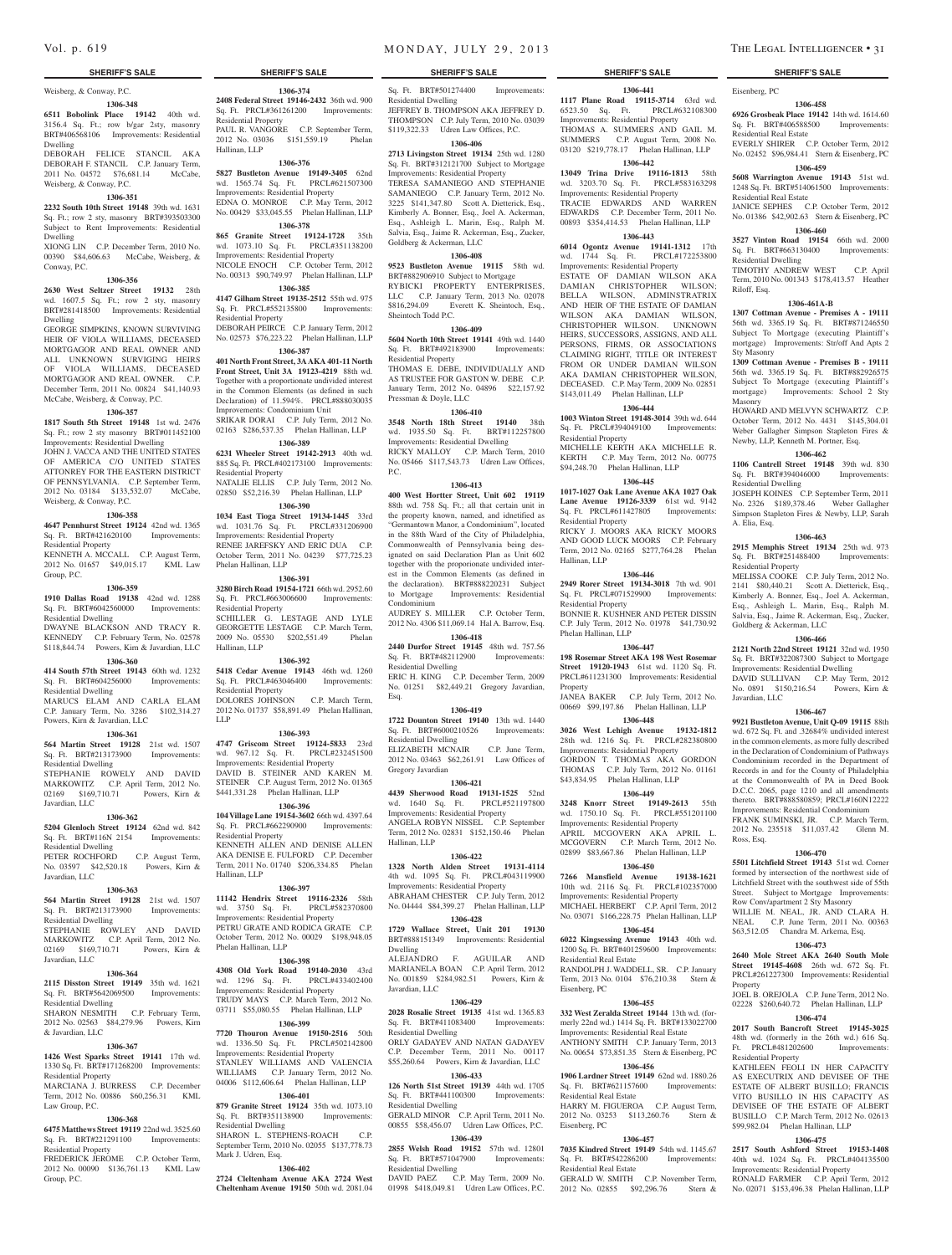# Weisberg, & Conway, P.C.

# **1306-348**

**6511 Bobolink Place 19142** 40th wd. 3156.4 Sq. Ft.; row b/gar 2sty, masonry BRT#406568106 Improvements: Residential Dwelling

DEBORAH FELICE STANCIL AKA DEBORAH F. STANCIL C.P. January Term, 2011 No. 04572 \$76,681.14 McCabe, Weisberg, & Conway, P.C.

#### **1306-351**

**2232 South 10th Street 19148** 39th wd. 1631 Sq. Ft.; row 2 sty, masonry BRT#393503300 Subject to Rent Improvements: Residential Dwelling

XIONG LIN C.P. December Term, 2010 No. 00390 \$84,606.63 McCabe, Weisberg, & Conway, P.C.

#### **1306-356**

**2630 West Seltzer Street 19132** 28th wd. 1607.5 Sq. Ft.; row 2 sty, masonry BRT#281418500 Improvements: Residential Dwelling

GEORGE SIMPKINS, KNOWN SURVIVING HEIR OF VIOLA WILLIAMS, DECEASED MORTGAGOR AND REAL OWNER AND ALL UNKNOWN SURVIGING HEIRS OF VIOLA WILLIAMS, DECEASED MORTGAGOR AND REAL OWNER. C.P. December Term, 2011 No. 00824 \$41,140.93 McCabe, Weisberg, & Conway, P.C.

## **1306-357**

**1817 South 5th Street 19148** 1st wd. 2476 Sq. Ft.; row 2 sty masonry BRT#011452100 Improvements: Residential Dwelling

JOHN J. VACCA AND THE UNITED STATES OF AMERICA C/O UNITED STATES ATTONREY FOR THE EASTERN DISTRICT OF PENNSYLVANIA. C.P. September Term, 2012 No. 03184 \$133,532.07 McCabe, Weisberg, & Conway, P.C.

#### **1306-358**

**4647 Pennhurst Street 19124** 42nd wd. 1365 Sq. Ft. BRT#421620100 Improvements:

Residential Property KENNETH A. MCCALL C.P. August Term, 2012 No. 01657 \$49,015.17 KML Law

Group, P.C.

### **1306-359**

**1910 Dallas Road 19138** 42nd wd. 1288 Sq. Ft. BRT#6042560000 Improvements: Residential Dwelling

DWAYNE BLACKSON AND TRACY R. KENNEDY C.P. February Term, No. 02578 \$118,844.74 Powers, Kirn & Javardian, LLC **1306-360**

**414 South 57th Street 19143** 60th wd. 1232 Sq. Ft. BRT#604256000 Improvements: Residential Dwelling

MARUCS ELAM AND CARLA ELAM C.P. January Term, No. 3286 \$102,314.27 Powers, Kirn & Javardian, LLC

#### **1306-361**

Javardian, LLC

**564 Martin Street 19128** 21st wd. 1507 Sq. Ft. BRT#213173900 Improvements: Residential Dwelling STEPHANIE ROWELY AND DAVID MARKOWITZ C.P. April Term, 2012 No. 02169 \$169,710.71 Powers, Kirn &

### **1306-362**

**5204 Glenloch Street 19124** 62nd wd. 842 Sq. Ft. BRT#116N 2154 Improvements: Residential Dwelling

PETER ROCHFORD C.P. August Term, No. 03597 \$42,520.18 Powers, Kirn & Javardian, LLC

#### **1306-363**

**564 Martin Street 19128** 21st wd. 1507 Sq. Ft. BRT#213173900 Improvements: Residential Dwelling STEPHANIE ROWLEY AND DAVID MARKOWITZ C.P. April Term, 2012 No. 02169 \$169,710.71 Powers, Kirn &

# Javardian, LLC

**1306-364 2115 Disston Street 19149** 35th wd. 1621 Sq. Ft. BRT#5642069500 Improvements: Residential Dwelling

SHARON NESMITH C.P. February Term, 2012 No. 02563 \$84,279.96 Powers, Kirn & Javardian, LLC

#### **1306-367 1426 West Sparks Street 19141** 17th wd.

Law Group, P.C.

1330 Sq. Ft. BRT#171268200 Improvements: Residential Property MARCIANA J. BURRESS C.P. December Term, 2012 No. 00886 \$60,256.31 KML

#### **1306-368**

**6475 Matthews Street 19119** 22nd wd. 3525.60 Sq. Ft. BRT#221291100 Improvements: Residential Property

FREDERICK JEROME C.P. October Term, 2012 No. 00090 \$136,761.13 KML Law Group, P.C.

**1306-374 2408 Federal Street 19146-2432** 36th wd. 900 Sq. Ft. PRCL#361261200 Improvements:

PAUL R. VANGORE C.P. September Term, 2012 No. 03036 \$151,559.19 Phelan

**1306-376 5827 Bustleton Avenue 19149-3405** 62nd wd. 1565.74 Sq. Ft. PRCL#621507300 Improvements: Residential Property EDNA O. MONROE C.P. May Term, 2012 No. 00429 \$33,045.55 Phelan Hallinan, LLP **1306-378 865 Granite Street 19124-1728** 35th wd. 1073.10 Sq. Ft. PRCL#351138200 Improvements: Residential Property NICOLE ENOCH C.P. October Term, 2012 No. 00313 \$90,749.97 Phelan Hallinan, LLP **1306-385 4147 Gilham Street 19135-2512** 55th wd. 975 Sq. Ft. PRCL#552135800 Improvements:

DEBORAH PEIRCE C.P. January Term, 2012 No. 02573 \$76,223.22 Phelan Hallinan, LLP **1306-387 401 North Front Street, 3A AKA 401-11 North Front Street, Unit 3A 19123-4219** 88th wd. Together with a proportionate undivided interest in the Common Elements (as defined in such Declaration) of 11.594%. PRCL#888030035 Improvements: Condominium Unit SRIKAR DORAI C.P. July Term, 2012 No. 02163 \$286,537.35 Phelan Hallinan, LLP **1306-389 6231 Wheeler Street 19142-2913** 40th wd. 885 Sq. Ft. PRCL#402173100 Improvements:

NATALIE ELLIS C.P. July Term, 2012 No. 02850 \$52,216.39 Phelan Hallinan, LLP **1306-390 1034 East Tioga Street 19134-1445** 33rd wd. 1031.76 Sq. Ft. PRCL#331206900 Improvements: Residential Property RENEE JAREFSKY AND ERIC DUA C.P. October Term, 2011 No. 04239 \$77,725.23

**1306-391 3280 Birch Road 19154-1721** 66th wd. 2952.60 Sq. Ft. PRCL#663006600 Improvements:

SCHILLER G. LESTAGE AND LYLE GEORGETTE LESTAGE C.P. March Term, 2009 No. 05530 \$202,551.49 Phelan

**1306-392 5418 Cedar Avenue 19143** 46th wd. 1260 Sq. Ft. PRCL#463046400 Improvements:

DOLORES JOHNSON C.P. March Term, 2012 No. 01737 \$58,891.49 Phelan Hallinan,

**1306-393 4747 Griscom Street 19124-5833** 23rd wd. 967.12 Sq. Ft. PRCL#232451500 Improvements: Residential Property DAVID B. STEINER AND KAREN M. STEINER C.P. August Term, 2012 No. 01365 \$441,331.28 Phelan Hallinan, LLP **1306-396 104 Village Lane 19154-3602** 66th wd. 4397.64 Sq. Ft. PRCL#662290900 Improvements:

KENNETH ALLEN AND DENISE ALLEN AKA DENISE E. FULFORD C.P. December Term, 2011 No. 01740 \$206,334.85 Phelan

**1306-397 11142 Hendrix Street 19116-2326** 58th wd. 3750 Sq. Ft. PRCL#582370800 Improvements: Residential Property PETRU GRATE AND RODICA GRATE C.P. October Term, 2012 No. 00029 \$198,948.05

**1306-398 4308 Old York Road 19140-2030** 43rd wd. 1296 Sq. Ft. PRCL#433402400 Improvements: Residential Property TRUDY MAYS C.P. March Term, 2012 No. 03711 \$55,080.55 Phelan Hallinan, LLP **1306-399 7720 Thouron Avenue 19150-2516** 50th wd. 1336.50 Sq. Ft. PRCL#502142800 Improvements: Residential Property STANLEY WILLIAMS AND VALENCIA WILLIAMS C.P. January Term, 2012 No. 04006 \$112,606.64 Phelan Hallinan, LLP **1306-401 879 Granite Street 19124** 35th wd. 1073.10<br> **Sq. Ft. BRT#351138900** Improvements:

Residential Property

Residential Property

Residential Property

Phelan Hallinan, LLP

Residential Property

Residential Property

Residential Property

Phelan Hallinan, LLP

Sq. Ft. BRT#351138900 Residential Dwelling

Mark J. Udren, Esq.

SHARON L. STEPHENS-ROACH C.P. September Term, 2010 No. 02055 \$137,778.73

**1306-402 2724 Cleltenham Avenue AKA 2724 West Cheltenham Avenue 19150** 50th wd. 2081.04

Hallinan, LLP

Hallinan, LLP

LLP

Hallinan, LLP

Sq. Ft. BRT#501274400 Improvements: Residential Dwelling JEFFREY B. THOMPSON AKA JEFFREY D. THOMPSON C.P. July Term, 2010 No. 03039 \$119,322.33 Udren Law Offices, P.C.

# **1306-406**

**2713 Livingston Street 19134** 25th wd. 1280 Sq. Ft. BRT#312121700 Subject to Mortgage Improvements: Residential Property TERESA SAMANIEGO AND STEPHANIE SAMANIEGO C.P. January Term, 2012 No. 3225 \$141,347.80 Scott A. Dietterick, Esq., Kimberly A. Bonner, Esq., Joel A. Ackerman, Esq., Ashleigh L. Marin, Esq., Ralph M. Salvia, Esq., Jaime R. Ackerman, Esq., Zucker, Goldberg & Ackerman, LLC

#### **1306-408**

**9523 Bustleton Avenue 19115** 58th wd. BRT#882906910 Subject to Mortgage RYBICKI PROPERTY ENTERPRISES, LLC C.P. January Term, 2013 No. 02078 \$816,294.09 Everett K. Sheintoch, Esq., Sheintoch Todd P.C.

#### **1306-409**

**5604 North 10th Street 19141** 49th wd. 1440 Sq. Ft. BRT#492183900 Improvements: Residential Property

THOMAS E. DEBE, INDIVIDUALLY AND AS TRUSTEE FOR GASTON W. DEBE C.P. January Term, 2012 No. 04896 \$22,157.92 Pressman & Doyle, LLC

#### **1306-410**

**3548 North 18th Street 19140** 38th wd. 1935.50 Sq. Ft. BRT#112257800 Improvements: Residential Dwelling RICKY MALLOY C.P. March Term, 2010 No. 05466 \$117,543.73 Udren Law Offices, P.C.

#### **1306-413**

**400 West Hortter Street, Unit 602 19119**  88th wd. 758 Sq. Ft.; all that certain unit in the property known, named, and idnetified as "Germantown Manor, a Condominium", located in the 88th Ward of the City of Philadelphia, Commonwealth of Pennsylvania being designated on said Declaration Plan as Unit 602 together with the proporionate undivided interest in the Common Elements (as defined in the declaration). BRT#888220231 Subject to Mortgage Improvements: Residential Condominium

AUDREY S. MILLER C.P. October Term, 2012 No. 4306 \$11,069.14 Hal A. Barrow, Esq. **1306-418**

**2440 Durfor Street 19145** 48th wd. 757.56 Sq. Ft. BRT#482112900 Improvements: Residential Dwelling

ERIC H. KING C.P. December Term, 2009 No. 01251 \$82,449.21 Gregory Javardian, Esq.

#### **1306-419**

**1722 Dounton Street 19140** 13th wd. 1440 Sq. Ft. BRT#6000210526 Improvements: Residential Dwelling ELIZABETH MCNAIR C.P. June Term, 2012 No. 03463 \$62,261.91 Law Offices of Gregory Javardian

# **1306-421**

**4439 Sherwood Road 19131-1525** 52nd wd. 1640 Sq. Ft. PRCL#521197800 Improvements: Residential Property ANGELA ROBYN NISSEL C.P. September Term, 2012 No. 02831 \$152,150.46 Phelan Hallinan, LLP

#### **1306-422**

**1328 North Alden Street 19131-4114**  4th wd. 1095 Sq. Ft. PRCL#043119900 Improvements: Residential Property ABRAHAM CHESTER C.P. July Term, 2012 No. 04444 \$84,399.27 Phelan Hallinan, LLP

#### **1306-428**

**1729 Wallace Street, Unit 201 19130**  BRT#888151349 Improvements: Residential Dwelling ALEJANDRO F. AGUILAR AND

MARIANELA BOAN C.P. April Term, 2012 No. 001859 \$284,982.51 Powers, Kirn & Javardian, LLC

#### **1306-429 2028 Rosalie Street 19135** 41st wd. 1365.83

Sq. Ft. BRT#411083400 Improvements: Residential Dwelling ORLY GADAYEV AND NATAN GADAYEV

C.P. December Term, 2011 No. 00117 \$55,260.64 Powers, Kirn & Javardian, LLC

#### **1306-433**

**126 North 51st Street 19139** 44th wd. 1705 Sq. Ft. BRT#441100300 Residential Dwelling GERALD MINOR C.P. April Term, 2011 No.

00855 \$58,456.07 Udren Law Offices, P.C. **1306-439**

**2855 Welsh Road 19152** 57th wd. 12801 Sq. Ft. BRT#571047900 Improvements: Residential Dwelling

DAVID PAEZ C.P. May Term, 2009 No. 01998 \$418,049.81 Udren Law Offices, P.C.

# **SHERIFF'S SALE SHERIFF'S SALE SHERIFF'S SALE SHERIFF'S SALE SHERIFF'S SALE**

Eisenberg, PC

Residential Real Estate

Residential Real Estate

Residential Dwelling

Riloff, Esq.

Sty Masonry

Masonry

Residential Dwelling

Residential Property

Javardian, LLC

Ross, Esq.

Property

Residential Property

Goldberg & Ackerman, LLC

A. Elia, Esq.

**1306-458 6926 Grosbeak Place 19142** 14th wd. 1614.60 Sq. Ft. BRT#406588500 Improvements:

EVERLY SHIRER C.P. October Term, 2012 No. 02452 \$96,984.41 Stern & Eisenberg, PC **1306-459 5608 Warrington Avenue 19143** 51st wd. 1248 Sq. Ft. BRT#514061500 Improvements:

JANICE SEPHES C.P. October Term, 2012 No. 01386 \$42,902.63 Stern & Eisenberg, PC **1306-460 3527 Vinton Road 19154** 66th wd. 2000 Sq. Ft. BRT#663130400 Improvements:

TIMOTHY ANDREW WEST C.P. April Term, 2010 No. 001343 \$178,413.57 Heather

**1306-461A-B 1307 Cottman Avenue - Premises A - 19111**  56th wd. 3365.19 Sq. Ft. BRT#871246550 Subject To Mortgage (executing Plaintiff's mortgage) Improvements: Str/off And Apts 2

**1309 Cottman Avenue - Premises B - 19111**  56th wd. 3365.19 Sq. Ft. BRT#882926575 Subject To Mortgage (executing Plaintiff's mortgage) Improvements: School 2 Sty

HOWARD AND MELVYN SCHWARTZ C.P. October Term, 2012 No. 4431 \$145,304.01 Weber Gallagher Simpson Stapleton Fires & Newby, LLP, Kenneth M. Portner, Esq. **1306-462 1106 Cantrell Street 19148** 39th wd. 830 Sq. Ft. BRT#394046000 Improvements:

JOSEPH KOINES C.P. September Term, 2011 No. 2326 \$189,378.46 Weber Gallagher Simpson Stapleton Fires & Newby, LLP, Sarah

**1306-463 2915 Memphis Street 19134** 25th wd. 973 Sq. Ft. BRT#251488400 Improvements:

MELISSA COOKE C.P. July Term, 2012 No. 2141 \$80,440.21 Scott A. Dietterick, Esq., Kimberly A. Bonner, Esq., Joel A. Ackerman, Esq., Ashleigh L. Marin, Esq., Ralph M. Salvia, Esq., Jaime R. Ackerman, Esq., Zucker,

**1306-466 2121 North 22nd Street 19121** 32nd wd. 1950 Sq. Ft. BRT#322087300 Subject to Mortgage Improvements: Residential Dwelling DAVID SULLIVAN C.P. May Term, 2012 No. 0891 \$150,216.54 Powers, Kirn &

**1306-467 9921 Bustleton Avenue, Unit Q-09 19115** 88th wd. 672 Sq. Ft. and .32684% undivided interest in the common elements, as more fully described in the Declaration of Condominium of Pathways Condominium recorded in the Department of Records in and for the County of Philadelphia at the Commonwealth of PA in Deed Book D.C.C. 2065, page 1210 and all amendments thereto. BRT#888580859; PRCL#160N12222 Improvements: Residential Condominium FRANK SUMINSKI, JR. C.P. March Term, 2012 No. 235518 \$11,037.42 Glenn M.

**1306-470 5501 Litchfield Street 19143** 51st wd. Corner formed by intersection of the northwest side of Litchfield Street with the southwest side of 55th Street. Subject to Mortgage Improvements: Row Conv/apartment 2 Sty Masonry WILLIE M. NEAL, JR. AND CLARA H. NEAL C.P. June Term, 2011 No. 00363 \$63,512.05 Chandra M. Arkema, Esq. **1306-473 2640 Mole Street AKA 2640 South Mole Street 19145-4608** 26th wd. 672 Sq. Ft. PRCL#261227300 Improvements: Residential

JOEL B. OREJOLA C.P. June Term, 2012 No. 02228 \$260,640.72 Phelan Hallinan, LLP **1306-474 2017 South Bancroft Street 19145-3025**  48th wd. (formerly in the 26th wd.) 616 Sq. Ft. PRCL#481202600 Improvements:

KATHLEEN FEOLI IN HER CAPACITY AS EXECUTRIX AND DEVISEE OF THE ESTATE OF ALBERT BUSILLO; FRANCIS VITO BUSILLO IN HIS CAPACITY AS DEVISEE OF THE ESTATE OF ALBERT BUSILLO C.P. March Term, 2012 No. 02613 \$99,982.04 Phelan Hallinan, LLP **1306-475 2517 South Ashford Street 19153-1408**  40th wd. 1024 Sq. Ft. PRCL#404135500 Improvements: Residential Property RONALD FARMER C.P. April Term, 2012 No. 02071 \$153,496.38 Phelan Hallinan, LLP

**1306-441 1117 Plane Road 19115-3714** 63rd wd. 6523.50 Sq. Ft. PRCL#632108300 Improvements: Residential Property THOMAS A. SUMMERS AND GAIL M. SUMMERS C.P. August Term, 2008 No. 03120 \$219,778.17 Phelan Hallinan, LLP

# **1306-442**

**13049 Trina Drive 19116-1813** 58th wd. 3203.70 Sq. Ft. PRCL#583163298 Improvements: Residential Property TRACIE EDWARDS AND WARREN EDWARDS C.P. December Term, 2011 No. 00893 \$354,414.53 Phelan Hallinan, LLP

# **1306-443**

**6014 Ogontz Avenue 19141-1312** 17th wd. 1744 Sq. Ft. PRCL#172253800 Improvements: Residential Property ESTATE OF DAMIAN WILSON AKA DAMIAN CHRISTOPHER WILSON; BELLA WILSON, ADMINSTRATRIX AND HEIR OF THE ESTATE OF DAMIAN WILSON AKA DAMIAN WILSON, CHRISTOPHER WILSON. UNKNOWN HEIRS, SUCCESSORS, ASSIGNS, AND ALL PERSONS, FIRMS, OR ASSOCIATIONS CLAIMING RIGHT, TITLE OR INTEREST FROM OR UNDER DAMIAN WILSON AKA DAMIAN CHRISTOPHER WILSON, DECEASED. C.P. May Term, 2009 No. 02851 \$143,011.49 Phelan Hallinan, LLP

#### **1306-444**

**1003 Winton Street 19148-3014** 39th wd. 644 Sq. Ft. PRCL#394049100 Improvements: Residential Property

MICHELLE KERTH AKA MICHELLE R. KERTH C.P. May Term, 2012 No. 00775 \$94,248.70 Phelan Hallinan, LLP

### **1306-445**

**1017-1027 Oak Lane Avenue AKA 1027 Oak Lane Avenue 19126-3339** 61st wd. 9142 Sq. Ft. PRCL#611427805 Improvements: Residential Property RICKY J. MOORS AKA RICKY MOORS AND GOOD LUCK MOORS C.P. February Term, 2012 No. 02165 \$277,764.28 Phelan Hallinan, LLP

# **1306-446**

**2949 Rorer Street 19134-3018** 7th wd. 901 Sq. Ft. PRCL#071529900 Improvements: Residential Property BONNIE R. KUSHNER AND PETER DISSIN C.P. July Term, 2012 No. 01978 \$41,730.92 Phelan Hallinan, LLP

#### **1306-447**

**198 Rosemar Street AKA 198 West Rosemar Street 19120-1943** 61st wd. 1120 Sq. Ft. PRCL#611231300 Improvements: Residential Property

JANEA BAKER C.P. July Term, 2012 No. 00669 \$99,197.86 Phelan Hallinan, LLP **1306-448**

**3026 West Lehigh Avenue 19132-1812**  28th wd. 1216 Sq. Ft. PRCL#282380800 Improvements: Residential Property GORDON T. THOMAS AKA GORD THOMAS C.P. July Term, 2012 No. 01161 \$43,834.95 Phelan Hallinan, LLP

#### **1306-449**

**3248 Knorr Street 19149-2613** 55th wd. 1750.10 Sq. Ft. PRCL#551201100 Improvements: Residential Property APRIL MCGOVERN AKA APRIL L. MCGOVERN C.P. March Term, 2012 No. 02899 \$83,667.86 Phelan Hallinan, LLP

#### **1306-450**

**7266 Mansfield Avenue 19138-1621**  10th wd. 2116 Sq. Ft. PRCL#102357000 Improvements: Residential Property MICHAEL HERBERT C.P. April Term, 2012 No. 03071 \$166,228.75 Phelan Hallinan, LLP

#### **1306-454**

**6022 Kingsessing Avenue 19143** 40th wd. 1200 Sq. Ft. BRT#401259600 Improvements: Residential Real Estate RANDOLPH J. WADDELL, SR. C.P. January

Term, 2013 No. 0104 \$76,210.38 Stern & Eisenberg, PC **1306-455**

### **332 West Zeralda Street 19144** 13th wd. (for-

Residential Real Estate

Residential Real Estate

Eisenberg, PC

merly 22nd wd.) 1414 Sq. Ft. BRT#133022700 Improvements: Residential Real Estate ANTHONY SMITH C.P. January Term No. 00654 \$73,851.35 Stern & Eisenberg, PC **1306-456**

**1906 Lardner Street 19149** 62nd wd. 1880.26 Sq. Ft. BRT#621157600 Improvements:

HARRY M. FIGUEROA C.P. August Term, 2012 No. 03253 \$113,260.76 Stern &

**1306-457 7035 Kindred Street 19149** 54th wd. 1145.67 Sq. Ft. BRT#542286200 Improvements:

GERALD W. SMITH C.P. November Term, 2012 No. 02855 \$92,296.76 Stern &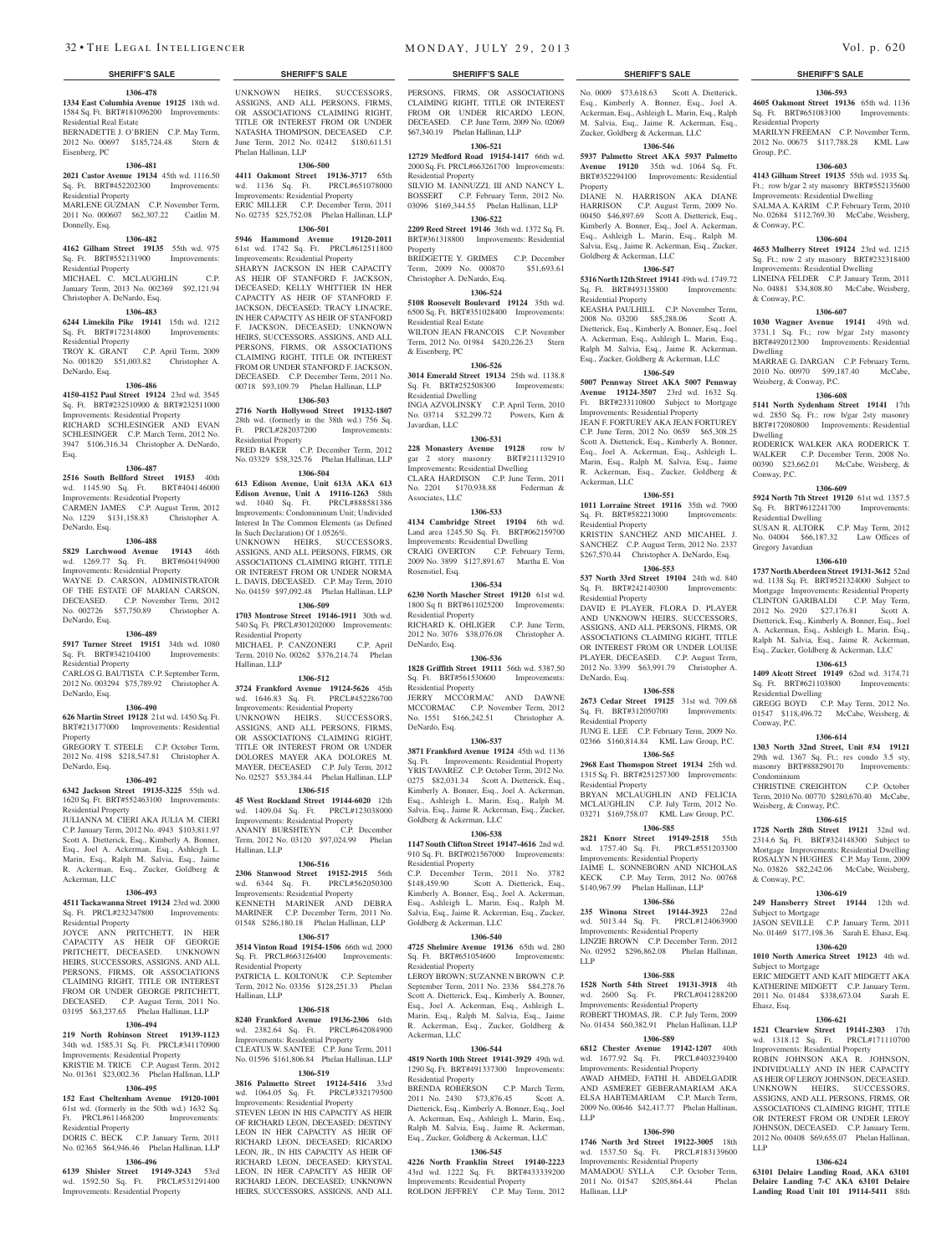#### **1306-478 1334 East Columbia Avenue 19125** 18th wd. 1584 Sq. Ft. BRT#181096200 Improvements:

Residential Real Estate BERNADETTE J. O'BRIEN C.P. May Term, 2012 No. 00697 \$185,724.48 Stern & Eisenberg, PC

#### **1306-481**

**2021 Castor Avenue 19134** 45th wd. 1116.50 Sq. Ft. BRT#452202300 Improvements: Residential Property

MARLENE GUZMAN C.P. November Term, 2011 No. 000607 \$62,307.22 Caitlin M. Donnelly, Esq.

#### **1306-482**

**4162 Gilham Street 19135** 55th wd. 975 Sq. Ft. BRT#552131900 Residential Property

#### MICHAEL C. MCLAUGHLIN C.P. January Term, 2013 No. 002369 \$92,121.94

### Christopher A. DeNardo, Esq. **1306-483**

# **6244 Limekiln Pike 19141** 15th wd. 1212

Sq. Ft. BRT#172314800 Improvements: Residential Property

#### TROY K. GRANT C.P. April Term, 2009 No. 001820 \$51,003.82 Christopher A. DeNardo, Esq.

**1306-486**

#### **4150-4152 Paul Street 19124** 23rd wd. 3545 Sq. Ft. BRT#232510900 & BRT#232511000 Improvements: Residential Property RICHARD SCHLESINGER AND EVAN SCHLESINGER C.P. March Term, 2012 No. 3947 \$106,316.34 Christopher A. DeNardo, Esq.

#### **1306-487**

**2516 South Bellford Street 19153** 40th wd. 1145.90 Sq. Ft. BRT#404146000 Improvements: Residential Property CARMEN JAMES C.P. August Term, 2012 No. 1229 \$131,158.83 Christopher A.

# DeNardo, Esq.

#### **1306-488**

**5829 Larchwood Avenue 19143** 46th<br>wd. 1269.77 Sq. Ft. BRT#604194900 wd. 1269.77 Sq. Ft. Improvements: Residential Property WAYNE D. CARSON, ADMINISTRATOR OF THE ESTATE OF MARIAN CARSON DECEASED. C.P. November Term, 2012 No. 002726 \$57,750.89 Christopher A. DeNardo, Esq.

# **1306-489**

**5917 Turner Street 19151** 34th wd. 1080 Sq. Ft. BRT#342104100 Improvements: Residential Property CARLOS G. BAUTISTA C.P. September Term,

# 2012 No. 003294 \$75,789.92 Christopher A. DeNardo, Esq.

# **1306-490**

**626 Martin Street 19128** 21st wd. 1450 Sq. Ft. BRT#213177000 Improvements: Residential Property GREGORY T. STEELE C.P. October Term,

2012 No. 4198 \$218,547.81 Christopher A. DeNardo, Esq.

### **1306-492**

**6342 Jackson Street 19135-3225** 55th wd. 1620 Sq. Ft. BRT#552463100 Improvements: Residential Property JULIANNA M. CIERI AKA JULIA M. CIERI C.P. January Term, 2012 No. 4943 \$103,811.97 Scott A. Dietterick, Esq., Kimberly A. Bonner, Esq., Joel A. Ackerman, Esq., Ashleigh L. Marin, Esq., Ralph M. Salvia, Esq., Jaime R. Ackerman, Esq., Zucker, Goldberg &

#### **1306-493**

Ackerman, LLC

**4511 Tackawanna Street 19124** 23rd wd. 2000 Sq. Ft. PRCL#232347800 Improvements: Residential Property

JOYCE ANN PRITCHETT, IN HER CAPACITY AS HEIR OF GEORGE PRITCHETT, DECEASED. UNKNOWN HEIRS, SUCCESSORS, ASSIGNS, AND ALL PERSONS, FIRMS, OR ASSOCIATIONS CLAIMING RIGHT, TITLE OR INTEREST FROM OR UNDER GEORGE PRITCHETT DECEASED. C.P. August Term, 2011 No. 03195 \$63,237.65 Phelan Hallinan, LLP

# **1306-494**

**219 North Robinson Street 19139-1123**  wd. 1585.31 Sq. Ft. PRCI Improvements: Residential Property

KRISTIE M. TRICE C.P. August Term, 2012 No. 01361 \$23,002.36 Phelan Hallinan, LLP

# **1306-495**

**152 East Cheltenham Avenue 19120-1001**  61st wd. (formerly in the 50th wd.) 1632 Sq.<br>Ft. PRCL#611468200 Improvements:  $Ft.$  PRCI#611468200 Residential Property

DORIS C. BECK C.P. January Term, 2011 No. 02365 \$64,946.46 Phelan Hallinan, LLP

# **1306-496**

**6139 Shisler Street 19149-3243** 53rd wd. 1592.50 Sq. Ft. PRCL#531291400 Improvements: Residential Property

UNKNOWN HEIRS, SUCCESSORS, ASSIGNS, AND ALL PERSONS, FIRMS, OR ASSOCIATIONS CLAIMING RIGHT, TITLE OR INTEREST FROM OR UNDER NATASHA THOMPSON, DECEASED C.P. June Term, 2012 No. 02412 \$180,611.51 Phelan Hallinan, LLP

#### **1306-500**

**4411 Oakmont Street 19136-3717** 65th wd. 1136 Sq. Ft. PRCL#651078000 Improvements: Residential Property

ERIC MILLER C.P. December Term, 2011 No. 02735 \$25,752.08 Phelan Hallinan, LLP **1306-501 5946 Hammond Avenue 19120-2011**  61st wd. 1742 Sq. Ft. PRCL#612511800 Improvements: Residential Property SHARYN JACKSON IN HER CAPACITY AS HEIR OF STANFORD F. JACKSON, DECEASED; KELLY WHITTIER IN HER CAPACITY AS HEIR OF STANFORD F. JACKSON, DECEASED; TRACY LINACRE, IN HER CAPACITY AS HEIR OF STANFORD F. JACKSON, DECEASED; UNKNOWN HEIRS, SUCCESSORS, ASSIGNS, AND ALL PERSONS, FIRMS, OR ASSOCIATIONS CLAIMING RIGHT, TITLE OR INTEREST FROM OR UNDER STANFORD F. JACKSON,

DECEASED. C.P. December Term, 2011 No. 00718 \$93,109.79 Phelan Hallinan, LLP **1306-503**

**2716 North Hollywood Street 19132-1807**  28th wd. (formerly in the 38th wd.) 756 Sq. Ft. PRCL#282037200 Improvements: Residential Property FRED BAKER C.P. December Term, 2012

No. 03329 \$58,325.76 Phelan Hallinan, LLP **1306-504 613 Edison Avenue, Unit 613A AKA 613** 

**Edison Avenue, Unit A 19116-1263** 58th wd. 1040 Sq. Ft. PRCL#888581386 Improvements: Condomininum Unit; Undivided Interest In The Common Elements (as Defined In Such Declaration) Of 1.0526%. UNKNOWN HEIRS, SUCCESSORS, ASSIGNS, AND ALL PERSONS, FIRMS, OR ASSOCIATIONS CLAIMING RIGHT, TITLE OR INTEREST FROM OR UNDER NORMA L. DAVIS, DECEASED. C.P. May Term, 2010

No. 04159 \$97,092.48 Phelan Hallinan, LLP **1306-509**

**1703 Montrose Street 19146-1911** 30th wd. 540 Sq. Ft. PRCL#301202000 Improvements: Residential Property MICHAEL P. CANZONERI C.P. April Term, 2010 No. 00262 \$376,214.74 Phelan Hallinan, LLP

#### **1306-512**

**3724 Frankford Avenue 19124-5626** 45th wd. 1646.83 Sq. Ft. PRCL#452286700 Improvements: Residential Property UNKNOWN HEIRS, SUCCESSORS, ASSIGNS, AND ALL PERSONS, FIRMS, OR ASSOCIATIONS CLAIMING RIGHT, TITLE OR INTEREST FROM OR UNDER DOLORES MAYER AKA DOLORES M. MAYER, DECEASED C.P. July Term, 2012 No. 02527 \$53,384.44 Phelan Hallinan, LLP

#### **1306-515**

**45 West Rockland Street 19144-6020** 12th wd. 1409.04 Sq. Ft. PRCL#123038000 Improvements: Residential Property<br>ANANIY BURSHTEYN C.P. December ANANIY BURSHTEYN Term, 2012 No. 03120 \$97,024.99 Phelan Hallinan, LLP

#### **1306-516**

**2306 Stanwood Street 19152-2915** 56th<br>wd. 6344 Sq. Ft. PRCL#562050300 wd. 6344 Sq. Ft. Improvements: Residential Property KENNETH MARINER AND DEBRA MARINER C.P. December Term, 2011 No. 01548 \$286,180.18 Phelan Hallinan, LLP

#### **1306-517 3514 Vinton Road 19154-1506** 66th wd. 2000

Hallinan, LLP

Sq. Ft. PRCL#663126400 Improvements: Residential Property PATRICIA L. KOLTONUK C.P. September Term, 2012 No. 03356 \$128,251.33 Phelan

#### **1306-518**

**8240 Frankford Avenue 19136-2306** 64th wd. 2382.64 Sq. Ft. PRCL#642084900 Improvements: Residential Property CLEATUS W. SANTEE C.P. June Term, 2011 No. 01596 \$161,806.84 Phelan Hallinan, LLP

#### **1306-519**

**3816 Palmetto Street 19124-5416** 33rd wd. 1064.05 Sq. Ft. PRCL#332179500 Improvements: Residential Property STEVEN LEON IN HIS CAPACITY AS HEIR OF RICHARD LEON, DECEASED; DESTINY LEON IN HER CAPACITY AS HEIR OF RICHARD LEON, DECEASED; RICARDO LEON, JR., IN HIS CAPACITY AS HEIR OF RICHARD LEON, DECEASED; KRYSTAL LEON, IN HER CAPACITY AS HEIR OF RICHARD LEON, DECEASED; UNKNOWN HEIRS, SUCCESSORS, ASSIGNS, AND ALL

32 • THE LEGAL INTELLIGENCER MONDAY, JULY 29, 2013 Vol. p. 620

#### **SHERIFF'S SALE SHERIFF'S SALE SHERIFF'S SALE SHERIFF'S SALE SHERIFF'S SALE**

PERSONS, FIRMS, OR ASSOCIATIONS CLAIMING RIGHT, TITLE OR INTEREST FROM OR UNDER RICARDO LEON, DECEASED. C.P. June Term, 2009 No. 02069 \$67,340.19 Phelan Hallinan, LLP

### **1306-521 12729 Medford Road 19154-1417** 66th wd. 2000 Sq. Ft. PRCL#663261700 Improvements:

Residential Property SILVIO M. IANNUZZI, III AND NANCY L.<br>BOSSERT C.P. February Term. 2012 No. C.P. February Term, 2012 No. 03096 \$169,344.55 Phelan Hallinan, LLP

# **1306-522**

**2209 Reed Street 19146** 36th wd. 1372 Sq. Ft. BRT#361318800 Improvements: Residential Property

BRIDGETTE Y. GRIMES C.P. December<br>Term. 2009 No. 000870 \$51.693.61 Term, 2009 No. 000870 Christopher A. DeNardo, Esq.

### **1306-524**

**5108 Roosevelt Boulevard 19124** 35th wd. 6500 Sq. Ft. BRT#351028400 Improvements: Residential Real Estate WILTON JEAN FRANCOIS C.P. November Term, 2012 No. 01984 \$420,226.23 Stern & Eisenberg, PC

# **1306-526**

**3014 Emerald Street 19134** 25th wd. 1138.8 Sq. Ft. BRT#252508300 Improvements: Residential Dwelling INGA AZVOLINSKY C.P. April Term, 2010 No. 03714 \$32,299.72 Powers, Kirn & Javardian, LLC

# **1306-531**

**228 Monastery Avenue 19128** row b/ gar 2 story masonry BRT#211132910 Improvements: Residential Dwelling CLARA HARDISON C.P. June Term, 2011<br>No. 2201 \$170,938.88 Federman & No. 2201 \$170,938.88 Associates, LLC

### **1306-533**

**4134 Cambridge Street 19104** 6th wd. Land area 1245.50 Sq. Ft. BRT#062159700 Improvements: Residential Dwelling CRAIG OVERTON C.P. February Term, 2009 No. 3899 \$127,891.67 Martha E. Von Rosenstiel, Esq.

### **1306-534**

**6230 North Mascher Street 19120** 61st wd. 1800 Sq ft BRT#611025200 Improvements: Residential Property RICHARD K. OHLIGER C.P. June Term,

2012 No. 3076 \$38,076.08 Christopher A. DeNardo, Esq. **1306-536**

**1828 Griffith Street 19111** 56th wd. 5387.50 Sq. Ft. BRT#561530600 Improvements: Residential Property JERRY MCCORMAC AND DAWNE

MCCORMAC C.P. November Term, 2012 No. 1551 \$166,242.51 Christopher A. DeNardo, Esq.

# **1306-537**

**3871 Frankford Avenue 19124** 45th wd. 1136 Sq. Ft. Improvements: Residential Property YRIS TAVAREZ C.P. October Term, 2012 No. 0275 \$82,031.34 Scott A. Dietterick, Esq., Kimberly A. Bonner, Esq., Joel A. Ackerman, Esq., Ashleigh L. Marin, Esq., Ralph M. Salvia, Esq., Jaime R. Ackerman, Esq., Zucker, Goldberg & Ackerman, LLC

#### **1306-538 1147 South Clifton Street 19147-4616** 2nd wd.

910 Sq. Ft. BRT#021567000 Improvements: Residential Property C.P. December Term, 2011 No. 3782

\$148,459.90 Scott A. Dietterick, Esq., Kimberly A. Bonner, Esq., Joel A. Ackerman, Esq., Ashleigh L. Marin, Esq., Ralph M. Salvia, Esq., Jaime R. Ackerman, Esq., Zucker, Goldberg & Ackerman, LLC

#### **1306-540**

**4725 Shelmire Avenue 19136** 65th wd. 280 Sq. Ft. BRT#651054600 Improvements: Residential Property

LEROY BROWN; SUZANNE N BROWN C.P. September Term, 2011 No. 2336 \$84,278.76 Scott A. Dietterick, Esq., Kimberly A. Bonner, Esq., Joel A. Ackerman, Esq., Ashleigh L. Marin, Esq., Ralph M. Salvia, Esq., Jaime R. Ackerman, Esq., Zucker, Goldberg & Ackerman, LLC

#### **1306-544**

**4819 North 10th Street 19141-3929** 49th wd. 1290 Sq. Ft. BRT#491337300 Improvements: Residential Property

BRENDA ROBERSON C.P. March Term, 2011 No. 2430 \$73,876.45 Scott A. Dietterick, Esq., Kimberly A. Bonner, Esq., Joel A. Ackerman, Esq., Ashleigh L. Marin, Esq., Ralph M. Salvia, Esq., Jaime R. Ackerman, Esq., Zucker, Goldberg & Ackerman, LLC

#### **1306-545**

**4226 North Franklin Street 19140-2223**  43rd wd. 1222 Sq. Ft. BRT#433339200 Improvements: Residential Property ROLDON JEFFREY C.P. May Term, 2012

**1306-593 4605 Oakmont Street 19136** 65th wd. 1136 Sq. Ft. BRT#651083100 Improvements:

MARILYN FREEMAN C.P. November Term, 2012 No. 00675 \$117,788.28 KML Law

**1306-603 4143 Gilham Street 19135** 55th wd. 1935 Sq. Ft.; row b/gar 2 sty masonry BRT#552135600 Improvements: Residential Dwelling SALMA A. KARIM C.P. February Term, 2010 No. 02684 \$112,769.30 McCabe, Weisberg,

**1306-604 4653 Mulberry Street 19124** 23rd wd. 1215 Sq. Ft.; row 2 sty masonry BRT#232318400 Improvements: Residential Dwelling LINEINA FELDER C.P. January Term, 2011 No. 04881 \$34,808.80 McCabe, Weisberg,

**1306-607 1030 Wagner Avenue 19141** 49th wd. 3731.1 Sq. Ft.; row b/gar 2sty masonry BRT#492012300 Improvements: Residential

MARRAE G. DARGAN C.P. February Term, 2010 No. 00970 \$99,187.40 McCabe,

**1306-608 5141 North Sydenham Street 19141** 17th wd. 2850 Sq. Ft.; row b/gar 2sty masonry BRT#172080800 Improvements: Residential

RODERICK WALKER AKA RODERICK T. WALKER C.P. December Term, 2008 No. 00390 \$23,662.01 McCabe, Weisberg, &

**1306-609 5924 North 7th Street 19120** 61st wd. 1357.5<br> **Sq. Ft. BRT#612241700** Improvements:

SUSAN R. ALTORK C.P. May Term, 2012 No. 04004 \$66,187.32 Law Offices of

**1306-610 1737 North Aberdeen Street 19131-3612** 52nd wd. 1138 Sq. Ft. BRT#521324000 Subject to Mortgage Improvements: Residential Property CLINTON GARIBALDI C.P. May Term, 2012 No. 2920 \$27,176.81 Scott A. Dietterick, Esq., Kimberly A. Bonner, Esq., Joel A. Ackerman, Esq., Ashleigh L. Marin, Esq., Ralph M. Salvia, Esq., Jaime R. Ackerman, Esq., Zucker, Goldberg & Ackerman, LLC **1306-613 1409 Alcott Street 19149** 62nd wd. 3174.71 Sq. Ft. BRT#621103800 Improvements:

GREGG BOYD C.P. May Term, 2012 No. 01547 \$118,496.72 McCabe, Weisberg, &

**1306-614 1303 North 32nd Street, Unit #34 19121**  29th wd. 1367 Sq. Ft.; res condo 3.5 sty, masonry BRT#888290170 Improvements:

CHRISTINE CREIGHTON C.P. October Term, 2010 No. 00770 \$280,670.40 McCabe,

**1306-615 1728 North 28th Street 19121** 32nd wd. 2314.6 Sq. Ft. BRT#324148300 Subject to Mortgage Improvements: Residential Dwelling ROSALYN N HUGHES C.P. May Term, 2009 No. 03826 \$82,242.06 McCabe, Weisberg,

**1306-619 249 Hansberry Street 19144** 12th wd.

JASON SEVILLE C.P. January Term, 2011 No. 01469 \$177,198.36 Sarah E. Ehasz, Esq. **1306-620 1010 North America Street 19123** 4th wd.

ERIC MIDGETT AND KAIT MIDGETT AKA KATHERINE MIDGETT C.P. January Term, 2011 No. 01484 \$338,673.04 Sarah E.

**1306-621 1521 Clearview Street 19141-2303** 17th wd. 1318.12 Sq. Ft. PRCL#171110700 Improvements: Residential Property ROBIN JOHNSON AKA R. JOHNSON, INDIVIDUALLY AND IN HER CAPACITY AS HEIR OF LEROY JOHNSON, DECEASED. UNKNOWN HEIRS, SUCCESSORS, ASSIGNS, AND ALL PERSONS, FIRMS, OR ASSOCIATIONS CLAIMING RIGHT, TITLE OR INTEREST FROM OR UNDER LEROY JOHNSON, DECEASED. C.P. January Term, 2012 No. 00408 \$69,655.07 Phelan Hallinan,

**1306-624 63101 Delaire Landing Road, AKA 63101 Delaire Landing 7-C AKA 63101 Delaire Landing Road Unit 101 19114-5411** 88th

Residential Property

Group, P.C.

& Conway, P.C.

& Conway, P.C.

Weisberg, & Conway, P.C.

Sq. Ft. BRT#612241700 Residential Dwelling

Dwelling

Dwelling

Conway, P.C.

Gregory Javardian

Residential Dwelling

Conway, P.C.

Condominium

& Conway, P.C.

Subject to Mortgage

Subject to Mortgage

Ehasz, Esq.

LLP

Weisberg, & Conway, P.C.

No. 0009 \$73,618.63 Scott A. Dietterick, Esq., Kimberly A. Bonner, Esq., Joel A. Ackerman, Esq., Ashleigh L. Marin, Esq., Ralph M. Salvia, Esq., Jaime R. Ackerman, Esq., Zucker, Goldberg & Ackerman, LLC **1306-546**

**5937 Palmetto Street AKA 5937 Palmetto Avenue 19120** 35th wd. 1064 Sq. Ft. BRT#352294100 Improvements: Residential

DIANE N. HARRISON AKA DIANE HARRISON C.P. August Term, 2009 No. 00450 \$46,897.69 Scott A. Dietterick, Esq., Kimberly A. Bonner, Esq., Joel A. Ackerman, Esq., Ashleigh L. Marin, Esq., Ralph M. Salvia, Esq., Jaime R. Ackerman, Esq., Zucker,

**1306-547 5316 North 12th Street 19141** 49th wd. 1749.72 Sq. Ft. BRT#493135800 Improvements:

KEASHA PAULHILL C.P. November Term, 2008 No. 03200 \$85,288.06 Scott A. Dietterick, Esq., Kimberly A. Bonner, Esq., Joel A. Ackerman, Esq., Ashleigh L. Marin, Esq., Ralph M. Salvia, Esq., Jaime R. Ackerman, Esq., Zucker, Goldberg & Ackerman, LLC **1306-549 5007 Pennway Street AKA 5007 Pennway Avenue 19124-3507** 23rd wd. 1632 Sq. Ft. BRT#233110800 Subject to Mortgage Improvements: Residential Property JEAN F. FORTUREY AKA JEAN FORTUREY C.P. June Term, 2012 No. 0659 \$65,308.25 Scott A. Dietterick, Esq., Kimberly A. Bonner, Esq., Joel A. Ackerman, Esq., Ashleigh L. Marin, Esq., Ralph M. Salvia, Esq., Jaime R. Ackerman, Esq., Zucker, Goldberg &

**1306-551 1011 Lorraine Street 19116** 35th wd. 7900<br>Sq. Ft. BRT#582213000 Improvements:

KRISTIN SANCHEZ AND MICAHEL J. SANCHEZ C.P. August Term, 2012 No. 2337 \$267,570.44 Christopher A. DeNardo, Esq. **1306-553 537 North 33rd Street 19104** 24th wd. 840 Sq. Ft. BRT#242140300 Improvements:

DAVID E PLAYER, FLORA D. PLAYER AND UNKNOWN HEIRS, SUCCESSORS, ASSIGNS, AND ALL PERSONS, FIRMS, OR ASSOCIATIONS CLAIMING RIGHT, TITLE OR INTEREST FROM OR UNDER LOUISE PLAYER, DECEASED. C.P. August Term, 2012 No. 3399 \$63,991.79 Christopher A.

**1306-558 2673 Cedar Street 19125** 31st wd. 709.68 Sq. Ft. BRT#312050700 Improvements:

JUNG E. LEE C.P. February Term, 2009 No. 02366 \$160,814.84 KML Law Group, P.C. **1306-565 2968 East Thomspon Street 19134** 25th wd. 1315 Sq. Ft. BRT#251257300 Improvements:

BRYAN MCLAUGHLIN AND FELICIA MCLAUGHLIN C.P. July Term, 2012 No. 03271 \$169,758.07 KML Law Group, P.C. **1306-585 2821 Knorr Street 19149-2518** 55th wd. 1757.40 Sq. Ft. PRCL#551203300 Improvements: Residential Property JAIME L. SONNEBORN AND NICHOLAS KECK C.P. May Term, 2012 No. 00768 \$140,967.99 Phelan Hallinan, LLP **1306-586 235 Winona Street 19144-3923** 22nd wd. 5013.44 Sq. Ft. PRCL#124063900 Improvements: Residential Property LINZIE BROWN C.P. December Term, 2012 No. 02952 \$296,862.08 Phelan Hallinan,

**1306-588 1528 North 54th Street 19131-3918** 4th wd. 2600 Sq. Ft. PRCL#041288200 Improvements: Residential Property ROBERT THOMAS, JR. C.P. July Term, 2009 No. 01434 \$60,382.91 Phelan Hallinan, LLP **1306-589 6812 Chester Avenue 19142-1207** 40th wd. 1677.92 Sq. Ft. PRCL#403239400 Improvements: Residential Property AWAD AHMED, FATHI H. ABDELGADIR AND ASMERET GEBERAMARIAM AKA ELSA HABTEMARIAM C.P. March Term, 2009 No. 00646 \$42,417.77 Phelan Hallinan,

**1306-590 1746 North 3rd Street 19122-3005** 18th wd. 1537.50 Sq. Ft. PRCL#183139600 Improvements: Residential Property MAMADOU SYLLA C.P. October Term, 2011 No. 01547 \$205,864.44 Phelan

Goldberg & Ackerman, LLC

Residential Property

Ackerman, LLC

Sq. Ft. BRT#582213000 Residential Property

Residential Property

DeNardo, Esq.

Residential Property

Residential Property

LLP

LLP

Hallinan, LLP

Property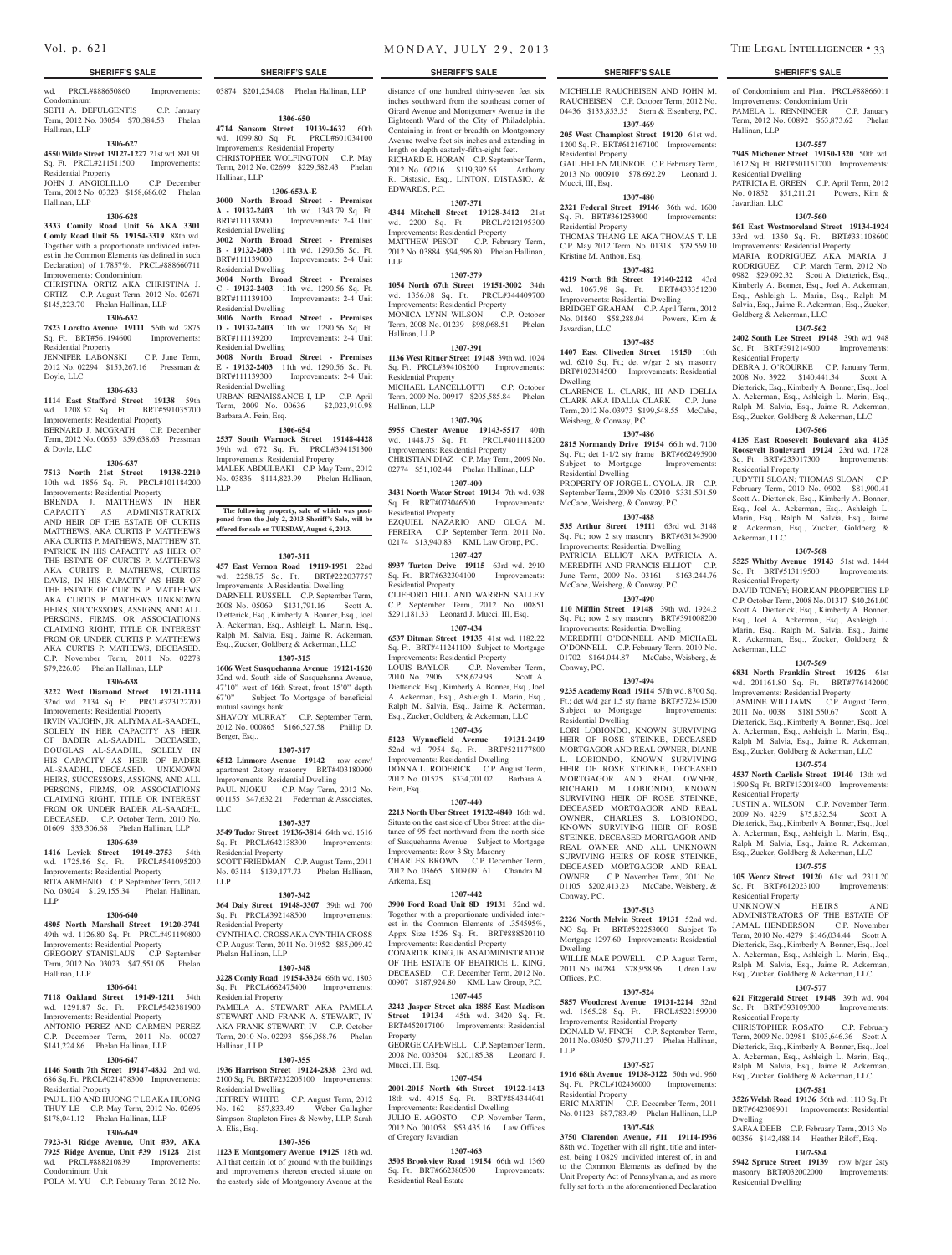wd. PRCL#888650860 Improvements: Condominium SETH A. DEFULGENTIS C.P. January Term, 2012 No. 03054 \$70,384.53 Phelan

03874 \$201,254.08 Phelan Hallinan, LLP

**1306-650 4714 Sansom Street 19139-4632** 60th wd. 1099.80 Sq. Ft. PRCL#601034100 Improvements: Residential Property CHRISTOPHER WOLFINGTON C.P. May Term, 2012 No. 02699 \$229,582.43 Phelan

**1306-653A-E 3000 North Broad Street - Premises A - 19132-2403** 11th wd. 1343.79 Sq. Ft. BRT#111138900 Improvements: 2-4 Unit

**3002 North Broad Street - Premises B - 19132-2403** 11th wd. 1290.56 Sq. Ft. BRT#111139000 Improvements: 2-4 Unit

**3004 North Broad Street - Premises C - 19132-2403** 11th wd. 1290.56 Sq. Ft. BRT#111139100 Improvements: 2-4 Unit

**3006 North Broad Street - Premises D - 19132-2403** 11th wd. 1290.56 Sq. Ft. BRT#111139200 Improvements: 2-4 Unit

**3008 North Broad Street - Premises E - 19132-2403** 11th wd. 1290.56 Sq. Ft.<br>BRT#111139300 Improvements: 2-4 Unit

URBAN RENAISSANCE I, LP C.P. April Term, 2009 No. 00636 \$2,023,910.98

**1306-654 2537 South Warnock Street 19148-4428**  39th wd. 672 Sq. Ft. PRCL#394151300 Improvements: Residential Property MALEK ABDULBAKI C.P. May Term, 2012 No. 03836 \$114,823.99 Phelan Hallinan,

**The following property, sale of which was postponed from the July 2, 2013 Sheriff's Sale, will be offered for sale on TUESDAY, August 6, 2013.**

**1307-311 457 East Vernon Road 19119-1951** 22nd wd. 2258.75 Sq. Ft. BRT#222037757 Improvements: A Residential Dwelling DARNELL RUSSELL C.P. September Term, 2008 No. 05069 \$131,791.16 Scott A. Dietterick, Esq., Kimberly A. Bonner, Esq., Joel A. Ackerman, Esq., Ashleigh L. Marin, Esq., Ralph M. Salvia, Esq., Jaime R. Ackerman, Esq., Zucker, Goldberg & Ackerman, LLC **1307-315 1606 West Susquehanna Avenue 19121-1620**  32nd wd. South side of Susquehanna Avenue, 47'10" west of 16th Street, front 15'0" depth 67'0" Subject To Mortgage of beneficial Subject To Mortgage of beneficial

SHAVOY MURRAY C.P. September Term, 2012 No. 000865 \$166,527.58 Phillip D.

**1307-317 6512 Linmore Avenue 19142** row conv/ apartment 2story masonry BRT#403180900 Improvements: Residential Dwelling PAUL NJOKU C.P. May Term, 2012 No. 001155 \$47,632.21 Federman & Associates,

**1307-337 3549 Tudor Street 19136-3814** 64th wd. 1616 Sq. Ft. PRCL#642138300 Improvements:

SCOTT FRIEDMAN C.P. August Term, 2011 No. 03114 \$139,177.73 Phelan Hallinan,

**1307-342 364 Daly Street 19148-3307** 39th wd. 700 Sq. Ft. PRCL#392148500 Improvements:

CYNTHIA C. CROSS AKA CYNTHIA CROSS C.P. August Term, 2011 No. 01952 \$85,009.42

**1307-348 3228 Comly Road 19154-3324** 66th wd. 1803 Sq. Ft. PRCL#662475400 Improvements:

PAMELA A. STEWART AKA PAMELA STEWART AND FRANK A. STEWART, IV AKA FRANK STEWART, IV C.P. October Term, 2010 No. 02293 \$66,058.76 Phelan

**1307-355 1936 Harrison Street 19124-2838** 23rd wd. 2100 Sq. Ft. BRT#232205100 Improvements:

JEFFREY WHITE C.P. August Term, 2012 No. 162 \$57,833.49 Weber Gallagher Simpson Stapleton Fires & Newby, LLP, Sarah

**1307-356 1123 E Montgomery Avenue 19125** 18th wd. All that certain lot of ground with the buildings and improvements thereon erected situate on the easterly side of Montgomery Avenue at the

Improvements: 2-4 Unit

Hallinan, LLP

Residential Dwelling

Residential Dwelling

Residential Dwelling

Residential Dwelling

Residential Dwelling

Barbara A. Fein, Esq.

mutual savings bank

Residential Property

Residential Property

Phelan Hallinan, LLP

Residential Property

Residential Dwelling

Hallinan, LLP

A. Elia, Esq.

Berger, Esq.,

LLC

LLP

LLP

# Hallinan, LLP **1306-627**

# **4550 Wilde Street 19127-1227** 21st wd. 891.91

Sq. Ft. PRCL#211511500 Improvements:

Residential Property JOHN J. ANGIOLILLO C.P. December Term, 2012 No. 03323 \$158,686.02 Phelan Hallinan, LLP

#### **1306-628**

#### **3333 Comily Road Unit 56 AKA 3301 Comly Road Unit 56 19154-3319** 88th wd. Together with a proportionate undivided interest in the Common Elements (as defined in such Declaration) of 1.7857%. PRCL#888660711

Improvements: Condominium CHRISTINA ORTIZ AKA CHRISTINA J. ORTIZ C.P. August Term, 2012 No. 02671 \$145,223.70 Phelan Hallinan, LLP

# **1306-632**

**7823 Loretto Avenue 19111** 56th wd. 2875

Sq. Ft. BRT#561194600 Improvements: Residential Property JENNIFER LABONSKI C.P. June Term, 2012 No. 02294 \$153,267.16 Pressman &

Doyle, LLC **1306-633**

**1114 East Stafford Street 19138** 59th wd. 1208.52 Sq. Ft. BRT#591035700 Mu. 1200.32 5q. 1. 200.32 BERNARD J. MCGRATH C.P. December Term, 2012 No. 00653 \$59,638.63 Pressman & Doyle, LLC

#### **1306-637**

**7513 North 21st Street 19138-2210**  10th wd. 1856 Sq. Ft. PRCL#101184200 Improvements: Residential Property BRENDA J. MATTHEWS IN HER CAPACITY AS ADMINISTRATRIX AND HEIR OF THE ESTATE OF CURTIS MATTHEWS, AKA CURTIS P. MATTHEWS AKA CURTIS P. MATHEWS, MATTHEW ST. PATRICK IN HIS CAPACITY AS HEIR OF THE ESTATE OF CURTIS P. MATTHEWS AKA CURITS P. MATHEWS, CURTIS DAVIS, IN HIS CAPACITY AS HEIR OF THE ESTATE OF CURTIS P. MATTHEWS AKA CURTIS P. MATHEWS UNKNOWN HEIRS, SUCCESSORS, ASSIGNS, AND ALL PERSONS, FIRMS, OR ASSOCIATIONS CLAIMING RIGHT, TITLE OR INTEREST FROM OR UNDER CURTIS P. MATTHEWS AKA CURTIS P. MATHEWS, DECEASED. C.P. November Term, 2011 No. 02278 \$79,226.03 Phelan Hallinan, LLP

#### **1306-638**

**3222 West Diamond Street 19121-1114**  32nd wd. 2134 Sq. Ft. PRCL#323122700 Improvements: Residential Property

IRVIN VAUGHN, JR, ALIYMA AL-SAADHL, SOLELY IN HER CAPACITY AS HEIR OF BADER AL-SAADHL, DECEASED, DOUGLAS AL-SAADHL, SOLELY IN HIS CAPACITY AS HEIR OF BADER AL-SAADHL, DECEASED. UNKNOWN HEIRS, SUCCESSORS, ASSIGNS, AND ALL PERSONS, FIRMS, OR ASSOCIATIONS CLAIMING RIGHT, TITLE OR INTEREST FROM OR UNDER BADER AL-SAADHL, DECEASED. C.P. October Term, 2010 No. 01609 \$33,306.68 Phelan Hallinan, LLP

### **1306-639**

**1416 Levick Street 19149-2753** 54th wd. 1725.86 Sq. Ft. PRCL#541095200 Improvements: Residential Property RITA ARMENIO C.P. September Term, 2012 No. 03024 \$129,155.34 Phelan Hallinan,

#### **1306-640**

LLP

**4805 North Marshall Street 19120-3741**  49th wd. 1126.80 Sq. Ft. PRCL#491190800

Improvements: Residential Property GREGORY STANISLAUS C.P. September Term, 2012 No. 03023 \$47,551.05 Phelan Hallinan, LLP

#### **1306-641**

**7118 Oakland Street 19149-1211** 54th wd. 1291.87 Sq. Ft. PRCL#542381900 Improvements: Residential Property ANTONIO PEREZ AND CARMEN PEREZ

C.P. December Term, 2011 No. 00027 \$141,224.86 Phelan Hallinan, LLP

# **1306-647**

**1146 South 7th Street 19147-4832** 2nd wd. 686 Sq. Ft. PRCL#021478300 Improvements: Residential Property PAU L. HO AND HUONG T LE AKA HUONG THUY LE C.P. May Term, 2012 No. 02696

### \$178,041.12 Phelan Hallinan, LLP **1306-649**

**7923-31 Ridge Avenue, Unit #39, AKA 7925 Ridge Avenue, Unit #39 19128** 21st wd. PRCL#888210839 Condominium Unit

POLA M. YU C.P. February Term, 2012 No.

#### **SHERIFF'S SALE SHERIFF'S SALE SHERIFF'S SALE SHERIFF'S SALE SHERIFF'S SALE**

distance of one hundred thirty-seven feet six inches southward from the southeast corner of Girard Avenue and Montgomery Avenue in the Eighteenth Ward of the City of Philadelphia. Containing in front or breadth on Montgomery Avenue twelve feet six inches and extending in length or depth easterly-fifth-eight feet. RICHARD E. HORAN C.P. September Term,

2012 No. 00216 \$119,392.65 Anthony R. Distasio, Esq., LINTON, DISTASIO, & EDWARDS, P.C. **1307-371**

**4344 Mitchell Street 19128-3412** 21st wd. 2200 Sq. Ft. PRCL#212195300 Improvements: Residential Property MATTHEW PESOT C.P. February Term, 2012 No. 03884 \$94,596.80 Phelan Hallinan, LLP

#### **1307-379**

**1054 North 67th Street 19151-3002** 34th wd. 1356.08 Sq. Ft. PRCL#344409700 Improvements: Residential Property MONICA LYNN WILSON C.P. October

Term, 2008 No. 01239 \$98,068.51 Phelan Hallinan, LLP **1307-391**

**1136 West Ritner Street 19148** 39th wd. 1024 Sq. Ft. PRCL#394108200 Improvements: Residential Property MICHAEL LANCELLOTTI C.P. October

Term, 2009 No. 00917 \$205,585.84 Phelan Hallinan, LLP **1307-396**

**5955 Chester Avenue 19143-5517** 40th wd. 1448.75 Sq. Ft. PRCL#401118200 Improvements: Residential Property CHRISTIAN DIAZ C.P. May Term, 2009 No. 02774 \$51,102.44 Phelan Hallinan, LLP

# **1307-400**

**3431 North Water Street 19134** 7th wd. 938 Sq. Ft. BRT#073046500 Improvements: Residential Property

EZQUIEL NAZARIO AND OLGA M. PEREIRA C.P. September Term, 2011 No. 02174 \$13,940.83 KML Law Group, P.C. **1307-427**

**8937 Turton Drive 19115** 63rd wd. 2910

Sq. Ft. BRT#632304100 Improvements: Residential Property CLIFFORD HILL AND WARREN SALLEY C.P. September Term, 2012 No. 00851 \$291,181.33 Leonard J. Mucci, III, Esq.

#### **1307-434**

**6537 Ditman Street 19135** 41st wd. 1182.22 Sq. Ft. BRT#411241100 Subject to Mortgage Improvements: Residential Property LOUIS BAYLOR C.P. November Term, 2010 No. 2906 \$58,629.93 Scott A. Dietterick, Esq., Kimberly A. Bonner, Esq., Joel A. Ackerman, Esq., Ashleigh L. Marin, Esq., Ralph M. Salvia, Esq., Jaime R. Ackerman, Esq., Zucker, Goldberg & Ackerman, LLC

### **1307-436**

**5123 Wynnefield Avenue 19131-2419**  52nd wd. 7954 Sq. Ft. BRT#521177800 Improvements: Residential Dwelling DONNA L. RODERICK C.P. August Term, 2012 No. 01525 \$334,701.02 Barbara A. Fein, Esq.

#### **1307-440**

**2213 North Uber Street 19132-4840** 16th wd. Situate on the east side of Uber Street at the distance of 95 feet northward from the north side of Susquehanna Avenue Subject to Mortgage Improvements: Row 3 Sty Masonry CHARLES BROWN C.P. December Term, 2012 No. 03665 \$109,091.61 Chandra M. Arkema, Esq.

#### **1307-442**

**3900 Ford Road Unit 8D 19131** 52nd wd. Together with a proportionate undivided interest in the Common Elements of .354595%, Appx Size 1526 Sq. Ft. BRT#888520110 Improvements: Residential Property CONARD K. KING, JR. AS ADMINISTRATOR OF THE ESTATE OF BEATRICE L. KING, DECEASED. C.P. December Term, 2012 No. 00907 \$187,924.80 KML Law Group, P.C.

#### **1307-445**

**3242 Jasper Street aka 1885 East Madison Street 19134** 45th wd. 3420 Sq. Ft. BRT#452017100 Improvements: Residential Property

GEORGE CAPEWELL C.P. September Term, 2008 No. 003504 \$20,185.38 Leonard J. Mucci, III, Esq.

#### **1307-454**

**2001-2015 North 6th Street 19122-1413**  18th wd. 4915 Sq. Ft. BRT#884344041 Improvements: Residential Dwelling JULIO E. AGOSTO C.P. November Term, 2012 No. 001058 \$53,435.16 Law Offices of Gregory Javardian

### **1307-463**

**3505 Brookview Road 19154** 66th wd. 1360 Sq. Ft. BRT#662380500 Improvements: Residential Real Estate

RAUCHEISEN C.P. October Term, 2012 No.

# MICHELLE RAUCHEISEN AND JOHN M.

04436 \$133,853.55 Stern & Eisenberg, P.C. **1307-469 205 West Champlost Street 19120** 61st wd. 1200 Sq. Ft. BRT#612167100 Improvements: Residential Property

GAIL HELEN MUNROE C.P. February Term, 2013 No. 000910 \$78,692.29 Leonard J. Mucci, III, Esq. **1307-480**

**2321 Federal Street 19146** 36th wd. 1600<br>Sq. Ft. BRT#361253900 Improvements: Sq. Ft. BRT#361253900 Residential Property THOMAS THANG LE AKA THOMAS T. LE C.P. May 2012 Term, No. 01318 \$79,569.10 Kristine M. Anthou, Esq.

# **1307-482**

**4219 North 8th Street 19140-2212** 43rd wd. 1067.98 Sq. Ft. BRT#433351200 Improvements: Residential Dwelling BRIDGET GRAHAM C.P. April Term, 2012 No. 01860 \$58,288.04 Powers, Kirn & Javardian, LLC

#### **1307-485**

**1407 East Cliveden Street 19150** 10th wd. 6210 Sq. Ft.; det w/gar 2 sty masonry BRT#102314500 Improvements: Residential Dwelling

CLARENCE L. CLARK, III AND IDELIA CLARK AKA IDALIA CLARK C.P. June Term, 2012 No. 03973 \$199,548.55 McCabe, Weisberg, & Conway, P.C.

# **1307-486**

**2815 Normandy Drive 19154** 66th wd. 7100 Sq. Ft.; det 1-1/2 sty frame BRT#662495900 Subject to Mortgage Improvements: Residential Dwelling PROPERTY OF JORGE L. OYOLA, JR C.P. September Term, 2009 No. 02910 \$331,501.59 McCabe, Weisberg, & Conway, P.C.

# **1307-488**

**535 Arthur Street 19111** 63rd wd. 3148 Sq. Ft.; row 2 sty masonry BRT#631343900 Improvements: Residential Dwelling PATRICIA ELLIOT AKA PATRICIA A. MEREDITH AND FRANCIS ELLIOT C.P. June Term, 2009 No. 03161 \$163,244.76 McCabe, Weisberg, & Conway, P.C.

# **1307-490**

**110 Mifflin Street 19148** 39th wd. 1924.2 Sq. Ft.; row 2 sty masonry BRT#391008200 Improvements: Residential Dwelling MEREDITH O'DONNELL AND MICHAEL O'DONNELL C.P. February Term, 2010 No. 01702 \$164,044.87 McCabe, Weisberg, & Conway, P.C.

### **1307-494**

**9235 Academy Road 19114** 57th wd. 8700 Sq. Ft.; det w/d gar 1.5 sty frame BRT#572341500 Subject to Mortgage Improvements: Residential Dwelling

LORI LOBIONDO, KNOWN SURVIVING HEIR OF ROSE STEINKE, DECEASED MORTGAGOR AND REAL OWNER, DIANE L. LOBIONDO, KNOWN SURVIVING HEIR OF ROSE STEINKE, DECEASED MORTGAGOR AND REAL OWNER, RICHARD M. LOBIONDO, KNOWN SURVIVING HEIR OF ROSE STEINKE, DECEASED MORTGAGOR AND REAL OWNER, CHARLES S. LOBIONDO, KNOWN SURVIVING HEIR OF ROSE STEINKE, DECEASED MORTGAGOR AND REAL OWNER AND ALL UNKNOWN SURVIVING HEIRS OF ROSE STEINKE, DECEASED MORTGAGOR AND REAL OWNER. C.P. November Term, 2011 No. 01105 \$202,413.23 McCabe, Weisberg, & Conway, P.C.

#### **1307-513**

**2226 North Melvin Street 19131** 52nd wd. NO Sq. Ft. BRT#522253000 Subject To Mortgage 1297.60 Improvements: Residential

Dwelling WILLIE MAE POWELL C.P. August Term, 2011 No. 04284 \$78,958.96 Udren Law Offices, P.C.

#### **1307-524**

**5857 Woodcrest Avenue 19131-2214** 52nd wd. 1565.28 Sq. Ft. PRCL#522159900 Improvements: Residential Property DONALD W. FINCH C.P. September Term, 2011 No. 03050 \$79,711.27 Phelan Hallinan, LLP

#### **1307-527**

**1916 68th Avenue 19138-3122** 50th wd. 960 Sq. Ft. PRCL#102436000 Improvements: Residential Property<br>FRIC MARTIN (

ERIC MARTIN C.P. December Term, 2011 No. 01123 \$87,783.49 Phelan Hallinan, LLP **1307-548**

**3750 Clarendon Avenue, #11 19114-1936**  88th wd. Together with all right, title and interest, being 1.0829 undivided interest of, in and to the Common Elements as defined by the Unit Property Act of Pennsylvania, and as more fully set forth in the aforementioned Declaration

of Condominium and Plan. PRCL#88866011 Improvements: Condominium Unit PAMELA L. RENNINGER C.P. January Term, 2012 No. 00892 \$63,873.62 Phelan Hallinan, LLP

#### **1307-557**

Javardian, LLC

Goldberg & Ackerman, LLC

Residential Property

Residential Property

Ackerman, LLC

Residential Property

Ackerman, LLC

Residential Property

Residential Property<br>UNKNOWN

Residential Property

Dwelling

**7945 Michener Street 19150-1320** 50th wd. 1612 Sq. Ft. BRT#501151700 Improvements: Residential Dwelling PATRICIA E. GREEN C.P. April Term, 2012

No. 01852 \$51,211.21 Powers, Kirn &

**1307-560 861 East Westmoreland Street 19134-1924**  33rd wd. 1350 Sq. Ft. BRT#331108600 Improvements: Residential Property MARIA RODRIGUEZ AKA MARIA J. RODRIGUEZ C.P. March Term, 2012 No. 0982 \$29,092.32 Scott A. Dietterick, Esq., Kimberly A. Bonner, Esq., Joel A. Ackerman, Esq., Ashleigh L. Marin, Esq., Ralph M. Salvia, Esq., Jaime R. Ackerman, Esq., Zucker,

**1307-562 2402 South Lee Street 19148** 39th wd. 948 Sq. Ft. BRT#391214900 Improvements:

DEBRA J. O'ROURKE C.P. January Term, 2008 No. 3922 \$140,441.34 Scott A. Dietterick, Esq., Kimberly A. Bonner, Esq., Joel A. Ackerman, Esq., Ashleigh L. Marin, Esq., Ralph M. Salvia, Esq., Jaime R. Ackerman, Esq., Zucker, Goldberg & Ackerman, LLC **1307-566 4135 East Roosevelt Boulevard aka 4135 Roosevelt Boulevard 19124** 23rd wd. 1728 Sq. Ft. BRT#233017300 Improvements:

JUDYTH SLOAN; THOMAS SLOAN C.P. February Term, 2010 No. 0902 \$81,900.41 Scott A. Dietterick, Esq., Kimberly A. Bonner, Esq., Joel A. Ackerman, Esq., Ashleigh L. Marin, Esq., Ralph M. Salvia, Esq., Jaime R. Ackerman, Esq., Zucker, Goldberg &

**1307-568 5525 Whitby Avenue 19143** 51st wd. 1444 Sq. Ft. BRT#513119500 Improvements:

DAVID TONEY; HORKAN PROPERTIES LP C.P. October Term, 2008 No. 01317 \$40,261.00 Scott A. Dietterick, Esq., Kimberly A. Bonner, Esq., Joel A. Ackerman, Esq., Ashleigh L. Marin, Esq., Ralph M. Salvia, Esq., Jaime R. Ackerman, Esq., Zucker, Goldberg &

**1307-569 6831 North Franklin Street 19126** 61st wd. 201161.80 Sq. Ft. BRT#776142000 Improvements: Residential Property JASMINE WILLIAMS C.P. August Term,<br>2011 No. 0038 \$181.550.67 Scott A. 2011 No. 0038 \$181,550.67 Dietterick, Esq., Kimberly A. Bonner, Esq., Joel A. Ackerman, Esq., Ashleigh L. Marin, Esq., Ralph M. Salvia, Esq., Jaime R. Ackerman, Esq., Zucker, Goldberg & Ackerman, LLC **1307-574 4537 North Carlisle Street 19140** 13th wd. 1599 Sq. Ft. BRT#132018400 Improvements:

JUSTIN A. WILSON C.P. November Term, 2009 No. 4239 \$75,832.54 Scott A. Dietterick, Esq., Kimberly A. Bonner, Esq., Joel A. Ackerman, Esq., Ashleigh L. Marin, Esq., Ralph M. Salvia, Esq., Jaime R. Ackerman, Esq., Zucker, Goldberg & Ackerman, LLC **1307-575 105 Wentz Street 19120** 61st wd. 2311.20 Sq. Ft. BRT#612023100 Improvements:

UNKNOWN HEIRS AND ADMINISTRATORS OF THE ESTATE OF JAMAL HENDERSON C.P. November Term, 2010 No. 4279 \$146,034.44 Scott A. Dietterick, Esq., Kimberly A. Bonner, Esq., Joel A. Ackerman, Esq., Ashleigh L. Marin, Esq., Ralph M. Salvia, Esq., Jaime R. Ackerman, Esq., Zucker, Goldberg & Ackerman, LLC **1307-577 621 Fitzgerald Street 19148** 39th wd. 904 Sq. Ft. BRT#393109300 Improvements:

CHRISTOPHER ROSATO C.P. February Term, 2009 No. 02981 \$103,646.36 Scott A. Dietterick, Esq., Kimberly A. Bonner, Esq., Joel A. Ackerman, Esq., Ashleigh L. Marin, Esq., Ralph M. Salvia, Esq., Jaime R. Ackerman, Esq., Zucker, Goldberg & Ackerman, LLC **1307-581 3526 Welsh Road 19136** 56th wd. 1110 Sq. Ft. BRT#642308901 Improvements: Residential

SAFAA DEEB C.P. February Term, 2013 No. 00356 \$142,488.14 Heather Riloff, Esq. **1307-584 5942 Spruce Street 19139** row b/gar 2sty masonry BRT#032002000 Improvements:

masonry BRT#032002000 Residential Dwelling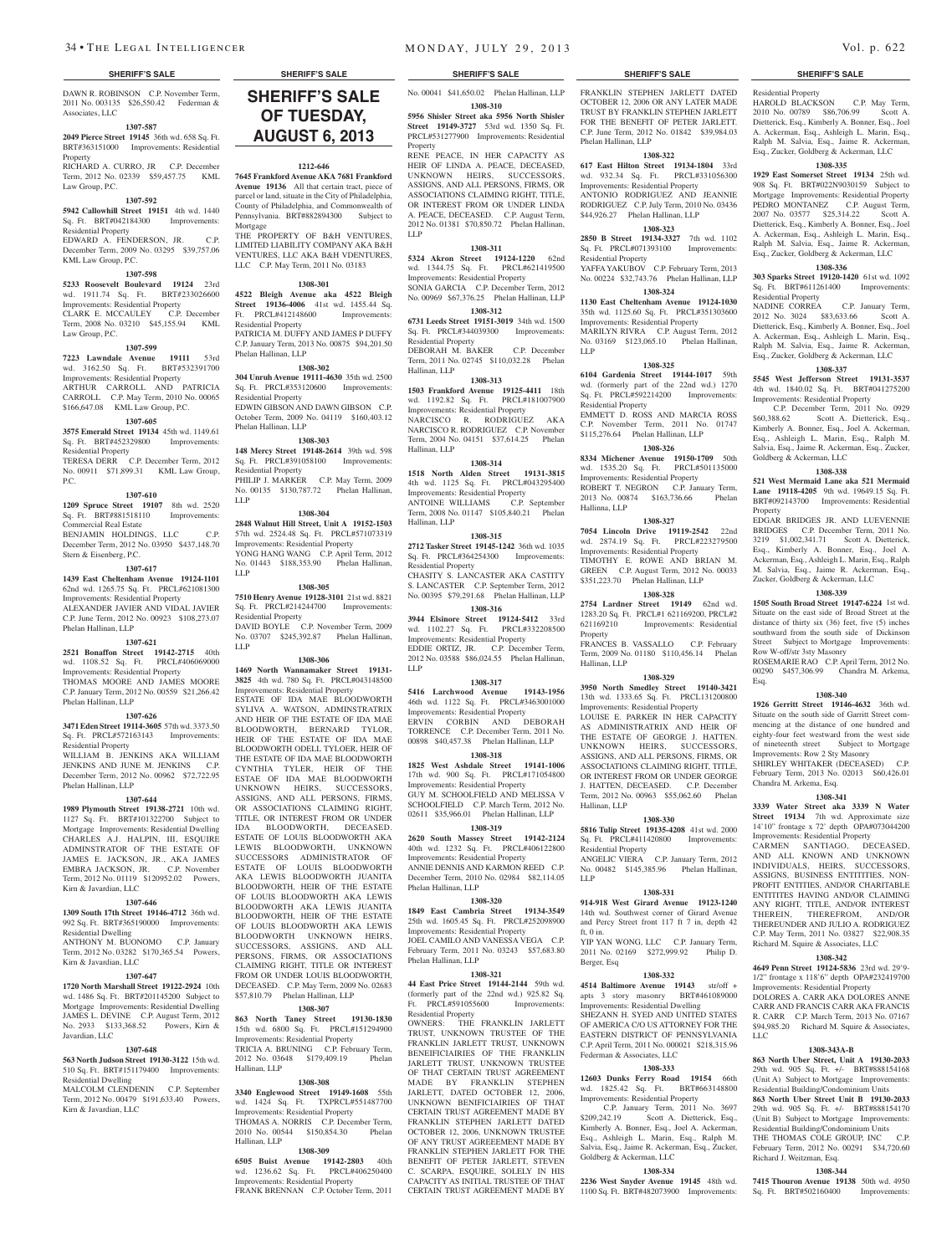DAWN R. ROBINSON C.P. November Term, 2011 No. 003135 \$26,550.42 Federman & Associates, LLC

#### **1307-587**

**2049 Pierce Street 19145** 36th wd. 658 Sq. Ft. BRT#363151000 Improvements: Residential

Property RICHARD A. CURRO, JR C.P. December Term, 2012 No. 02339 \$59,457.75 KML Law Group, P.C.

#### **1307-592**

**5942 Callowhill Street 19151** 4th wd. 1440

# Sq. Ft. BRT#042184300 Improvements: Residential Property

EDWARD A. FENDERSON, JR. C.P. December Term, 2009 No. 03295 \$39,757.06 KML Law Group, P.C.

#### **1307-598**

**5233 Roosevelt Boulevard 19124** 23rd wd. 1911.74 Sq. Ft. BRT#233026600 Improvements: Residential Property CLARK E. MCCAULEY C.P. December Term, 2008 No. 03210 \$45,155.94 KML Law Group, P.C.

# **1307-599**

**7223 Lawndale Avenue 19111** 53rd wd. 3162.50 Sq. Ft. BRT#532391700 Improvements: Residential Property ARTHUR CARROLL AND PATRICIA CARROLL C.P. May Term, 2010 No. 00065 \$166,647.08 KML Law Group, P.C.

#### **1307-605**

**3575 Emerald Street 19134** 45th wd. 1149.61 Sq. Ft. BRT#452329800 Improvements: Residential Property

TERESA DERR C.P. December Term, 2012 No. 00911 \$71,899.31 KML Law Group, **1307-610**

P.C.

**1209 Spruce Street 19107** 8th wd. 2520 Sq. Ft. BRT#881518110 Improvements: Commercial Real Estate BENJAMIN HOLDINGS, LLC C.P.

December Term, 2012 No. 03950 \$437,148.70 Stern & Eisenberg, P.C. **1307-617**

**1439 East Cheltenham Avenue 19124-1101**  62nd wd. 1265.75 Sq. Ft. PRCL#621081300 Improvements: Residential Property ALEXANDER JAVIER AND VIDAL JAVIER

C.P. June Term, 2012 No. 00923 \$108,273.07 Phelan Hallinan, LLP

#### **1307-621**

**2521 Bonaffon Street 19142-2715** 40th wd. 1108.52 Sq. Ft. PRCL#406069000 Improvements: Residential Property THOMAS MOORE AND JAMES MOORE C.P. January Term, 2012 No. 00559 \$21,266.42 Phelan Hallinan, LLP

# **1307-626**

Phelan Hallinan, LLP

**3471 Eden Street 19114-3605** 57th wd. 3373.50 Sq. Ft. PRCL#572163143 Improvements: esidential Property WILLIAM B. JENKINS AKA WILLIAM JENKINS AND JUNE M. JENKINS C.P. December Term, 2012 No. 00962 \$72,722.95

# **1307-644**

**1989 Plymouth Street 19138-2721** 10th wd. 1127 Sq. Ft. BRT#101322700 Subject to Mortgage Improvements: Residential Dwelling CHARLES A.J. HALPIN, III, ESQUIRE ADMINSTRATOR OF THE ESTATE OF JAMES E. JACKSON, JR., AKA JAMES EMBRA JACKSON, JR. C.P. November Term, 2012 No. 01119 \$120952.02 Powers, Kirn & Javardian, LLC

#### **1307-646**

**1309 South 17th Street 19146-4712** 36th wd. 992 Sq. Ft. BRT#365190000 Improvements: Residential Dwelling

ANTHONY M. BUONOMO C.P. January Term, 2012 No. 03282 \$170,365.54 Powers, Kirn & Javardian, LLC

### **1307-647**

**1720 North Marshall Street 19122-2924** 10th wd. 1486 Sq. Ft. BRT#201145200 Subject to Mortgage Improvements: Residential Dwelling JAMES L. DEVINE C.P. August Term, 2012 No. 2933 \$133,368.52 Powers, Kirn & Javardian, LLC

# **1307-648**

**563 North Judson Street 19130-3122** 15th wd. 510 Sq. Ft. BRT#151179400 Improvements: Residential Dwelling MALCOLM CLENDENIN C.P. September

Term, 2012 No. 00479 \$191,633.40 Powers, Kirn & Javardian, LLC

# **SHERIFF'S SALE SHERIFF'S SALE SHERIFF'S SALE SHERIFF'S SALE SHERIFF'S SALE SHERIFF'S SALE OF TUESDAY, August 6, 2013**

### **1212-646**

**7645 Frankford Avenue AKA 7681 Frankford Avenue 19136** All that certain tract, piece of parcel or land, situate in the City of Philadelphia, County of Philadelphia, and Commonwealth of Pennsylvania. BRT#882894300 Subject to Mortgage THE PROPERTY OF B&H VENTURES LIMITED LIABILITY COMPANY AKA B&H

#### VENTURES, LLC AKA B&H VDENTURES, LLC C.P. May Term, 2011 No. 03183

**1308-301 4522 Bleigh Avenue aka 4522 Bleigh Street 19136-4006** 41st wd. 1455.44 Sq. Ft. PRCL#412148600 Improvements: Residential Property PATRICIA M. DUFFY AND JAMES P DUFFY C.P. January Term, 2013 No. 00875 \$94,201.50 Phelan Hallinan, LLP

#### **1308-302**

**304 Unruh Avenue 19111-4630** 35th wd. 2500 Sq. Ft. PRCL#353120600 Improvements: Residential Property EDWIN GIBSON AND DAWN GIBSON C.P. October Term, 2009 No. 04119 \$160,403.12 Phelan Hallinan, LLP

#### **1308-303**

**148 Mercy Street 19148-2614** 39th wd. 598 Sq. Ft. PRCL#391058100 Improvements: Residential Property PHILIP J. MARKER C.P. May Term, 2009 No. 00135 \$130,787.72 Phelan Hallinan, LLP

#### **1308-304**

**2848 Walnut Hill Street, Unit A 19152-1503**  57th wd. 2524.48 Sq. Ft. PRCL#571073319 Improvements: Residential Property YONG HANG WANG C.P. April Term, 2012 No. 01443 \$188,353.90 Phelan Hallinan, LLP

#### **1308-305**

**7510 Henry Avenue 19128-3101** 21st wd. 8821 Sq. Ft. PRCL#214244700 Improvements: Residential Property DAVID BOYLE C.P. November Term, 2009

No. 03707 \$245,392.87 Phelan Hallinan, LLP **1308-306**

**1469 North Wannamaker Street 19131- 3825** 4th wd. 780 Sq. Ft. PRCL#043148500 Improvements: Residential Property

ESTATE OF IDA MAE BLOODWORTH SYLIVA A. WATSON, ADMINSTRATRIX AND HEIR OF THE ESTATE OF IDA MAE BLOODWORTH, BERNARD TYLOR, HEIR OF THE ESTATE OF IDA MAE BLOODWORTH ODELL TYLOER, HEIR OF THE ESTATE OF IDA MAE BLOODWORTH CYNTHIA TYLER, HEIR OF THE ESTAE OF IDA MAE BLOODWORTH UNKNOWN HEIRS, SUCCESSORS, ASSIGNS, AND ALL PERSONS, FIRMS, OR ASSOCIATIONS CLAIMING RIGHT, TITLE, OR INTEREST FROM OR UNDER IDA BLOODWORTH, DECEASED. ESTATE OF LOUIS BLOODWORTH AKA LEWIS BLOODWORTH, UNKNOWN SUCCESSORS ADMINISTRATOR OF ESTATE OF LOUIS BLOODWORTH AKA LEWIS BLOODWORTH JUANITA BLOODWORTH, HEIR OF THE ESTATE OF LOUIS BLOODWORTH AKA LEWIS BLOODWORTH AKA LEWIS JUANITA BLOODWORTH, HEIR OF THE ESTATE OF LOUIS BLOODWORTH AKA LEWIS BLOODWORTH UNKNOWN HEIRS, SUCCESSORS, ASSIGNS, AND ALL PERSONS, FIRMS, OR ASSOCIATIONS CLAIMING RIGHT, TITLE OR INTEREST FROM OR UNDER LOUIS BLOODWORTH, DECEASED. C.P. May Term, 2009 No. 02683 \$57,810.79 Phelan Hallinan, LLP **1308-307**

**863 North Taney Street 19130-1830**  15th wd. 6800 Sq. Ft. PRCL#151294900 Improvements: Residential Property TRICIA A. BRUNING C.P. February Term, 2012 No. 03648 \$179,409.19 Phelan Hallinan, LLP

#### **1308-308**

**3340 Englewood Street 19149-1608** 55th wd. 1424 Sq. Ft. TXPRCL#551487700 Improvements: Residential Property THOMAS A. NORRIS C.P. December Term, 2010 No. 00544 \$150,854.30 Phelan Hallinan, LLP

#### **1308-309**

**6505 Buist Avenue 19142-2803** 40th wd. 1236.62 Sq. Ft. PRCL#406250400 Improvements: Residential Property FRANK BRENNAN C.P. October Term, 2011

No. 00041 \$41,650.02 Phelan Hallinan, LLP **1308-310 5956 Shisler Street aka 5956 North Shisler Street 19149-3727** 53rd wd. 1350 Sq. Ft. PRCL#531277900 Improvements: Residential

RENE PEACE, IN HER CAPACITY AS HEIR OF LINDA A. PEACE, DECEASED UNKNOWN HEIRS, SUCCESSORS, ASSIGNS, AND ALL PERSONS, FIRMS, OR ASSOCIATIONS CLAIMING RIGHT, TITLE, OR INTEREST FROM OR UNDER LINDA A. PEACE, DECEASED. C.P. August Term, 2012 No. 01381 \$70,850.72 Phelan Hallinan,

**1308-311 5324 Akron Street 19124-1220** 62nd wd. 1344.75 Sq. Ft. PRCL#621419500 Improvements: Residential Property SONIA GARCIA C.P. December Term, 2012 No. 00969 \$67,376.25 Phelan Hallinan, LLP **1308-312 6731 Leeds Street 19151-3019** 34th wd. 1500 Sq. Ft. PRCL#344039300 Improvements:

DEBORAH M. BAKER C.P. December Term, 2011 No. 02745 \$110,032.28 Phelan

**1308-313 1503 Frankford Avenue 19125-4411** 18th wd. 1192.82 Sq. Ft. PRCL#181007900 Improvements: Residential Property NARCISCO R. RODRIGUEZ AKA NARCISCO R. RODRIGUEZ C.P. November Term, 2004 No. 04151 \$37,614.25 Phelan

**1308-314 1518 North Alden Street 19131-3815**  4th wd. 1125 Sq. Ft. PRCL#043295400 Improvements: Residential Property ANTOINE WILLIAMS C.P. September Term, 2008 No. 01147 \$105,840.21 Phelan

**1308-315 2712 Tasker Street 19145-1242** 36th wd. 1035 Sq. Ft. PRCL#364254300 Improvements:

CHASITY S. LANCASTER AKA CASTITY S. LANCASTER C.P. September Term, 2012 No. 00395 \$79,291.68 Phelan Hallinan, LLP **1308-316 3944 Elsinore Street 19124-5412** 33rd wd. 1102.27 Sq. Ft. PRCL#332208500 Improvements: Residential Property EDDIE ORTIZ, JR. C.P. December Term, 2012 No. 03588 \$86,024.55 Phelan Hallinan,

**1308-317 5416 Larchwood Avenue 19143-1956**  46th wd. 1122 Sq. Ft. PRCL#3463001000 Improvements: Residential Property ERVIN CORBIN AND DEBORAH TORRENCE C.P. December Term, 2011 No. 00898 \$40,457.38 Phelan Hallinan, LLP **1308-318 1825 West Ashdale Street 19141-1006**  17th wd. 900 Sq. Ft. PRCL#171054800 Improvements: Residential Property GUY M. SCHOOLFIELD AND MELISSA V SCHOOLFIELD C.P. March Term, 2012 No. 02611 \$35,966.01 Phelan Hallinan, LLP **1308-319 2620 South Massey Street 19142-2124**  40th wd. 1232 Sq. Ft. PRCL#406122800 Improvements: Residential Property ANNIE DENNIS AND KARMON REED C.P. December Term, 2010 No. 02984 \$82,114.05

**1308-320 1849 East Cambria Street 19134-3549**  25th wd. 1605.45 Sq. Ft. PRCL#252098900 Improvements: Residential Property JOEL CAMILO AND VANESSA VEGA C.P. February Term, 2011 No. 03243 \$57,683.80

**1308-321 44 East Price Street 19144-2144** 59th wd. (formerly part of the 22nd wd.) 925.82 Sq. Ft. PRCL#591055600 Improvements:

OWNERS: THE FRANKLIN JARLETT TRUST, UNKNOWN TRUSTEE OF THE FRANKLIN JARLETT TRUST, UNKNOWN BENEIFICIAIRIES OF THE FRANKLIN JARLETT TRUST, UNKNOWN TRUSTEE OF THAT CERTAIN TRUST AGREEMENT MADE BY FRANKLIN STEPHEN JARLETT, DATED OCTOBER 12, 2006, UNKNOWN BENIFICIAIRIES OF THAT CERTAIN TRUST AGREEMENT MADE BY FRANKLIN STEPHEN JARLETT DATED OCTOBER 12, 2006, UNKNOWN TRUSTEE OF ANY TRUST AGREEEMENT MADE BY FRANKLIN STEPHEN JARLETT FOR THE BENEFIT OF PETER JARLETT, STEVEN C. SCARPA, ESQUIRE, SOLELY IN HIS CAPACITY AS INITIAL TRUSTEE OF THAT CERTAIN TRUST AGREEMENT MADE BY

Property

LLP

Residential Property

Hallinan, LLP

Hallinan, LLP

Hallinan, LLP

LLP

Residential Property

Phelan Hallinan, LLP

Phelan Hallinan, LLP

Residential Property

FRANKLIN STEPHEN JARLETT DATED OCTOBER 12, 2006 OR ANY LATER MADE TRUST BY FRANKLIN STEPHEN JARLETT FOR THE BENEFIT OF PETER JARI FTT C.P. June Term, 2012 No. 01842 \$39,984.03 Phelan Hallinan, LLP

# **1308-322**

**617 East Hilton Street 19134-1804** 33rd wd. 932.34 Sq. Ft. PRCL#331056300 Improvements: Residential Property ANTONIO RODRIGUEZ AND JEANNIE RODRIGUEZ C.P. July Term, 2010 No. 03436 \$44,926.27 Phelan Hallinan, LLP

# **1308-323**

**2850 B Street 19134-3327** 7th wd. 1102 Sq. Ft. PRCL#071393100 Improvements: Residential Property YAFFA YAKUBOV C.P. February Term, 2013

No. 00224 \$32,743.76 Phelan Hallinan, LLP **1308-324**

**1130 East Cheltenham Avenue 19124-1030**  35th wd. 1125.60 Sq. Ft. PRCL#351303600 Improvements: Residential Property MARILYN RIVRA C.P. August Term, 2012 No. 03169 \$123,065.10 Phelan Hallinan, LLP

# **1308-325**

**6104 Gardenia Street 19144-1017** 59th wd. (formerly part of the 22nd wd.) 1270 Sq. Ft. PRCL#592214200 Improvements: Residential Property EMMETT D. ROSS AND MARCIA ROSS C.P. November Term, 2011 No. 01747 \$115,276.64 Phelan Hallinan, LLP

# **1308-326**

**8334 Michener Avenue 19150-1709** 50th wd. 1535.20 Sq. Ft. PRCL#501135000 Improvements: Residential Property ROBERT T. NEGRON C.P. January Term,<br>2013 No. 00874 \$163.736.66 Phelan 2013 No. 00874 \$163,736.66 Hallinna, LLP

**1308-327**

**7054 Lincoln Drive 19119-2542** 22nd wd. 2874.19 Sq. Ft. PRCL#223279500 Improvements: Residential Property TIMOTHY E. ROWE AND BRIAN M. GREEN C.P. August Term, 2012 No. 00033 \$351,223.70 Phelan Hallinan, LLP

#### **1308-328**

**2754 Lardner Street 19149** 62nd wd. 1283.20 Sq. Ft. PRCL#1 621169200, PRCL#2<br>621169210 Improvements: Residential Improvements: Residential Property FRANCES B. VASSALLO C.P. February

Term, 2009 No. 01180 \$110,456.14 Phelan Hallinan, LLP

#### **1308-329 3950 North Smedley Street 19140-3421**  13th wd. 1333.65 Sq. Ft. PRCL131200800

Improvements: Residential Property LOUISE E. PARKER IN HER CAPACITY AS ADMINISTRATRIX AND HEIR OF THE ESTATE OF GEORGE J. HATTEN. UNKNOWN HEIRS, SUCCESSORS, ASSIGNS, AND ALL PERSONS, FIRMS, OR ASSOCIATIONS CLAIMING RIGHT, TITLE, OR INTEREST FROM OR UNDER GEORGE J. HATTEN, DECEASED. C.P. December Term, 2012 No. 00963 \$55,062.60 Phelan Hallinan, LLP

### **1308-330**

**5816 Tulip Street 19135-4208** 41st wd. 2000 Sq. Ft. PRCL#411420800 Improvements: Residential Property

ANGELIC VIERA C.P. January Term, 2012 No. 00482 \$145,385.96 Phelan Hallinan, LLP

#### **1308-331**

**914-918 West Girard Avenue 19123-1240**  14th wd. Southwest corner of Girard Avenue and Percy Street front 117 ft 7 in, depth 42 ft, 0 in.

YIP YAN WONG, LLC C.P. January Term, 2011 No. 02169 \$272,999.92 Philip D. Berger, Esq

# **1308-332**

**4514 Baltimore Avenue 19143** str/off + apts 3 story masonry BRT#461089000 Improvements: Residential Dwelling

SHEZANN H. SYED AND UNITED STATES OF AMERICA C/O US ATTORNEY FOR THE EASTERN DISTRICT OF PENNSYLVANIA

#### C.P. April Term, 2011 No. 000021 \$218,315.96 Federman & Associates, LLC

#### **1308-333**

**12603 Dunks Ferry Road 19154** 66th wd. 1825.42 Sq. Ft. BRT#663148800 Improvements: Residential Property

 C.P. January Term, 2011 No. 3697 \$209,242.19 Scott A. Dietterick, Esq., Kimberly A. Bonner, Esq., Joel A. Ackerman, Esq., Ashleigh L. Marin, Esq., Ralph M. Salvia, Esq., Jaime R. Ackerman, Esq., Zucker, Goldberg & Ackerman, LLC

# **1308-334**

**2236 West Snyder Avenue 19145** 48th wd. 1100 Sq. Ft. BRT#482073900 Improvements:

# Residential Property

HAROLD BLACKSON C.P. May Term, 2010 No. 00789 \$86,706.99 Scott A. Dietterick, Esq., Kimberly A. Bonner, Esq., Joel A. Ackerman, Esq., Ashleigh L. Marin, Esq., Ralph M. Salvia, Esq., Jaime R. Ackerman, Esq., Zucker, Goldberg & Ackerman, LLC

#### **1308-335**

**1929 East Somerset Street 19134** 25th wd. 908 Sq. Ft. BRT#022N9030159 Subject to Mortgage Improvements: Residential Property PEDRO MONTANEZ C.P. August Term, 2007 No. 03577 \$25,314.22 Scott A. Dietterick, Esq., Kimberly A. Bonner, Esq., Joel A. Ackerman, Esq., Ashleigh L. Marin, Esq., Ralph M. Salvia, Esq., Jaime R. Ackerman, Esq., Zucker, Goldberg & Ackerman, LLC

**1308-336 303 Sparks Street 19120-1420** 61st wd. 1092 Sq. Ft. BRT#611261400 Improvements:

2012 No. 3024 \$83,633.66 Scott A. Dietterick, Esq., Kimberly A. Bonner, Esq., Joel A. Ackerman, Esq., Ashleigh L. Marin, Esq., Ralph M. Salvia, Esq., Jaime R. Ackerman, Esq., Zucker, Goldberg & Ackerman, LLC **1308-337 5545 West Jefferson Street 19131-3537**  4th wd. 1840.02 Sq. Ft. BRT#041275200 Improvements: Residential Property

C.P. December Term, 2011 No. 0929<br>\$60,388.62 Scott A. Dietterick, Esq.,

Kimberly A. Bonner, Esq., Joel A. Ackerman, Esq., Ashleigh L. Marin, Esq., Ralph M. Salvia, Esq., Jaime R. Ackerman, Esq., Zucker,

**1308-338 521 West Mermaid Lane aka 521 Mermaid Lane 19118-4205** 9th wd. 19649.15 Sq. Ft. BRT#092143700 Improvements: Residential

EDGAR BRIDGES JR. AND LUEVENNIE BRIDGES C.P. December Term, 2011 No. 3219 \$1,002,341.71 Scott A. Dietterick, Esq., Kimberly A. Bonner, Esq., Joel A. Ackerman, Esq., Ashleigh L. Marin, Esq., Ralph M. Salvia, Esq., Jaime R. Ackerman, Esq., Zucker, Goldberg & Ackerman, LLC **1308-339 1505 South Broad Street 19147-6224** 1st wd. Situate on the east side of Broad Street at the distance of thirty six (36) feet, five (5) inches southward from the south side of Dickinson Street Subject to Mortgage Improvements:

ROSEMARIE RAO C.P. April Term, 2012 No. 00290 \$457,306.99 Chandra M. Arkema,

**1308-340 1926 Gerritt Street 19146-4632** 36th wd. Situate on the south side of Garritt Street commencing at the distance of one hundred and eighty-four feet westward from the west side of nineteenth street Subject to Mortgage Improvements: Row 2 Sty Masonry SHIRLEY WHITAKER (DECEASED) C.P. February Term, 2013 No. 02013 \$60,426.01

**1308-341 3339 Water Street aka 3339 N Water Street 19134** 7th wd. Approximate size 14'10" frontage x 72' depth OPA#073044200 Improvements: Residential Property CARMEN SANTIAGO, DECEASED, AND ALL KNOWN AND UNKNOWN INDIVIDUALS, HEIRS, SUCCESSORS, ASSIGNS, BUSINESS ENTITITIES, NON-PROFIT ENTITIES, AND/OR CHARITABLE ENTITITES HAVING AND/OR CLAIMING ANY RIGHT, TITLE, AND/OR INTEREST THEREIN, THEREFROM, AND/OR THEREUNDER AND JULIO A. RODRIGUEZ C.P. May Term, 2011 No. 03827 \$22,908.35 Richard M. Squire & Associates, LLC **1308-342 4649 Penn Street 19124-5836** 23rd wd. 29'9- 1/2" frontage x 118'6" depth OPA#232419700 Improvements: Residential Property DOLORES A. CARR AKA DOLORES ANNE CARR AND FRANCIS CARR AKA FRANCIS R. CARR C.P. March Term, 2013 No. 07167 \$94,985.20 Richard M. Squire & Associates,

**1308-343A-B 863 North Uber Street, Unit A 19130-2033**  29th wd. 905 Sq. Ft. +/- BRT#888154168 (Unit A) Subject to Mortgage Improvements: Residential Building/Condominium Units **863 North Uber Street Unit B 19130-2033**  29th wd. 905 Sq. Ft. +/- BRT#888154170 (Unit B) Subject to Mortgage Improvements: Residential Building/Condominium Units THE THOMAS COLE GROUP, INC C.P. February Term, 2012 No. 00291 \$34,720.60

**1308-344 7415 Thouron Avenue 19138** 50th wd. 4950

Richard J. Weitzman, Esq.

Sq. Ft. BRT#502160400

Goldberg & Ackerman, LLC

Row W-off/str 3sty Masonry

Chandra M. Arkema, Esq.

Property

Esq.

LLC

Scott A. Dietterick, Esq.,

C.P. January Term,

Residential Property<br>NADINE CORREA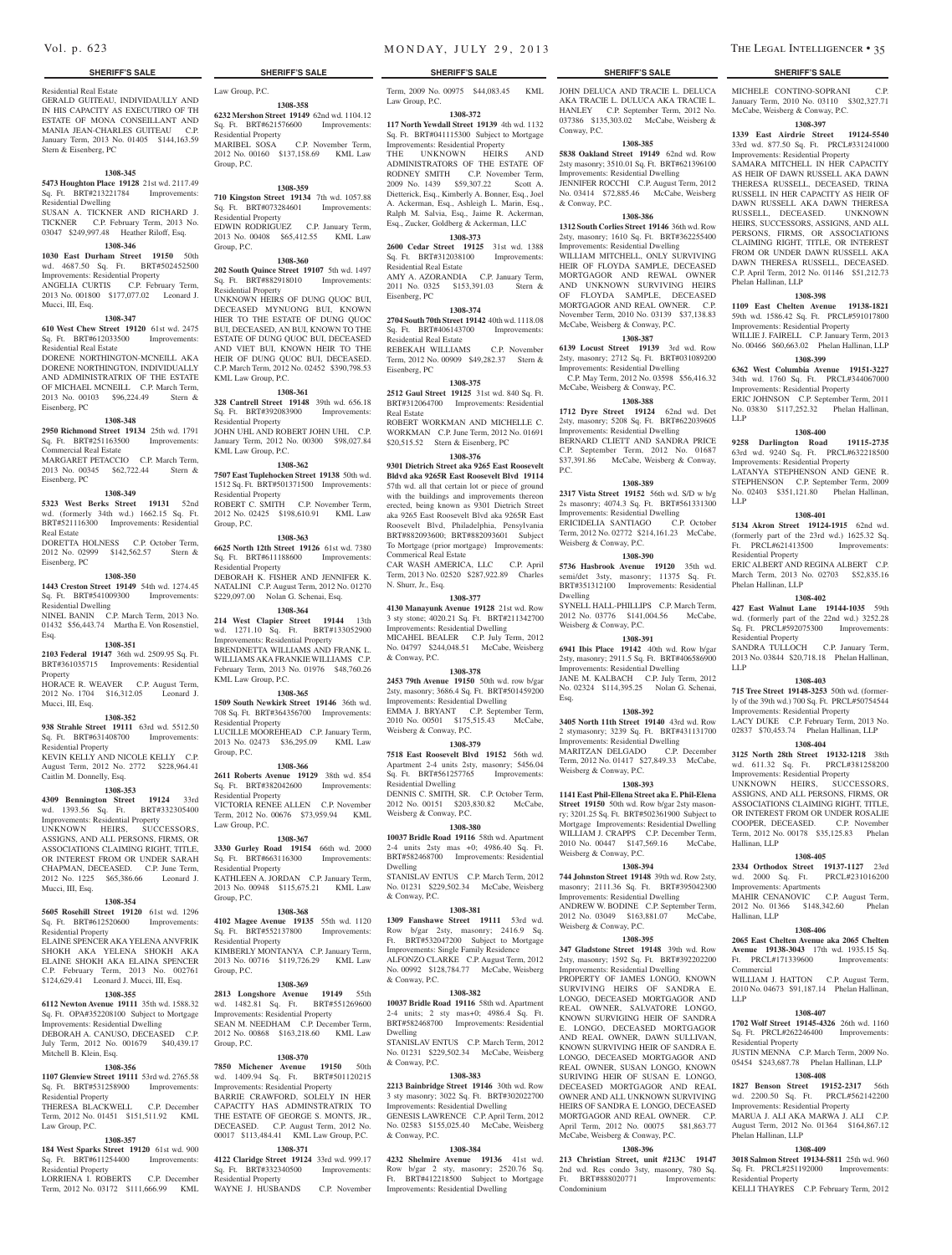#### Residential Real Estate

GERALD GUITEAU, INDIVIDAULLY AND IN HIS CAPACITY AS EXECUTIRO OF TH ESTATE OF MONA CONSEILLANT AND MANIA JEAN-CHARLES GUITEAU C.P. January Term, 2013 No. 01405 \$144,163.59 Stern & Eisenberg, PC

#### **1308-345**

**5473 Houghton Place 19128** 21st wd. 2117.49 Sq. Ft. BRT#213221784 Improvements: Residential Dwelling SUSAN A. TICKNER AND RICHARD J.

TICKNER C.P. February Term, 2013 No. 03047 \$249,997.48 Heather Riloff, Esq. **1308-346** Residential Property EDWIN RODRIGUEZ C.P. January Term, 2013 No. 00408 \$65,412.55 KML Law Group, P.C.

Law Group, P.C.

Group, P.C.

Residential Property

Residential Property

KML Law Group, P.C.

Residential Property

KML Law Group, P.C.

Residential Property

Residential Property

KML Law Group, P.C.

Residential Property

Residential Property

Residential Property

esidential Property

Group, P.C.

Group, P.C.

Group, P.C.

Residential Property

Law Group, P.C.

Group, P.C.

Group, P.C.

**1308-358 6232 Mershon Street 19149** 62nd wd. 1104.12 Sq. Ft. BRT#621576600 Improvements:

MARIBEL SOSA C.P. November Term, 2012 No. 00160 \$137,158.69 KML Law

**1308-359 710 Kingston Street 19134** 7th wd. 1057.88 Sq. Ft. BRT#073284601 Improvements:

**1308-360 202 South Quince Street 19107** 5th wd. 1497 Sq. Ft. BRT#882918010 Improvements:

UNKNOWN HEIRS OF DUNG QUOC BUI, DECEASED MYNUONG BUI, KNOWN HIER TO THE ESTATE OF DUNG OUOC. BUI, DECEASED, AN BUI, KNOWN TO THE ESTATE OF DUNG QUOC BUI, DECEASED AND VIET BUI, KNOWN HEIR TO THE HEIR OF DUNG QUOC BUI, DECEASED. C.P. March Term, 2012 No. 02452 \$390,798.53

**1308-361 328 Cantrell Street 19148** 39th wd. 656.18 Sq. Ft. BRT#392083900 Improvements:

JOHN UHL AND ROBERT JOHN UHL C.P. January Term, 2012 No. 00300 \$98,027.84

**1308-362 7507 East Tuplehocken Street 19138** 50th wd. 1512 Sq. Ft. BRT#501371500 Improvements:

ROBERT C. SMITH C.P. November Term, 2012 No. 02425 \$198,610.91 KML Law

**1308-363 6625 North 12th Street 19126** 61st wd. 7380 Sq. Ft. BRT#611188600 Improvements:

DEBORAH K. FISHER AND JENNIFER K. NATALINI C.P. August Term, 2012 No. 01270 \$229,097.00 Nolan G. Schenai, Esq. **1308-364 214 West Clapier Street 19144** 13th wd. 1271.10 Sq. Ft. BRT#133052900 Improvements: Residential Property BRENDNETTA WILLIAMS AND FRANK L. WILLIAMS AKA FRANKIE WILLIAMS C.P. February Term, 2013 No. 01976 \$48,760.26

**1308-365 1509 South Newkirk Street 19146** 36th wd. 708 Sq. Ft. BRT#364356700 Improvements:

LUCILLE MOOREHEAD C.P. January Term, 2013 No. 02473 \$36,295.09 KML Law

**1308-366 2611 Roberts Avenue 19129** 38th wd. 854 Sq. Ft. BRT#382042600 Improvements:

VICTORIA RENEE ALLEN C.P. November Term, 2012 No. 00676 \$73,959.94 KML

**1308-367 3330 Gurley Road 19154** 66th wd. 2000 Sq. Ft. BRT#663116300 Improvements:

KATHLEEN A. JORDAN C.P. January Term, 2013 No. 00948 \$115,675.21 KML Law

**1308-368 4102 Magee Avenue 19135** 55th wd. 1120 Sq. Ft. BRT#552137800 Improvements:

KIMBERLY MONTANYA C.P. January Term, 2013 No. 00716 \$119,726.29 KML Law

**1308-369 2813 Longshore Avenue 19149** 55th wd. 1482.81 Sq. Ft. BRT#551269600 Improvements: Residential Property SEAN M. NEEDHAM C.P. December Term, 2012 No. 00868 \$163,218.60 KML Law

**1308-370 7850 Michener Avenue 19150** 50th wd. 1409.94 Sq. Ft. BRT#501120215 Improvements: Residential Property BARRIE CRAWFORD, SOLELY IN HER CAPACITY HAS ADMINSTRATRIX TO THE ESTATE OF GEORGE S. MONTS, JR., DECEASED. C.P. August Term, 2012 No. 00017 \$113,484.41 KML Law Group, P.C. **1308-371 4122 Claridge Street 19124** 33rd wd. 999.17 Sq. Ft. BRT#332340500 Improvements:

WAYNE J. HUSBANDS C.P. November

# **1030 East Durham Street 19150** 50th

wd. 4687.50 Sq. Ft. BRT#502452500 Improvements: Residential Property ANGELIA CURTIS C.P. February Term, 2013 No. 001800 \$177,077.02 Leonard J. Mucci, III, Esq.

#### **1308-347**

**610 West Chew Street 19120** 61st wd. 2475 Sq. Ft. BRT#612033500 Improvements: Residential Real Estate

DORENE NORTHINGTON-MCNEILL AKA DORENE NORTHINGTON, INDIVIDUALLY AND ADMINISTRATRIX OF THE ESTATE OF MICHAEL MCNEILL C.P. March Term, 2013 No. 00103 \$96,224.49 Stern & Eisenberg, PC

#### **1308-348**

**2950 Richmond Street 19134** 25th wd. 1791 Sq. Ft. BRT#251163500 Improvements: Commercial Real Estate MARGARET PETACCIO C.P. March Term,

2013 No. 00345 \$62,722.44 Stern & Eisenberg, PC

#### **1308-349**

**5323 West Berks Street 19131** 52nd wd. (formerly 34th wd.) 1662.15 Sq. Ft. BRT#521116300 Improvements: Residential Real Estate

DORETTA HOLNESS C.P. October Term, 2012 No. 02999 \$142,562.57 Stern & Eisenberg, PC

#### **1308-350**

**1443 Creston Street 19149** 54th wd. 1274.45 Sq. Ft. BRT#541009300 Improvements: Residential Dwelling

NINEL BANIN C.P. March Term, 2013 No. 01432 \$56,443.74 Martha E. Von Rosenstiel, Esq.

#### **1308-351**

**2103 Federal 19147** 36th wd. 2509.95 Sq. Ft. BRT#361035715 Improvements: Residential Property

HORACE R. WEAVER C.P. August Term, 2012 No. 1704 \$16,312.05 Leonard J. Mucci, III, Esq.

#### **1308-352**

**938 Strahle Street 19111** 63rd wd. 5512.50 Sq. Ft. BRT#631408700 Improvements: Residential Property

KEVIN KELLY AND NICOLE KELLY C.P. August Term, 2012 No. 2772 \$228,964.41 Caitlin M. Donnelly, Esq.

#### **1308-353**

**4309 Bennington Street 19124** 33rd wd. 1393.56 Sq. Ft. BRT#332305400 Improvements: Residential Property UNKNOWN HEIRS, SUCCESSORS, ASSIGNS, AND ALL PERSONS, FIRMS, OR ASSOCIATIONS CLAIMING RIGHT, TITLE, OR INTEREST FROM OR UNDER SARAH CHAPMAN, DECEASED. C.P. June Term, 2012 No. 1225 \$65,386.66 Leonard J. Mucci, III, Esq.

#### **1308-354**

**5605 Rosehill Street 19120** 61st wd. 1296 Sq. Ft. BRT#612520600 Improvements:

Residential Property ELAINE SPENCER AKAYELENA ANVFRIK SHOKH AKA YELENA SHOKH AKA ELAINE SHOKH AKA ELAINA SPENCER C.P. February Term, 2013 No. 002761 \$124,629.41 Leonard J. Mucci, III, Esq.

# **1308-355**

**6112 Newton Avenue 19111** 35th wd. 1588.32 Sq. Ft. OPA#352208100 Subject to Mortgage Improvements: Residential Dwelling DEBORAH A. CANUSO, DECEASED C.P. July Term, 2012 No. 001679 \$40,439.17 Mitchell B. Klein, Esq.

#### **1308-356**

**1107 Glenview Street 19111** 53rd wd. 2765.58 Sq. Ft. BRT#531258900 Improvements: Residential Property

THERESA BLACKWELL C.P. December Term, 2012 No. 01451 \$151,511.92 KML Law Group, P.C.

#### **1308-357**

**184 West Sparks Street 19120** 61st wd. 900 Sq. Ft. BRT#611254400 Improvements: Residential Property

LORRIENA I. ROBERTS C.P. December Term, 2012 No. 03172 \$111,666.99 KML

### **SHERIFF'S SALE SHERIFF'S SALE SHERIFF'S SALE SHERIFF'S SALE SHERIFF'S SALE**

Term, 2009 No. 00975 \$44,083.45 KML Law Group, P.C.

**1308-372 117 North Yewdall Street 19139** 4th wd. 1132 Sq. Ft. BRT#041115300 Subject to Mortgage **Improvements: Residential Property<br>THE UNKNOWN HEIRS** UNKNOWN HEIRS AND

ADMINISTRATORS OF THE ESTATE OF RODNEY SMITH C.P. November Term, 2009 No. 1439 \$59,307.22 Scott A. Dietterick, Esq., Kimberly A. Bonner, Esq., Joel A. Ackerman, Esq., Ashleigh L. Marin, Esq., Ralph M. Salvia, Esq., Jaime R. Ackerman, Esq., Zucker, Goldberg & Ackerman, LLC **1308-373**

**2600 Cedar Street 19125** 31st wd. 1388 Sq. Ft. BRT#312038100 Improvements: Residential Real Estate AMY A. AZORANDIA C.P. January Term, 2011 No. 0325 \$153,391.03 Stern & Eisenberg, PC

# **1308-374**

**2704 South 70th Street 19142** 40th wd. 1118.08 Sq. Ft. BRT#406143700 Improvements: Residential Real Estate REBEKAH WILLIAMS C.P. November

Term, 2012 No. 00909 \$49,282.37 Stern & Eisenberg, PC **1308-375**

**2512 Gaul Street 19125** 31st wd. 840 Sq. Ft. BRT#312064700 Improvements: Residential Real Estate ROBERT WORKMAN AND MICHELLE C. WORKMAN C.P. June Term, 2012 No. 01691 \$20,515.52 Stern & Eisenberg, PC

### **1308-376**

**9301 Dietrich Street aka 9265 East Roosevelt Bldvd aka 9265R East Roosevelt Blvd 19114**  57th wd. all that certain lot or piece of ground with the buildings and improvements thereon erected, being known as 9301 Dietrich Street aka 9265 East Roosevelt Blvd aka 9265R East Roosevelt Blvd, Philadelphia, Pensylvania BRT#882093600; BRT#882093601 Subject

To Mortgage (prior mortgage) Improvements: Commerical Real Estate CAR WASH AMERICA, LLC C.P. April Term, 2013 No. 02520 \$287,922.89 Charles

#### **1308-377**

N. Shurr, Jr., Esq.

**4130 Manayunk Avenue 19128** 21st wd. Row 3 sty stone; 4020.21 Sq. Ft. BRT#211342700 Improvements: Residential Dwelling MICAHEL BEALER C.P. July Term, 2012 No. 04797 \$244,048.51 McCabe, Weisberg & Conway, P.C.

#### **1308-378**

**2453 79th Avenue 19150** 50th wd. row b/gar 2sty, masonry; 3686.4 Sq. Ft. BRT#501459200 Improvements: Residential Dwelling EMMA J. BRYANT C.P. September Term, 2010 No. 00501 \$175,515.43 McCabe, Weisberg & Conway, P.C.

#### **1308-379**

**7518 East Roosevelt Blvd 19152** 56th wd. Apartment 2-4 units 2sty, masonry; 5456.04<br>Sq. Ft. BRT#561257765 Improvements:  $\overline{Sq}$ . Ft. BRT#561257765 Residential Dwelling DENNIS C. SMITH, SR. C.P. October Term, 2012 No. 00151 \$203,830.82 McCabe, Weisberg & Conway, P.C.

### **1308-380**

**10037 Bridle Road 19116** 58th wd. Apartment 2-4 units 2sty mas +0; 4986.40 Sq. Ft. BRT#582468700 Improvements: Residential Dwelling STANISLAV ENTUS C.P. March Term, 2012

No. 01231 \$229,502.34 McCabe, Weisberg & Conway, P.C.

# **1308-381**

**1309 Fanshawe Street 19111** 53rd wd. Row b/gar 2sty, masonry; 2416.9 Sq. Ft. BRT#532047200 Subject to Mortgage Improvements: Single Family Residence ALFONZO CLARKE C.P. August Term, 2012 No. 00992 \$128,784.77 McCabe, Weisberg & Conway, P.C.

#### **1308-382**

**10037 Bridle Road 19116** 58th wd. Apartment 2-4 units; 2 sty mas+0; 4986.4 Sq. Ft. BRT#582468700 Improvements: Residential Dwelling STANISLAV ENTUS C.P. March Term, 2012

No. 01231 \$229,502.34 McCabe, Weisberg & Conway, P.C.

#### **1308-383**

**2213 Bainbridge Street 19146** 30th wd. Row 3 sty masonry; 3022 Sq. Ft. BRT#302022700 Improvements: Residential Dwelling GENESIS LAWRENCE C.P. April Term, 2012 No. 02583 \$155,025.40 McCabe, Weisberg & Conway, P.C.

#### **1308-384**

**4232 Shelmire Avenue 19136** 41st wd. Row b/gar 2 sty, masonry; 2520.76 Sq. Ft. BRT#412218500 Subject to Mortgage Improvements: Residential Dwelling

JOHN DELUCA AND TRACIE L. DELUCA AKA TRACIE L. DULUCA AKA TRACIE L. HANLEY C.P. September Term, 2012 No. 037386 \$135,303.02 McCabe, Weisberg & Conway, P.C.

#### **1308-385**

**5838 Oakland Street 19149** 62nd wd. Row 2sty masonry; 3510.01 Sq. Ft. BRT#621396100 Improvements: Residential Dwelling JENNIFER ROCCHI C.P. August Term, 2012 No. 03414 \$72,885.46 McCabe, Weisberg & Conway, P.C.

### **1308-386**

**1312 South Corlies Street 19146** 36th wd. Row 2sty, masonry; 1610 Sq. Ft. BRT#362255400 Improvements: Residential Dwelling WILLIAM MITCHELL, ONLY SURVIVING HEIR OF FLOYDA SAMPLE, DECEASED MORTGAGOR AND REWAL OWNER AND UNKNOWN SURVIVING HEIRS OF FLOYDA SAMPLE, DECEASED MORTGAGOR AND REAL OWNER. C.P. November Term, 2010 No. 03139 \$37,138.83 McCabe, Weisberg & Conway, P.C.

# **1308-387**

**6139 Locust Street 19139** 3rd wd. Row 2sty, masonry; 2712 Sq. Ft. BRT#031089200 Improvements: Residential Dwelling C.P. May Term, 2012 No. 03598 \$56,416.32 McCabe, Weisberg & Conway, P.C.

### **1308-388**

**1712 Dyre Street 19124** 62nd wd. Det 2sty, masonry; 5208 Sq. Ft. BRT#622039605 Improvements: Residential Dwelling BERNARD CLIETT AND SANDRA PRICE C.P. September Term, 2012 No. 01687 \$37,391.86 McCabe, Weisberg & Conway, P.C.

# **1308-389**

**2317 Vista Street 19152** 56th wd. S/D w b/g 2s masonry; 4074.3 Sq. Ft. BRT#561331300 Improvements: Residential Dwelling ERICIDELIA SANTIAGO C.P. October Term, 2012 No. 02772 \$214,161.23 McCabe, Weisberg & Conway, P.C.

# **1308-390**

**5736 Hasbrook Avenue 19120** 35th wd. semi/det 3sty, masonry; 11375 Sq. Ft. BRT#351312100 Improvements: Residential Dwelling SYNELL HALL-PHILLIPS C.P. March Term,

2012 No. 03776 \$141,004.56 McCabe, Weisberg & Conway, P.C. **1308-391**

**6941 Ibis Place 19142** 40th wd. Row b/gar 2sty, masonry; 2911.5 Sq. Ft. BRT#406586900 Improvements: Residential Dwelling JANE M. KALBACH C.P. July Term, 2012 No. 02324 \$114,395.25 Nolan G. Schenai, Esq.

#### **1308-392**

**3405 North 11th Street 19140** 43rd wd. Row 2 stymasonry; 3239 Sq. Ft. BRT#431131700 Improvements: Residential Dwelling MARITZAN DELGADO C.P. December Term, 2012 No. 01417 \$27,849.33 McCabe, Weisberg & Conway, P.C.

# **1308-393**

**1141 East Phil-Ellena Street aka E. Phil-Elena Street 19150** 50th wd. Row b/gar 2sty masonry; 3201.25 Sq. Ft. BRT#502361900 Subject to Mortgage Improvements: Residential Dwelling WILLIAM J. CRAPPS C.P. December Term, 2010 No. 00447 \$147,569.16 McCabe, Weisberg & Conway, P.C.

### **1308-394**

**744 Johnston Street 19148** 39th wd. Row 2sty, masonry; 2111.36 Sq. Ft. BRT#395042300 Improvements: Residential Dwelling ANDREW W. BODINE C.P. September Term, 2012 No. 03049 \$163,881.07 McCabe, Weisberg & Conway, P.C.

# **1308-395**

**347 Gladstone Street 19148** 39th wd. Row 2sty, masonry; 1592 Sq. Ft. BRT#392202200 Improvements: Residential Dwelling PROPERTY OF JAMES LONGO, KNOWN SURVIVING HEIRS OF SANDRA E. LONGO, DECEASED MORTGAGOR A REAL OWNER, SALVATORE LONGO, KNOWN SURVIGING HEIR OF SANDRA E. LONGO, DECEASED MORTGAGOR AND REAL OWNER, DAWN SULLIVAN, KNOWN SURVIVING HEIR OF SANDRA E. LONGO, DECEASED MORTGAGOR AND REAL OWNER, SUSAN LONGO, KNOWN SURIVING HEIR OF SUSAN E. LONGO, DECEASED MORTGAGOR AND REAL OWNER AND ALL UNKNOWN SURVIVING HEIRS OF SANDRA E. LONGO, DECEASED MORTGAGOR AND REAL OWNER. C.P. April Term, 2012 No. 00075 \$81,863.77 McCabe, Weisberg & Conway, P.C.

# **1308-396**

**213 Christian Street, unit #213C 19147**  2nd wd. Res condo 3sty, masonry, 780 Sq.<br>Ft. BRT#888020771 Improvements: Ft. BRT#888020771 Condominium

MICHELE CONTINO-SOPRANI C.P. January Term, 2010 No. 03110 \$302,327.71 McCabe, Weisberg & Conway, P.C.

**1308-397 1339 East Airdrie Street 19124-5540**  33rd wd. 877.50 Sq. Ft. PRCL#331241000 Improvements: Residential Property SAMARA MITCHELL IN HER CAPACITY AS HEIR OF DAWN RUSSELL AKA DAWN THERESA RUSSELL, DECEASED, TRINA RUSSELL IN HER CAPACITY AS HEIR OF DAWN RUSSELL AKA DAWN THERESA RUSSELL, DECEASED. UNKNOWN HEIRS, SUCCESSORS, ASSIGNS, AND ALL PERSONS, FIRMS, OR ASSOCIATIONS CLAIMING RIGHT, TITLE, OR INTEREST FROM OR UNDER DAWN RUSSELL AKA DAWN THERESA RUSSELL, DECEASED. C.P. April Term, 2012 No. 01146 \$51,212.73

**1308-398 1109 East Chelten Avenue 19138-1821**  59th wd. 1586.42 Sq. Ft. PRCL#591017800 Improvements: Residential Property WILLIE J. FAIRELL C.P. January Term, 2013 No. 00466 \$60,663.02 Phelan Hallinan, LLP **1308-399 6362 West Columbia Avenue 19151-3227**  34th wd. 1760 Sq. Ft. PRCL#344067000 Improvements: Residential Property ERIC JOHNSON C.P. September Term, 2011 No. 03830 \$117,252.32 Phelan Hallinan,

**1308-400 9258 Darlington Road 19115-2735**  63rd wd. 9240 Sq. Ft. PRCL#632218500 Improvements: Residential Property LATANYA STEPHENSON AND GENE R. STEPHENSON C.P. September Term, 2009 No. 02403 \$351,121.80 Phelan Hallinan,

**1308-401 5134 Akron Street 19124-1915** 62nd wd. (formerly part of the 23rd wd.) 1625.32 Sq. Ft. PRCL#621413500 Improvements:

ERIC ALBERT AND REGINA ALBERT C.P. March Term, 2013 No. 02703 \$52,835.16

**1308-402 427 East Walnut Lane 19144-1035** 59th wd. (formerly part of the 22nd wd.) 3252.28 Sq. Ft. PRCL#592075300 Improvements:

SANDRA TULLOCH C.P. January Term, 2013 No. 03844 \$20,718.18 Phelan Hallinan,

**1308-403 715 Tree Street 19148-3253** 50th wd. (formerly of the 39th wd.) 700 Sq. Ft. PRCL#50754544 Improvements: Residential Property LACY DUKE C.P. February Term, 2013 No. 02837 \$70,453.74 Phelan Hallinan, LLP **1308-404 3125 North 28th Street 19132-1218** 38th wd. 611.32 Sq. Ft. PRCL#381258200 Improvements: Residential Property UNKNOWN HEIRS, SUCCESSORS, ASSIGNS, AND ALL PERSONS, FIRMS, OR ASSOCIATIONS CLAIMING RIGHT, TITLE, OR INTEREST FROM OR UNDER ROSALIE COOPER, DECEASED. C.P. November Term, 2012 No. 00178 \$35,125.83 Phelan

**1308-405 2334 Orthodox Street 19137-1127** 23rd wd. 2000 Sq. Ft. PRCL#231016200

MAHIR CENANOVIC C.P. August Term, 2012 No. 01366 \$148,342.60 Phelan

**1308-406 2065 East Chelten Avenue aka 2065 Chelten Avenue 19138-3043** 17th wd. 1935.15 Sq. Ft. PRCL#171339600 Improvements:

WILLIAM J. HATTON C.P. August Term, 2010 No. 04673 \$91,187.14 Phelan Hallinan,

**1308-407 1702 Wolf Street 19145-4326** 26th wd. 1160 Sq. Ft. PRCL#262246400 Improvements:

JUSTIN MENNA C.P. March Term, 2009 No. 05454 \$243,687.78 Phelan Hallinan, LLP **1308-408 1827 Benson Street 19152-2317** 56th wd. 2200.50 Sq. Ft. PRCL#562142200 Improvements: Residential Property MARUA J. ALI AKA MARWA J. ALI C.P. August Term, 2012 No. 01364 \$164,867.12

**1308-409 3018 Salmon Street 19134-5811** 25th wd. 960 Sq. Ft. PRCL#251192000 Improvements:

KELLI THAYRES C.P. February Term, 2012

Phelan Hallinan, LLP

LLP

LLP

Residential Property

Phelan Hallinan, LLP

Residential Property

LLP

Hallinan, LLP

Hallinan, LLP

Commercial

Residential Property

Phelan Hallinan, LLP

Residential Property

LLP

Improvements: Apartments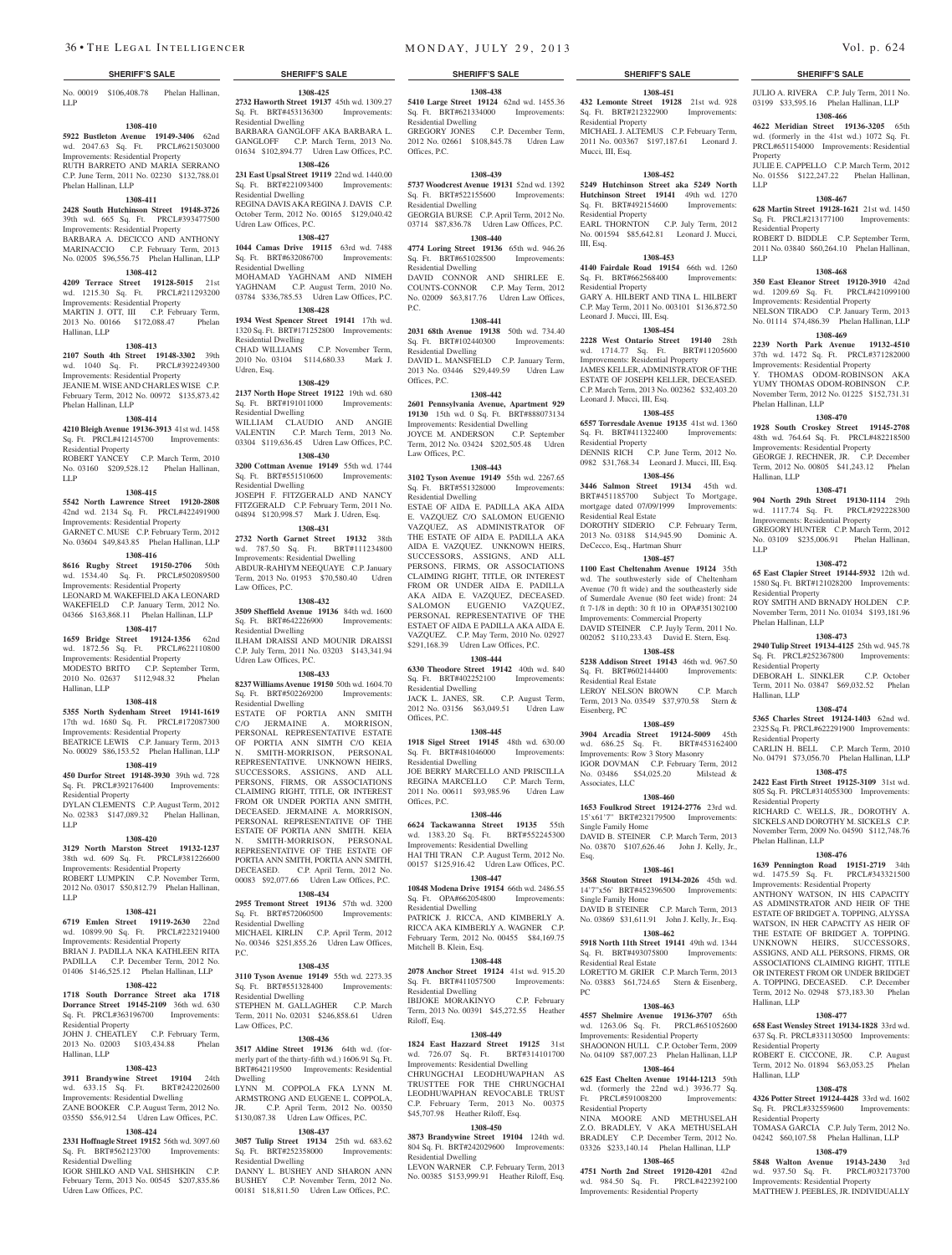No. 00019 \$106,408.78 Phelan Hallinan, LLP

#### **1308-410**

**5922 Bustleton Avenue 19149-3406** 62nd wd. 2047.63 Sq. Ft. PRCL#621503000

Improvements: Residential Property RUTH BARRETO AND MARIA SERRANO C.P. June Term, 2011 No. 02230 \$132,788.01 Phelan Hallinan, LLP

#### **1308-411**

**2428 South Hutchinson Street 19148-3726**  39th wd. 665 Sq. Ft. PRCL#393477500

#### Improvements: Residential Property BARBARA A. DECICCO AND ANTHONY MARINACCIO C.P. February Term, 2013 No. 02005 \$96,556.75 Phelan Hallinan, LLP

### **1308-412**

**4209 Terrace Street 19128-5015** 21st wd. 1215.30 Sq. Ft. PRCL#211293200 Improvements: Residential Property MARTIN J. OTT, III C.P. February Term, 2013 No. 00166 \$172,088.47 Phelan Hallinan, LLP

#### **1308-413**

**2107 South 4th Street 19148-3302** 39th wd.  $1040$  Sq. Ft. Improvements: Residential Property JEANIE M. WISE AND CHARLES WISE C.P. February Term, 2012 No. 00972 \$135,873.42 Phelan Hallinan, LLP

# **1308-414**

**4210 Bleigh Avenue 19136-3913** 41st wd. 1458 Sq. Ft. PRCL#412145700 Improvements: Residential Property ROBERT YANCEY C.P. March Term, 2010

No. 03160 \$209,528.12 Phelan Hallinan, LLP

#### **1308-415**

**5542 North Lawrence Street 19120-2808**  42nd wd. 2134 Sq. Ft. PRCL#422491900 Improvements: Residential Property

GARNET C. MUSE C.P. February Term, 2012 No. 03604 \$49,843.85 Phelan Hallinan, LLP **1308-416**

**8616 Rugby Street 19150-2706** 50th wd. 1534.40 Sq. Ft. PRCL#502089500 Improvements: Residential Property LEONARD M. WAKEFIELD AKA LEONARD WAKEFIELD C.P. January Term, 2012 No. 04366 \$163,868.11 Phelan Hallinan, LLP

# **1308-417**

**1659 Bridge Street 19124-1356** 62nd wd. 1872.56 Sq. Ft. PRCL#622110800 Improvements: Residential Property MODESTO BRITO C.P. September Term, 2010 No. 02637 \$112,948.32 Phelan Hallinan, LLP

#### **1308-418**

**5355 North Sydenham Street 19141-1619**  17th wd. 1680 Sq. Ft. PRCL#172087300 Improvements: Residential Property BEATRICE LEWIS C.P. January Term, 2013 No. 00029 \$86,153.52 Phelan Hallinan, LLP

# **1308-419**

**450 Durfor Street 19148-3930** 39th wd. 728 Sq. Ft. PRCL#392176400 Improvements: Residential Property

DYLAN CLEMENTS C.P. August Term, 2012 No. 02383 \$147,089.32 Phelan Hallinan, LLP

#### **1308-420**

**3129 North Marston Street 19132-1237**  38th wd. 609 Sq. Ft. PRCL#381226600 Improvements: Residential Property ROBERT LUMPKIN C.P. November Term, 2012 No. 03017 \$50,812.79 Phelan Hallinan,

#### **1308-421**

LLP

**6719 Emlen Street 19119-2630** 22nd wd. 10899.90 Sq. Ft. PRCL#223219400 Improvements: Residential Property BRIAN J. PADILLA NKA KATHLEEN RITA

PADILLA C.P. December Term, 2012 No. 01406 \$146,525.12 Phelan Hallinan, LLP **1308-422**

# **1718 South Dorrance Street aka 1718**

**Dorrance Street 19145-2109** 36th wd. 630 Sq. Ft. PRCL#363196700 Improvements: Residential Property JOHN J. CHEATLEY C.P. February Term,

#### 2013 No. 02003 \$103,434.88 Phelan Hallinan, LLP

### **1308-423 3911 Brandywine Street 19104** 24th wd. 633.15 Sq. Ft. BRT#242202600 Improvements: Residential Dwelling ZANE BOOKER C.P. August Term, 2012 No.

03550 \$56,912.54 Udren Law Offices, P.C. **1308-424**

#### **2331 Hoffnagle Street 19152** 56th wd. 3097.60 Sq. Ft. BRT#562123700 Improvements: Residential Dwelling

IGOR SHILKO AND VAL SHISHKIN C.P. February Term, 2013 No. 00545 \$207,835.86 Udren Law Offices, P.C.

**1308-425 2732 Haworth Street 19137** 45th wd. 1309.27 Sq. Ft. BRT#453136300 Improvements: Residential Dwelling BARBARA GANGLOFF AKA BARBARA L. GANGLOFF C.P. March Term, 2013 No.

01634 \$102,894.77 Udren Law Offices, P.C. **1308-426 231 East Upsal Street 19119** 22nd wd. 1440.00 Sq. Ft. BRT#221093400 Improvements:

Residential Dwelling REGINA DAVIS AKA REGINA J. DAVIS C.P. October Term, 2012 No. 00165 \$129,040.42 Udren Law Offices, P.C. **1308-427**

**1044 Camas Drive 19115** 63rd wd. 7488 Sq. Ft. BRT#632086700 Improvements: Residential Dwelling MOHAMAD YAGHNAM AND NIMEH YAGHNAM C.P. August Term, 2010 No. 03784 \$336,785.53 Udren Law Offices, P.C. **1308-428**

# **1934 West Spencer Street 19141** 17th wd.

1320 Sq. Ft. BRT#171252800 Improvements: Residential Dwelling CHAD WILLIAMS C.P. November Term, 2010 No. 03104 \$114,680.33 Mark J. Udren, Esq.

#### **1308-429**

**2137 North Hope Street 19122** 19th wd. 680 Sq. Ft. BRT#191011000 Improvements: Residential Dwelling WILLIAM CLAUDIO AND ANGIE VALENTIN C.P. March Term, 2013 No. 03304 \$119,636.45 Udren Law Offices, P.C.

**1308-430 3200 Cottman Avenue 19149** 55th wd. 1744 Sq. Ft. BRT#551510600 Improvements: Residential Dwelling JOSEPH F. FITZGERALD AND NANCY

FITZGERALD C.P. February Term, 2011 No. 04894 \$120,998.57 Mark J. Udren, Esq. **1308-431 2732 North Garnet Street 19132** 38th

wd. 787.50 Sq. Ft. BRT#111234800 Improvements: Residential Dwelling ABDUR-RAHIYM NEEQUAYE C.P. January Term, 2013 No. 01953 \$70,580.40 Udren Law Offices, P.C.

#### **1308-432**

**3509 Sheffield Avenue 19136** 84th wd. 1600 Sq. Ft. BRT#642226900 Improvements: Residential Dwelling ILHAM DRAISSI AND MOUNIR DRAISSI C.P. July Term, 2011 No. 03203 \$143,341.94 Udren Law Offices, P.C.

#### **1308-433**

**8237 Williams Avenue 19150** 50th wd. 1604.70 Sq. Ft. BRT#502269200 Improvements: Residential Dwelling ESTATE OF PORTIA ANN SMITH C/O JERMAINE A. MORRISON, PERSONAL REPRESENTATIVE ESTATE OF PORTIA ANN SIMTH C/O KEIA N. SMITH-MORRISON, PERSO REPRESENTATIVE. UNKNOWN HEIRS, SUCCESSORS, ASSIGNS, AND A PERSONS, FIRMS, OR ASSOCIATIONS CLAIMING RIGHT, TITLE, OR INTEREST FROM OR UNDER PORTIA ANN SMITH, DECEASED. JERMAINE A. MORRISON, PERSONAL REPRESENTATIVE OF THE ESTATE OF PORTIA ANN SMITH. KEIA N. SMITH-MORRISON, PERSONAL REPRESENTATIVE OF THE ESTATE OF PORTIA ANN SMITH, PORTIA ANN SMITH, DECEASED. C.P. April Term, 2012 No. 00083 \$92,077.66 Udren Law Offices, P.C.

#### **1308-434**

**2955 Tremont Street 19136** 57th wd. 3200 Sq. Ft. BRT#572060500 Improvements: Residential Dwelling MICHAEL KIRLIN C.P. April Term, 2012 No. 00346 \$251,855.26 Udren Law Offices,

# **1308-435**

P.C.

**3110 Tyson Avenue 19149 55th wd. 2273.35**<br>Sq. Ft. BRT#551328400 **Improvements:** Sq. Ft. BRT#551328400 Residential Dwelling

STEPHEN M. GALLAGHER C.P. March Term, 2011 No. 02031 \$246,858.61 Udren Law Offices, P.C.

# **1308-436**

**3517 Aldine Street 19136** 64th wd. (formerly part of the thirty-fifth wd.) 1606.91 Sq. Ft. BRT#642119500 Improvements: Residential Dwelling

LYNN M. COPPOLA FKA LYNN M. ARMSTRONG AND EUGENE L. COPPOLA, JR. C.P. April Term, 2012 No. 00350 \$130,087.38 Udren Law Offices, P.C.

### **1308-437**

**3057 Tulip Street 19134** 25th wd. 683.62<br>
Sq. Ft. BRT#252358000 Improvements: Sq. Ft. BRT#252358000 Residential Dwelling DANNY L. BUSHEY AND SHARON ANN

BUSHEY C.P. November Term, 2012 No. 00181 \$18,811.50 Udren Law Offices, P.C.

### **SHERIFF'S SALE SHERIFF'S SALE SHERIFF'S SALE SHERIFF'S SALE SHERIFF'S SALE**

**1308-451 432 Lemonte Street 19128** 21st wd. 928 Sq. Ft. BRT#212322900 Improvements:

JULIO A. RIVERA C.P. July Term, 2011 No. 03199 \$33,595.16 Phelan Hallinan, LLP **1308-466 4622 Meridian Street 19136-3205** 65th wd. (formerly in the 41st wd.) 1072 Sq. Ft. PRCL#651154000 Improvements: Residential

JULIE E. CAPPELLO C.P. March Term, 2012 No. 01556 \$122,247.22 Phelan Hallinan,

**1308-467 628 Martin Street 19128-1621** 21st wd. 1450 Sq. Ft. PRCL#213177100 Improvements:

ROBERT D. BIDDLE C.P. September Term, 2011 No. 03840 \$60,264.10 Phelan Hallinan,

**1308-468 350 East Eleanor Street 19120-3910** 42nd wd. 1209.69 Sq. Ft. PRCL#421099100 Improvements: Residential Property NELSON TIRADO C.P. January Term, 2013 No. 01114 \$74,486.39 Phelan Hallinan, LLP **1308-469 2239 North Park Avenue 19132-4510**  37th wd. 1472 Sq. Ft. PRCL#371282000 Improvements: Residential Property Y. THOMAS ODOM-ROBINSON AKA YUMY THOMAS ODOM-ROBINSON C.P. November Term, 2012 No. 01225 \$152,731.31

**1308-470 1928 South Croskey Street 19145-2708**  48th wd. 764.64 Sq. Ft. PRCL#482218500 Improvements: Residential Property GEORGE J. RECHNER, JR. C.P. December Term, 2012 No. 00805 \$41,243.12 Phelan

**1308-471 904 North 29th Street 19130-1114** 29th wd. 1117.74 Sq. Ft. PRCL#292228300 Improvements: Residential Property GREGORY HUNTER C.P. March Term, 2012 No. 03109 \$235,006.91 Phelan Hallinan,

**1308-472 65 East Clapier Street 19144-5932** 12th wd. 1580 Sq. Ft. BRT#121028200 Improvements:

ROY SMITH AND BRNADY HOLDEN C.P. November Term, 2011 No. 01034 \$193,181.96

**1308-473 2940 Tulip Street 19134-4125** 25th wd. 945.78 Sq. Ft. PRCL#252367800 Improvements:

DEBORAH L. SINKLER C.P. October Term, 2011 No. 03847 \$69,032.52 Phelan

**1308-474 5365 Charles Street 19124-1403** 62nd wd. 2325 Sq. Ft. PRCL#622291900 Improvements:

CARLIN H. BELL C.P. March Term, 2010 No. 04791 \$73,056.70 Phelan Hallinan, LLP **1308-475 2422 East Firth Street 19125-3109** 31st wd. 805 Sq. Ft. PRCL#314055300 Improvements:

RICHARD C. WELLS, JR., DOROTHY A. SICKELS AND DOROTHY M. SICKELS C.P. November Term, 2009 No. 04590 \$112,748.76

**1308-476 1639 Pennington Road 19151-2719** 34th wd. 1475.59 Sq. Ft. PRCL#343321500 Improvements: Residential Property ANTHONY WATSON, IN HIS CAPACITY AS ADMINSTRATOR AND HEIR OF THE ESTATE OF BRIDGET A. TOPPING, ALYSSA WATSON, IN HER CAPACITY AS HEIR OF THE ESTATE OF BRIDGET A. TOPPING. UNKNOWN HEIRS, SUCCESSORS, ASSIGNS, AND ALL PERSONS, FIRMS, OR ASSOCIATIONS CLAIMING RIGHT, TITLE OR INTEREST FROM OR UNDER BRIDGET A. TOPPING, DECEASED. C.P. December Term, 2012 No. 02948 \$73,183.30 Phelan

**1308-477 658 East Wensley Street 19134-1828** 33rd wd. 637 Sq. Ft. PRCL#331130500 Improvements:

ROBERT E. CICCONE, JR. C.P. August Term, 2012 No. 01894 \$63,053.25 Phelan

**1308-478 4326 Potter Street 19124-4428** 33rd wd. 1602 Sq. Ft. PRCL#332559600 Improvements:

TOMASA GARCIA C.P. July Term, 2012 No. 04242 \$60,107.58 Phelan Hallinan, LLP **1308-479 5848 Walton Avenue 19143-2430** 3rd wd. 937.50 Sq. Ft. PRCL#032173700 Improvements: Residential Property MATTHEW J. PEEBLES, JR. INDIVIDUALLY

Property

Residential Property

Phelan Hallinan, LLP

Hallinan, LLP

Residential Property

Phelan Hallinan, LLP

Residential Property

Residential Property

Residential Property

Phelan Hallinan, LLP

Hallinan, LLP

Hallinan, LLP

Residential Property

ial Property

Hallinan, LLP

LLP

LLP

LLP

MICHAEL J. ALTEMUS C.P. February Term, 2011 No. 003367 \$197,187.61 Leonard J.

**1308-452 5249 Hutchinson Street aka 5249 North Hutchinson Street 19141** 49th wd. 1270 Sq. Ft. BRT#492154600 Improvements:

EARL THORNTON C.P. July Term, 2012 No. 001594 \$85,642.81 Leonard J. Mucci,

**1308-453 4140 Fairdale Road 19154** 66th wd. 1260 Sq. Ft. BRT#662568400 Improvements:

GARY A. HILBERT AND TINA L. HILBERT C.P. May Term, 2011 No. 003101 \$136,872.50

**1308-454 2228 West Ontario Street 19140** 28th wd. 1714.77 Sq. Ft. BRT#11205600 Improvements: Residential Property JAMES KELLER, ADMINISTRATOR OF THE ESTATE OF JOSEPH KELLER, DECEASED. C.P. March Term, 2013 No. 002362 \$32,403.20

**1308-455 6557 Torresdale Avenue 19135** 41st wd. 1360 Sq. Ft. BRT#411322400 Improvements:

DENNIS RICH C.P. June Term, 2012 No. 0982 \$31,768.34 Leonard J. Mucci, III, Esq. **1308-456 3446 Salmon Street 19134** 45th wd. BRT#451185700 Subject To Mortgage, mortgage dated 07/09/1999 Improvements:

DOROTHY SIDERIO C.P. February Term, 2013 No. 03188 \$14,945.90 Dominic A.

**1308-457 1100 East Cheltenahm Avenue 19124** 35th wd. The southwesterly side of Cheltenham Avenue (70 ft wide) and the southeasterly side of Sumerdale Avenue (80 feet wide) front: 24 ft 7-1/8 in depth: 30 ft 10 in OPA#351302100 Improvements: Commercial Property DAVID STEINER C.P. Juyly Term, 2011 No. 002052 \$110,233.43 David E. Stern, Esq. **1308-458 5238 Addison Street 19143** 46th wd. 967.50 Sq. Ft. BRT#602144400 Improvements:

LEROY NELSON BROWN C.P. March Term, 2013 No. 03549 \$37,970.58 Stern &

**1308-459 3904 Arcadia Street 19124-5009** 45th wd. 686.25 Sq. Ft. BRT#453162400 Improvements: Row 3 Story Masonry IGOR DOVMAN C.P. February Term, 2012 No. 03486 \$54,025.20 Milstead &

**1308-460 1653 Foulkrod Street 19124-2776** 23rd wd. 15'x61'7" BRT#232179500 Improvements:

DAVID B. STEINER C.P. March Term, 2013 No. 03870 \$107,626.46 John J. Kelly, Jr.,

**1308-461 3568 Stouton Street 19134-2026** 45th wd. 14'7"x56' BRT#452396500 Improvements:

DAVID B STEINER C.P. March Term, 2013 No. 03869 \$31,611.91 John J. Kelly, Jr., Esq. **1308-462 5918 North 11th Street 19141** 49th wd. 1344 Sq. Ft. BRT#493075800 Improvements:

LORETTO M. GRIER C.P. March Term, 2013 No. 03883 \$61,724.65 Stern & Eisenberg,

**1308-463 4557 Shelmire Avenue 19136-3707** 65th wd. 1263.06 Sq. Ft. PRCL#651052600 Improvements: Residential Property OONON HULL C.P. October No. 04109 \$87,007.23 Phelan Hallinan, LLP **1308-464 625 East Chelten Avenue 19144-1213** 59th wd. (formerly the 22nd wd.) 3936.77 Sq. Ft. PRCL#591008200 Improvements:

NINA MOORE AND METHUSELAH Z.O. BRADLEY, V AKA METHUSELAH BRADLEY C.P. December Term, 2012 No. 03326 \$233,140.14 Phelan Hallinan, LLP **1308-465 4751 North 2nd Street 19120-4201** 42nd wd. 984.50 Sq. Ft. PRCL#422392100 Improvements: Residential Property

Residential Property

Residential Property

Residential Property

Leonard J. Mucci, III, Esq.

Leonard J. Mucci, III, Esq.

Residential Property

Residential Real Estate

Residential Real Estate

Eisenberg, PC

Associates, LLC

Single Family Home

Single Family Home

Residential Real Estate

Residential Property

Esq.

PC

DeCecco, Esq., Hartman Shurr

III, Esq.

Mucci, III, Esq.

**1308-438 5410 Large Street 19124** 62nd wd. 1455.36 Sq. Ft. BRT#621334000 Improvements: Residential Dwelling GREGORY JONES C.P. December Term, 2012 No. 02661 \$108,845.78 Udren Law Offices, P.C.

#### **1308-439**

**5737 Woodcrest Avenue 19131** 52nd wd. 1392 Sq. Ft. BRT#522155600 Improvements: Residential Dwelling GEORGIA BURSE C.P. April Term, 2012 No.

03714 \$87,836.78 Udren Law Offices, P.C. **1308-440**

### **4774 Loring Street 19136** 65th wd. 946.26  $Sa. \tFt. \tBRT#651028500$

Residential Dwelling DAVID CONNOR AND SHIRLEE E. COUNTS-CONNOR C.P. May Term, 2012 No. 02009 \$63,817.76 Udren Law Offices, P.C.

#### **1308-441**

**2031 68th Avenue 19138** 50th wd. 734.40 Sq. Ft. BRT#102440300 Improvements: Residential Dwelling DAVID L. MANSFIELD C.P. January Term, 2013 No. 03446 \$29,449.59 Udren Law Offices, P.C.

#### **1308-442**

**2601 Pennsylvania Avenue, Apartment 929 19130** 15th wd. 0 Sq. Ft. BRT#888073134 Improvements: Residential Dwelling JOYCE M. ANDERSON C.P. September Term, 2012 No. 03424 \$202,505.48 Udren Law Offices, P.C.

# **1308-443**

**3102 Tyson Avenue 19149** 55th wd. 2267.65 Sq. Ft. BRT#551328000 Improvements: Residential Dwelling

ESTAE OF AIDA E. PADILLA AKA AID E. VAZQUEZ C/O SALOMON EUGENIO VAZQUEZ, AS ADMINISTRATOR OF THE ESTATE OF AIDA E. PADILLA AKA AIDA E. VAZQUEZ. UNKNOWN HEIRS, SUCCESSORS, ASSIGNS, AND A PERSONS, FIRMS, OR ASSOCIATIONS CLAIMING RIGHT, TITLE, OR INTEREST FROM OR UNDER AIDA E. PADILLA AKA AIDA E. VAZQUEZ, DECEASED. SALOMON EUGENIO VAZQUEZ, PERSONAL REPRESENTATIVE OF THE ESTAET OF AIDA E PADILLA AKA AIDA E. VAZQUEZ. C.P. May Term, 2010 No. 02927 \$291,168.39 Udren Law Offices, P.C.

#### **1308-444**

**6330 Theodore Street 19142** 40th wd. 840 Sq. Ft. BRT#402252100 Improvements:

Residential Dwelling JACK L. JANES, SR. C.P. August Term, 2012 No. 03156 \$63,049.51 Udren Law Offices, P.C.

### **1308-445**

**1918 Sigel Street 19145** 48th wd. 630.00 Sq. Ft. BRT#481046000 Improvements: Residential Dwelling JOE BERRY MARCELLO AND PRISCILLA REGINA MARCELLO C.P. March Term,

2011 No. 00611 \$93,985.96 Udren Law Offices, P.C. **1308-446**

**6624 Tackawanna Street 19135** 55th wd. 1383.20 Sq. Ft. BRT#552245300 Improvements: Residential Dwelling HAI THI TRAN C.P. August Term, 2012 No. 00157 \$125,916.42 Udren Law Offices, P.C.

# **1308-447**

**10848 Modena Drive 19154** 66th wd. 2486.55 Sq. Ft. OPA#662054800 Improvements: Residential Dwelling

PATRICK J. RICCA, AND KIMBERLY A. RICCA AKA KIMBERLY A. WAGNER C.P. February Term, 2012 No. 00455 \$84,169.75 Mitchell B. Klein, Esq.

#### **1308-448**

**2078 Anchor Street 19124** 41st wd. 915.20 Sq. Ft. BRT#411057500 Improvements:

Residential Dwelling IBIJOKE MORAKINYO C.P. February Term, 2013 No. 00391 \$45,272.55 Heather Riloff, Esq.

#### **1308-449**

**1824 East Hazzard Street 19125** 31st wd. 726.07 Sq. Ft. BRT#314101700 Improvements: Residential Dwelling CHRUNGCHAI LEODHUWAPHAN AS TRUSTTEE FOR THE CHRUNGCHAI LEODHUWAPHAN REVOCABLE TRUST C.P. February Term, 2013 No. 00375 \$45,707.98 Heather Riloff, Esq.

#### **1308-450 3873 Brandywine Street 19104** 124th wd.

Residential Dwelling

804 Sq. Ft. BRT#242029600 Improvements:

LEVON WARNER C.P. February Term, 2013 No. 00385 \$153,999.91 Heather Riloff, Esq.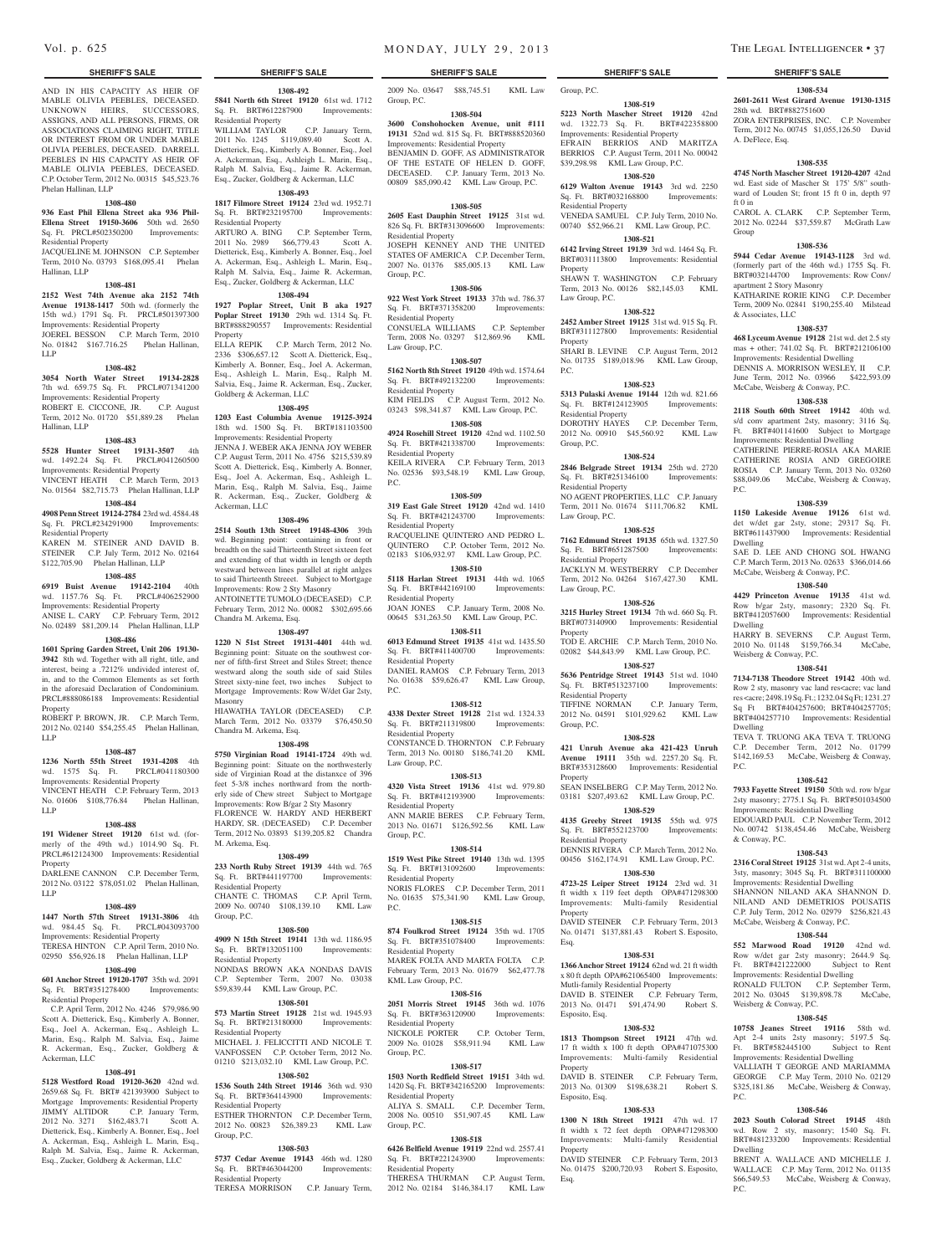AND IN HIS CAPACITY AS HEIR OF MABLE OLIVIA PEEBLES, DECEASED. UNKNOWN HEIRS, SUCCESSORS, ASSIGNS, AND ALL PERSONS, FIRMS, OR ASSOCIATIONS CLAIMING RIGHT, TITLE OR INTEREST FROM OR UNDER MABLE OLIVIA PEEBLES, DECEASED. DARRELL PEEBLES IN HIS CAPACITY AS HEIR OF MABLE OLIVIA PEEBLES, DECEASED. C.P. October Term, 2012 No. 00315 \$45,523.76 Phelan Hallinan, LLP

#### **1308-480**

#### **936 East Phil Ellena Street aka 936 Phil-Ellena Street 19150-3606** 50th wd. 2650 Sq. Ft. PRCL#502350200 Improvements: Residential Property

JACQUELINE M. JOHNSON C.P. September Term, 2010 No. 03793 \$168,095.41 Phelan Hallinan, LLP

### **1308-481**

**2152 West 74th Avenue aka 2152 74th Avenue 19138-1417** 50th wd. (formerly the 15th wd.) 1791 Sq. Ft. PRCL#501397300 Improvements: Residential Property JOEREL BESSON C.P. March Term, 2010 No. 01842 \$167.716.25 Phelan Hallinan, LLP

#### **1308-482**

**3054 North Water Street 19134-2828**  7th wd. 659.75 Sq. Ft. PRCL#071341200 Improvements: Residential Property ROBERT E. CICCONE, JR. C.P. August Term, 2012 No. 01720 \$51,889.28 Phelan Hallinan, LLP

#### **1308-483**

**5528 Hunter Street 19131-3507** 4th wd. 1492.24 Sq. Ft. PRCL#041260500 Improvements: Residential Property

### VINCENT HEATH C.P. March Term, 2013 No. 01564 \$82,715.73 Phelan Hallinan, LLP **1308-484**

**4908 Penn Street 19124-2784** 23rd wd. 4584.48 Sq. Ft. PRCL#234291900 Improvements: Residential Property

KAREN M. STEINER AND DAVID B. STEINER C.P. July Term, 2012 No. 02164 \$122,705.90 Phelan Hallinan, LLP

# **1308-485**

**6919 Buist Avenue 19142-2104** 40th wd. 1157.76 Sq. Ft. PRCL#406252900 Improvements: Residential Property ANISE L. CARY C.P. February Term, 2012 No. 02489 \$81,209.14 Phelan Hallinan, LLP

# **1308-486**

**1601 Spring Garden Street, Unit 206 19130- 3942** 8th wd. Together with all right, title, and interest, being a .7212% undivided interest of, in, and to the Common Elements as set forth in the aforesaid Declaration of Condominium. PRCL#888086188 Improvements: Residential Property ROBERT P. BROWN, JR. C.P. March Term,

2012 No. 02140 \$54,255.45 Phelan Hallinan, LLP

#### **1308-487**

**1236 North 55th Street 1931-4208** 4th wd. 1575 Sq. Ft. PRCL#041180300 Improvements: Residential Property VINCENT HEATH C.P. February Term, 2013 No. 01606 \$108,776.84 Phelan Hallinan, LLP

#### **1308-488**

**191 Widener Street 19120** 61st wd. (formerly of the 49th wd.) 1014.90 Sq. Ft. PRCL#612124300 Improvements: Residential Property

DARLENE CANNON C.P. December Term, 2012 No. 03122 \$78,051.02 Phelan Hallinan, LLP

# **1308-489**

**1447 North 57th Street 19131-3806** 4th wd. 984.45 Sq. Ft. PRCL#043093700 Improvements: Residential Property TERESA HINTON C.P. April Term, 2010 No. 02950 \$56,926.18 Phelan Hallinan, LLP

# **1308-490**

**601 Anchor Street 19120-1707** 35th wd. 2091 Sq. Ft. BRT#351278400 Improvements:

Residential Property C.P. April Term, 2012 No. 4246 \$79,986.90 Scott A. Dietterick, Esq., Kimberly A. Bonner, Esq., Joel A. Ackerman, Esq., Ashleigh L. Marin, Esq., Ralph M. Salvia, Esq., Jaime R. Ackerman, Esq., Zucker, Goldberg & Ackerman, LLC

# **1308-491**

**5128 Westford Road 19120-3620** 42nd wd. 2659.68 Sq. Ft. BRT# 421393900 Subject to Mortgage Improvements: Residential Property JIMMY ALTIDOR C.P. January Term, 2012 No. 3271 \$162,483.71 Scott A. Dietterick, Esq., Kimberly A. Bonner, Esq., Joel A. Ackerman, Esq., Ashleigh L. Marin, Esq., Ralph M. Salvia, Esq., Jaime R. Ackerman, Esq., Zucker, Goldberg & Ackerman, LLC

**1308-492 5841 North 6th Street 19120** 61st wd. 1712 Sq. Ft. BRT#612287900 Improvements: Residential Property WILLIAM TAYLOR C.P. January Term, 2011 No. 1245 \$119,089.40 Scott A.

Dietterick, Esq., Kimberly A. Bonner, Esq., Joel A. Ackerman, Esq., Ashleigh L. Marin, Esq., Ralph M. Salvia, Esq., Jaime R. Ackerman, Esq., Zucker, Goldberg & Ackerman, LLC **1308-493**

# **1817 Filmore Street 19124** 23rd wd. 1952.71 Sq. Ft. BRT#232195700 Improvements:

Residential Property ARTURO A. BING C.P. September Term, 2011 No. 2989 \$66,779.43 Scott A. Dietterick, Esq., Kimberly A. Bonner, Esq., Joel A. Ackerman, Esq., Ashleigh L. Marin, Esq., Ralph M. Salvia, Esq., Jaime R. Ackerman, Esq., Zucker, Goldberg & Ackerman, LLC

**1308-494 1927 Poplar Street, Unit B aka 1927 Poplar Street 19130** 29th wd. 1314 Sq. Ft. BRT#888290557 Improvements: Residential Property ELLA REPIK C.P. March Term, 2012 No.

2336 \$306,657.12 Scott A. Dietterick, Esq., Kimberly A. Bonner, Esq., Joel A. Ackerman, Esq., Ashleigh L. Marin, Esq., Ralph M. Salvia, Esq., Jaime R. Ackerman, Esq., Zucker, Goldberg & Ackerman, LLC

### **1308-495**

**1203 East Columbia Avenue 19125-3924**  18th wd. 1500 Sq. Ft. BRT#181103500 Improvements: Residential Property

JENNA J. WEBER AKA JENNA JOY WEBER C.P. August Term, 2011 No. 4756 \$215,539.89 Scott A. Dietterick, Esq., Kimberly A. Bonner, Esq., Joel A. Ackerman, Esq., Ashleigh L. Marin, Esq., Ralph M. Salvia, Esq., Jaime R. Ackerman, Esq., Zucker, Goldberg & Ackerman, LLC

### **1308-496**

**2514 South 13th Street 19148-4306** 39th wd. Beginning point: containing in front or breadth on the said Thirteenth Street sixteen feet and extending of that width in length or depth westward between lines parallel at right anlges to said Thirteenth Streeet. Subject to Mortgage Improvements: Row 2 Sty Masonry ANTOINETTE TUMOLO (DECEASED) C.P. February Term, 2012 No. 00082 \$302,695.66 Chandra M. Arkema, Esq.

# **1308-497**

**1220 N 51st Street 19131-4401** 44th wd. Beginning point: Situate on the southwest corner of fifth-first Street and Stiles Street; thence westward along the south side of said Stiles Street sixty-nine feet, two inches Subject to Mortgage Improvements: Row W/det Gar 2sty, Masonry HIAWATHA TAYLOR (DECEASED) C.P.

March Term, 2012 No. 03379 \$76,450.50 Chandra M. Arkema, Esq.

### **1308-498**

**5750 Virginian Road 19141-1724** 49th wd. Beginning point: Situate on the northwesterly side of Virginian Road at the distanxce of 396 feet 5-3/8 inches northward from the northerly side of Chew street Subject to Mortgage Improvements: Row B/gar 2 Sty Masonry FLORENCE W. HARDY AND HERBERT HARDY, SR. (DECEASED) C.P. December Term, 2012 No. 03893 \$139,205.82 Chandra M. Arkema, Esq.

#### **1308-499**

**233 North Ruby Street 19139** 44th wd. 765 Sq. Ft. BRT#441197700 Improvements:

Residential Property CHANTE C. THOMAS C.P. April Term, 2009 No. 00740 \$108,139.10 KML Law Group, P.C.

#### **1308-500**

**4909 N 15th Street 19141** 13th wd. 1186.95 Sq. Ft. BRT#132051100 Improvements: Residential Property NONDAS BROWN AKA NONDAS DAVIS

C.P. September Term, 2007 No. 03038 \$59,839.44 KML Law Group, P.C. **1308-501**

**573 Martin Street 19128** 21st wd. 1945.93 Sq. Ft. BRT#213180000 Improvements: Residential Property MICHAEL J. FELICCITTI AND NICOLE T. VANFOSSEN C.P. October Term, 2012 No. 01210 \$213,032.10 KML Law Group, P.C.

#### **1308-502**

**1536 South 24th Street 19146** 36th wd. 930 Sq. Ft. BRT#364143900 Improvements: Residential Property ESTHER THORNTON C.P. December Term, 2012 No. 00823 \$26,389.23 KML Law Group, P.C.

#### **1308-503**

**5737 Cedar Avenue 19143** 46th wd. 1280 Sq. Ft. BRT#463044200 Improvements: Residential Property

TERESA MORRISON C.P. January Term,

#### **SHERIFF'S SALE SHERIFF'S SALE SHERIFF'S SALE SHERIFF'S SALE SHERIFF'S SALE**

2009 No. 03647 \$88,745.51 KML Law Group, P.C. Group, P.C.

#### **1308-504**

**3600 Conshohocken Avenue, unit #111 19131** 52nd wd. 815 Sq. Ft. BRT#888520360 Improvements: Residential Property BENJAMIN D. GOFF, AS ADMINISTRATOR OF THE ESTATE OF HELEN D. GOFF, DECEASED. C.P. January Term, 2013 No. 00809 \$85,090.42 KML Law Group, P.C.

#### **1308-505**

**2605 East Dauphin Street 19125** 31st wd. 826 Sq. Ft. BRT#313096600 Improvements: Residential Property JOSEPH KENNEY AND THE UNITED STATES OF AMERICA C.P. December Term, 2007 No. 01376 \$85,005.13 KML Law Group, P.C.

#### **1308-506**

**922 West York Street 19133** 37th wd. 786.37 Sq. Ft. BRT#371358200 Improvements: Residential Property CONSUELA WILLIAMS C.P. September Term, 2008 No. 03297 \$12,869.96 KML Law Group, P.C.

#### **1308-507**

**5162 North 8th Street 19120** 49th wd. 1574.64 Sq. Ft. BRT#492132200 Improvements: Residential Property KIM FIELDS C.P. August Term, 2012 No. 03243 \$98,341.87 KML Law Group, P.C.

### **1308-508**

**4924 Rosehill Street 19120** 42nd wd. 1102.50 Sq. Ft. BRT#421338700 Improvements: Residential Property KEILA RIVERA C.P. February Term, 2013 No. 02536 \$93,548.19 KML Law Group,

#### **1308-509**

P.C.

**319 East Gale Street 19120** 42nd wd. 1410 Sq. Ft. BRT#421243700 Improvements: Residential Property RACQUELINE QUINTERO AND PEDRO L. QUINTERO C.P. October Term, 2012 No. 02183 \$106,932.97 KML Law Group, P.C.

**1308-510 5118 Harlan Street 19131** 44th wd. 1065

Sq. Ft. BRT#442169100 Improvements: Residential Property JOAN JONES C.P. January Term, 2008 No. 00645 \$31,263.50 KML Law Group, P.C.

# **1308-511**

**6013 Edmund Street 19135** 41st wd. 1435.50 Sq. Ft. BRT#411400700 Improvements: Residential Property DANIEL RAMOS C.P. February Term, 2013

No. 01638 \$59,626.47 KML Law Group, P.C.

#### **1308-512**

**4338 Dexter Street 19128** 21st wd. 1324.33 Sq. Ft. BRT#211319800 Improvements: Residential Property CONSTANCE D. THORNTON C.P. February Term, 2013 No. 00180 \$186,741.20 KML Law Group, P.C.

### **1308-513**

**4320 Vista Street 19136** 41st wd. 979.80 Sq. Ft. BRT#412193900 Improvements: Residential Property ANN MARIE BERES C.P. February Term, 2013 No. 01671 \$126,592.56 KML Law Group, P.C.

### **1308-514**

**1519 West Pike Street 19140** 13th wd. 1395 Sq. Ft. BRT#131092600 Improvements: Residential Property NORIS FLORES C.P. December Term, 2011 No. 01635 \$75,341.90 KML Law Group,  $PC$ .

#### **1308-515**

**874 Foulkrod Street 19124** 35th wd. 1705 Sq. Ft. BRT#351078400 Improvements: Residential Property MAREK FOLTA AND MARTA FOLTA C.P. February Term, 2013 No. 01679 \$62,477.78 KML Law Group, P.C.

### **1308-516**

**2051 Morris Street 19145** 36th wd. 1076 Sq. Ft. BRT#363120900 Improvements: Residential Property NICKOLE PORTER C.P. October Term, 2009 No. 01028 \$58,911.94 KML Law Group, P.C.

#### **1308-517**

**1503 North Redfield Street 19151** 34th wd. 1420 Sq. Ft. BRT#342165200 Improvements: Residential Property C.P. December Term, 2008 No. 00510 \$51,907.45 KML Law Group, P.C.

#### **1308-518**

**6426 Belfield Avenue 19119** 22nd wd. 2557.41 Sq. Ft. BRT#221243900 Improvements: Residential Property THERESA THURMAN C.P. August Term, 2012 No. 02184 \$146,384.17 KML Law

P.C. **1308-523 5313 Pulaski Avenue 19144** 12th wd. 821.66 Sq. Ft. BRT#124123905 Improvements:

Residential Property

Residential Property

Law Group, P.C.

Residential Property

Residential Property

Group, P.C.

Property

Property

Esposito, Esq.

Property

Property

Esq.

Esposito, Esq.

Esq.

Property

Law Group, P.C.

Residential Property

Property

Property

Law Group, P.C.

Residential Property DOROTHY HAYES C.P. December Term, 2012 No. 00910 \$45,560.92 KML Law Group, P.C.

Sq. Ft. BRT#251346100 Improvements:

NO AGENT PROPERTIES, LLC C.P. January Term, 2011 No. 01674 \$111,706.82 KML

**1308-525 7162 Edmund Street 19135** 65th wd. 1327.50 Sq. Ft. BRT#651287500 Improvements:

JACKLYN M. WESTBERRY C.P. December Term, 2012 No. 04264 \$167,427.30 KML

**1308-526 3215 Hurley Street 19134** 7th wd. 660 Sq. Ft. BRT#073140900 Improvements: Residential

TOD E. ARCHIE C.P. March Term, 2010 No. 02082 \$44,843.99 KML Law Group, P.C. **1308-527 5636 Pentridge Street 19143** 51st wd. 1040 Sq. Ft. BRT#513237100 Improvements:

TIFFINE NORMAN C.P. January Term, 2012 No. 04591 \$101,929.62 KML Law

**1308-528 421 Unruh Avenue aka 421-423 Unruh Avenue 19111** 35th wd. 2257.20 Sq. Ft. BRT#353128600 Improvements: Residential

SEAN INSELBERG C.P. May Term, 2012 No. 03181 \$207,493.62 KML Law Group, P.C. **1308-529 4135 Greeby Street 19135** 55th wd. 975 Sq. Ft. BRT#552123700 Improvements:

DENNIS RIVERA C.P. March Term, 2012 No. 00456 \$162,174.91 KML Law Group, P.C. **1308-530 4723-25 Leiper Street 19124** 23rd wd. 31 ft width x 119 feet depth OPA#471298300 Improvements: Multi-family Residential

DAVID STEINER C.P. February Term, 2013 No. 01471 \$137,881.43 Robert S. Esposito,

**1308-531 1366 Anchor Street 19124** 62nd wd. 21 ft width x 80 ft depth OPA#621065400 Improvements: Mutli-family Residential Property DAVID B. STEINER C.P. February Term, 2013 No. 01471 \$91,474.90 Robert S.

**1308-532 1813 Thompson Street 19121** 47th wd. 17 ft width x 100 ft depth OPA#471075300 Improvements: Multi-family Residential

DAVID B. STEINER C.P. February Term, 2013 No. 01309 \$198,638.21 Robert S.

**1308-533 1300 N 18th Street 19121** 47th wd. 17 ft width x 72 feet depth OPA#471298300 Improvements: Multi-family Residential

DAVID STEINER C.P. February Term, 2013 No. 01475 \$200,720.93 Robert S. Esposito,

**1308-519 5223 North Mascher Street 19120** 42nd wd. 1322.73 Sq. Ft. BRT#422358800 Improvements: Residential Property EFRAIN BERRIOS AND MARITZA BERRIOS C.P. August Term, 2011 No. 00042 \$39,298.98 KML Law Group, P.C. **1308-520 6129 Walton Avenue 19143** 3rd wd. 2250 Sq. Ft. BRT#032168800 Improvements:

**1308-534 2601-2611 West Girard Avenue 19130-1315** 

ZORA ENTERPRISES, INC. C.P. November Term, 2012 No. 00745 \$1,055,126.50 David

**1308-535 4745 North Mascher Street 19120-4207** 42nd wd. East side of Mascher St 175' 5/8" southward of Louden St; front 15 ft 0 in, depth 97

CAROL A. CLARK C.P. September Term, 2012 No. 02244 \$37,559.87 McGrath Law

**1308-536 5944 Cedar Avenue 19143-1128** 3rd wd. (formerly part of the 46th wd.) 1755 Sq. Ft. BRT#032144700 Improvements: Row Conv/

KATHARINE RORIE KING C.P. December Term, 2009 No. 02841 \$190,255.40 Milstead

**1308-537 468 Lyceum Avenue 19128** 21st wd. det 2.5 sty mas + other; 741.02 Sq. Ft. BRT#212106100 Improvements: Residential Dwelling DENNIS A. MORRISON WESLEY, II C.P. June Term, 2012 No. 03966 \$422,593.09 McCabe, Weisberg & Conway, P.C. **1308-538 2118 South 60th Street 19142** 40th wd. s/d conv apartment 2sty, masonry; 3116 Sq. Ft. BRT#401141600 Subject to Mortgage Improvements: Residential Dwelling CATHERINE PIERRE-ROSIA AKA MARIE CATHERINE ROSIA AND GREGOIRE ROSIA C.P. January Term, 2013 No. 03260 \$88,049.06 McCabe, Weisberg & Conway,

**1308-539 1150 Lakeside Avenue 19126** 61st wd. det w/det gar 2sty, stone; 29317 Sq. Ft. BRT#611437900 Improvements: Residential

SAE D. LEE AND CHONG SOL HWANG C.P. March Term, 2013 No. 02633 \$366,014.66 McCabe, Weisberg & Conway, P.C. **1308-540 4429 Princeton Avenue 19135** 41st wd. Row b/gar 2sty, masonry; 2320 Sq. Ft. BRT#412057600 Improvements: Residential

HARRY B. SEVERNS C.P. August Term, 2010 No. 01148 \$159,766.34 McCabe,

**1308-541 7134-7138 Theodore Street 19142** 40th wd. Row 2 sty, masonry vac land res<acre; vac land res <acre; 2498.19 Sq. Ft.; 1232.04 Sq Ft; 1231.27 Sq Ft BRT#404257600; BRT#404257705; BRT#404257710 Improvements: Residential

TEVA T. TRUONG AKA TEVA T. TRUONG C.P. December Term, 2012 No. 01799 \$142,169.53 McCabe, Weisberg & Conway,

**1308-542 7933 Fayette Street 19150** 50th wd. row b/gar 2sty masonry; 2775.1 Sq. Ft. BRT#501034500 Improvements: Residential Dwelling EDOUARD PAUL C.P. November Term, 2012 No. 00742 \$138,454.46 McCabe, Weisberg

**1308-543 2316 Coral Street 19125** 31st wd. Apt 2-4 units, 3sty, masonry; 3045 Sq. Ft. BRT#311100000 Improvements: Residential Dwelling SHANNON NILAND AKA SHANNON D. NILAND AND DEMETRIOS POUSATIS C.P. July Term, 2012 No. 02979 \$256,821.43 McCabe, Weisberg & Conway, P.C. **1308-544 552 Marwood Road 19120** 42nd wd. Row w/det gar 2sty masonry; 2644.9 Sq. Ft. BRT#421222000 Subject to Rent Improvements: Residential Dwelling RONALD FULTON C.P. September Term, 2012 No. 03045 \$139,898.78 McCabe,

28th wd. BRT#882751600

apartment 2 Story Masonry

& Associates, LLC

A. DeFlece, Esq.

ft 0 in

Group

P.C.

Dwelling

Dwelling

Dwelling

& Conway, P.C.

Weisberg & Conway, P.C.

P.C.

Dwelling

P.C.

**1308-545 10758 Jeanes Street 19116** 58th wd. Apt 2-4 units 2sty masonry; 5197.5 Sq. Ft. BRT#582445100 Subject to Rent Improvements: Residential Dwelling VALLIATH T GEORGE AND MARIAMMA GEORGE C.P. May Term, 2010 No. 02129 \$325,181.86 McCabe, Weisberg & Conway,

**1308-546 2023 South Colorad Street 19145** 48th wd. Row 2 sty, masonry; 1540 Sq. Ft. BRT#481233200 Improvements: Residential

BRENT A. WALLACE AND MICHELLE J. WALLACE C.P. May Term, 2012 No. 01135<br>\$66,549.53 McCabe, Weisberg & Conway,

McCabe, Weisberg & Conway,

P.C.

Weisberg & Conway, P.C.

VENEDA SAMUEL C.P. July Term, 2010 No. 00740 \$52,966.21 KML Law Group, P.C. **1308-521 6142 Irving Street 19139** 3rd wd. 1464 Sq. Ft. BRT#031113800 Improvements: Residential

SHAWN T. WASHINGTON C.P. February Term, 2013 No. 00126 \$82,145.03 KML

**1308-522 2452 Amber Street 19125** 31st wd. 915 Sq. Ft. BRT#311127800 Improvements: Residential

SHARI B. LEVINE C.P. August Term, 2012 No. 01735 \$189,018.96 KML Law Group,

#### **1308-524 2846 Belgrade Street 19134** 25th wd. 2720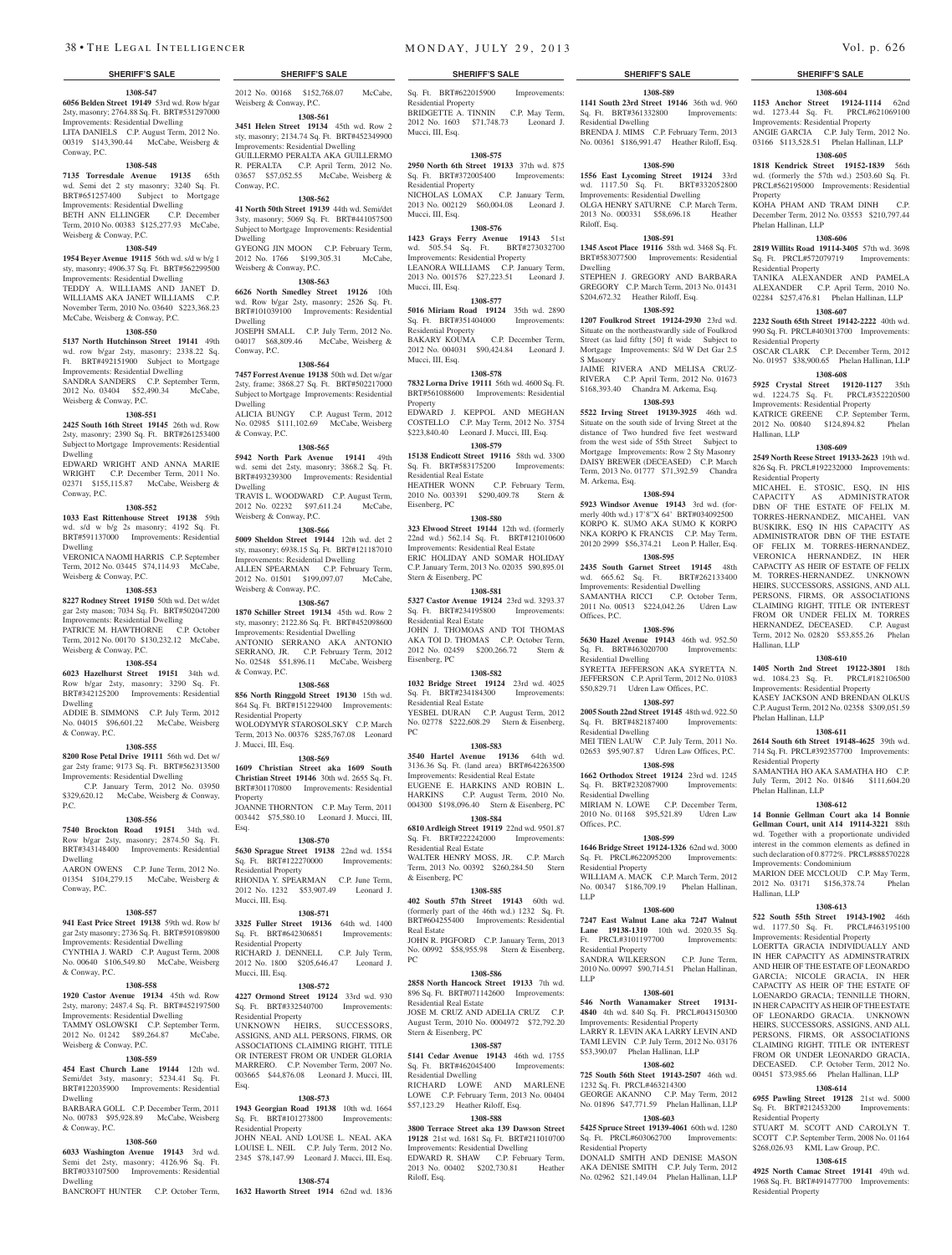**1308-547 6056 Belden Street 19149** 53rd wd. Row b/gar 2sty, masonry; 2764.88 Sq. Ft. BRT#531297000 Improvements: Residential Dwelling LITA DANIELS C.P. August Term, 2012 No. 00319 \$143,390.44 McCabe, Weisberg & Conway, P.C.

#### **1308-548**

**7135 Torresdale Avenue 19135** 65th wd. Semi det 2 sty masonry; 3240 Sq. Ft. BRT#651257400 Subject to Mortgage Improvements: Residential Dwelling BETH ANN ELLINGER C.P. December Term, 2010 No. 00383 \$125,277.93 McCabe, Weisberg & Conway, P.C.

#### **1308-549**

**1954 Beyer Avenue 19115** 56th wd. s/d w b/g 1 sty, masonry; 4906.37 Sq. Ft. BRT#562299500 Improvements: Residential Dwelling TEDDY A. WILLIAMS AND JANET D. WILLIAMS AKA JANET WILLIAMS C.P. November Term, 2010 No. 03640 \$223,368.23 McCabe, Weisberg & Conway, P.C.

### **1308-550**

**5137 North Hutchinson Street 19141** 49th wd. row b/gar 2sty, masonry; 2338.22 Sq. Ft. BRT#492151900 Subject to Mortgage Improvements: Residential Dwelling SANDRA SANDERS C.P. September Term,<br>2012 No. 03404 \$52,490.34 McCabe. 2012 No. 03404 \$52,490.34

Weisberg & Conway, P.C. **1308-551**

#### **2425 South 16th Street 19145** 26th wd. Row 2sty, masonry; 2390 Sq. Ft. BRT#261253400 Subject to Mortgage Improvements: Residential Dwelling

EDWARD WRIGHT AND ANNA MARIE WRIGHT C.P. December Term, 2011 No. 02371 \$155,115.87 McCabe, Weisberg & Conway, P.C.

#### **1308-552**

**1033 East Rittenhouse Street 19138** 59th wd. s/d w b/g 2s masonry; 4192 Sq. Ft. BRT#591137000 Improvements: Residential Dwelling VERONICA NAOMI HARRIS C.P. September Term, 2012 No. 03445 \$74,114.93 McCabe, Weisberg & Conway, P.C.

#### **1308-553**

**8227 Rodney Street 19150** 50th wd. Det w/det gar 2sty mason; 7034 Sq. Ft. BRT#502047200 Improvements: Residential Dwelling PATRICE M. HAWTHORNE C.P. October Term, 2012 No. 00170 \$130,232.12 McCabe,

#### **1308-554**

Weisberg & Conway, P.C.

**6023 Hazelhurst Street 19151** 34th wd. Row b/gar 2sty, masonry; 3290 Sq. Ft. BRT#342125200 Improvements: Residential Dwelling

#### ADDIE B. SIMMONS C.P. July Term, 2012 No. 04015 \$96,601.22 McCabe, Weisberg & Conway, P.C.

#### **1308-555**

**8200 Rose Petal Drive 19111** 56th wd. Det w/ gar 2sty frame; 9173 Sq. Ft. BRT#562313500 Improvements: Residential Dwelling C.P. January Term, 2012 No. 03950 \$329,620.12 McCabe, Weisberg & Conway, P.C.

#### **1308-556**

**7540 Brockton Road 19151** 34th wd. Row b/gar 2sty, masonry; 2874.50 Sq. Ft. BRT#343148400 Improvements: Residential Dwelling AARON OWENS C.P. June Term, 2012 No.

01354 \$104,279.15 McCabe, Weisberg & Conway, P.C.

### **1308-557**

**941 East Price Street 19138** 59th wd. Row b/ gar 2sty masonry; 2736 Sq. Ft. BRT#591089800 Improvements: Residential Dwelling CYNTHIA J. WARD C.P. August Term, 2008 No. 00640 \$106,549.80 McCabe, Weisberg & Conway, P.C.

### **1308-558**

**1920 Castor Avenue 19134** 45th wd. Row 2sty, marony; 2487.4 Sq. Ft. BRT#452197500 Improvements: Residential Dwelling TAMMY OSLOWSKI C.P. September Term, 2012 No. 01242 \$89,264.87 McCabe, Weisberg & Conway, P.C.

#### **1308-559**

**454 East Church Lane 19144** 12th wd. Semi/det 3sty, masonry; 5234.41 Sq. Ft. BRT#122035900 Improvements: Residential Dwelling

BARBARA GOLL C.P. December Term, 2011 No. 00783 \$95,928.89 McCabe, Weisberg & Conway, P.C.

#### **1308-560**

Semi det 2sty, masonry; 4126.96 Sq. Ft. BRT#033107500 Improvements: Residential Dwelling

BANCROFT HUNTER C.P. October Term,

2012 No. 00168 \$152,768.07 McCabe, Weisberg & Conway, P.C. **1308-561**

**3451 Helen Street 19134** 45th wd. Row 2 sty, masonry; 2134.74 Sq. Ft. BRT#452349900 Improvements: Residential Dwelling GUILLERMO PERALTA AKA GUILLERMO R. PERALTA C.P. April Term, 2012 No. 03657 \$57,052.55 McCabe, Weisberg & Conway, P.C.

#### **1308-562**

**41 North 50th Street 19139** 44th wd. Semi/det 3sty, masonry; 5069 Sq. Ft. BRT#441057500 Subject to Mortgage Improvements: Residential Dwelling GYEONG JIN MOON C.P. February Term, 2012 No. 1766 \$199,305.31 McCabe,

### Weisberg & Conway, P.C. **1308-563**

**6626 North Smedley Street 19126** 10th wd. Row b/gar 2sty, masonry; 2526 Sq. Ft. BRT#101039100 Improvements: Residential Dwelling JOSEPH SMALL C.P. July Term, 2012 No. 04017 \$68,809.46 McCabe, Weisberg & Conway, P.C.

#### **1308-564**

**7457 Forrest Avenue 19138** 50th wd. Det w/gar 2sty, frame; 3868.27 Sq. Ft. BRT#502217000 Subject to Mortgage Improvements: Residential Dwelling ALICIA BUNGY C.P. August Term, 2012 No. 02985 \$111,102.69 McCabe, Weisberg & Conway, P.C.

#### **1308-565**

**5942 North Park Avenue 19141** 49th wd. semi det 2sty, masonry; 3868.2 Sq. Ft. BRT#493239300 Improvements: Residential Dwelling TRAVIS L. WOODWARD C.P. August Term, 2012 No. 02232 \$97,611.24 McCabe, Weisberg & Conway, P.C.

# **1308-566**

**5009 Sheldon Street 19144** 12th wd. det 2 sty, masonry; 6938.15 Sq. Ft. BRT#121187010 Improvements: Residential Dwelling

ALLEN SPEARMAN C.P. February Term, 2012 No. 01501 \$199,097.07 McCabe, Weisberg & Conway, P.C.

#### **1308-567**

**1870 Schiller Street 19134** 45th wd. Row 2 sty, masonry; 2122.86 Sq. Ft. BRT#452098600 Improvements: Residential Dwelling ANTONIO SERRANO AKA ANTONIO SERRANO, JR. C.P. February Term, 2012 No. 02548 \$51,896.11 McCabe, Weisberg & Conway, P.C.

#### **1308-568**

**856 North Ringgold Street 19130** 15th wd. 864 Sq. Ft. BRT#151229400 Improvements: Residential Property WOLODYMYR STAROSOLSKY C.P. March Term, 2013 No. 00376 \$285,767.08 Leonard J. Mucci, III, Esq.

#### **1308-569**

**1609 Christian Street aka 1609 South Christian Street 19146** 30th wd. 2655 Sq. Ft. BRT#301170800 Improvements: Residential Property JOANNE THORNTON C.P. May Term, 2011 003442 \$75,580.10 Leonard J. Mucci, III,

### **1308-570**

Esq.

**5630 Sprague Street 19138** 22nd wd. 1554 Sq. Ft. BRT#122270000 Improvements: Residential Property RHONDA Y. SPEARMAN C.P. June Term, 2012 No. 1232 \$53,907.49 Leonard J. Mucci, III, Esq.

# **1308-571**

**3325 Fuller Street 19136** 64th wd. 1400 Sq. Ft. BRT#642306851 Improvements: Residential Property RICHARD J. DENNELL C.P. July Term, 2012 No. 1800 \$205,646.47 Leonard J. Mucci, III, Esq.

#### **1308-572**

**4227 Ormond Street 19124** 33rd wd. 930 Sq. Ft. BRT#332540700 Improvements: Residential Property UNKNOWN HEIRS, SUCCESSORS, ASSIGNS, AND ALL PERSONS, FIRMS, OR **SSOCIATIONS CLAIMING RIGHT, TITLE** OR INTEREST FROM OR UNDER GLORIA MARRERO. C.P. November Term, 2007 No. 003665 \$44,876.08 Leonard J. Mucci, III, Esq.

#### **1308-573**

**1943 Georgian Road 19138** 10th wd. 1664 Sq. Ft. BRT#101273800 Improvements: Residential Property JOHN NEAL AND LOUSE L. NEAL AKA

**6033 Washington Avenue 19143** 3rd wd. LOUISE L. NEIL C.P. July Term, 2012 No. 2345 \$78,147.99 Leonard J. Mucci, III, Esq.

#### **SHERIFF'S SALE SHERIFF'S SALE SHERIFF'S SALE SHERIFF'S SALE SHERIFF'S SALE**

Sq. Ft. BRT#622015900 Improvements: Residential Property BRIDGETTE A. TINNIN C.P. May Term, 2012 No. 1603 \$71,748.73 Leonard J. Mucci, III, Esq.

#### **1308-575**

**2950 North 6th Street 19133** 37th wd. 875 Sq. Ft. BRT#372005400 Improvements: Residential Property

NICHOLAS LOMAX C.P. January Term, 2013 No. 002129 \$60,004.08 Leonard J. Mucci, III, Esq.

#### **1308-576**

**1423 Grays Ferry Avenue 19143** 51st wd. 505.54 Sq. Ft. BRT#273032700 Improvements: Residential Property LEANORA WILLIAMS C.P. January Term, 2013 No. 001576 \$27,223.51 Leonard J. Mucci, III, Esq.

#### **1308-577**

**5016 Miriam Road 19124** 35th wd. 2890 Sq. Ft. BRT#351404000 Improvements: Residential Property BAKARY KOUMA C.P. December Term, 2012 No. 004031 \$90,424.84 Leonard J. Mucci, III, Esq.

### **1308-578**

**7832 Lorna Drive 19111** 56th wd. 4600 Sq. Ft. BRT#561088600 Improvements: Residential Property EDWARD J. KEPPOL AND MEGHAN

COSTELLO C.P. May Term, 2012 No. 3754 \$223,840.40 Leonard J. Mucci, III, Esq. **1308-579 15138 Endicott Street 19116** 58th wd. 3300

Sq. Ft. BRT#583175200 Improvements: Residential Real Estate C.P. February Term, 2010 No. 003391 \$290,409.78 Stern &

Eisenberg, PC **1308-580**

#### **323 Elwood Street 19144** 12th wd. (formerly

22nd wd.) 562.14 Sq. Ft. BRT#121010600 Improvements: Residential Real Estate ERIC HOLIDAY AND SOMAR HOLIDAY C.P. January Term, 2013 No. 02035 \$90,895.01 Stern & Eisenberg, PC

### **1308-581**

**5327 Castor Avenue 19124** 23rd wd. 3293.37 Sq. Ft. BRT#234195800 Improvements: Residential Real Estate JOHN J. THOMOAS AND TOI THOMAS AKA TOI D. THOMAS C.P. October Term, 2012 No. 02459 \$200,266.72 Stern & Eisenberg, PC

# **1308-582**

**1032 Bridge Street 19124** 23rd wd. 4025 Sq. Ft. BRT#234184300 Improvements: Residential Real Estate YESBEL DURAN C.P. August Term, 2012 No. 02778 \$222,608.29 Stern & Eisenberg,

#### **1308-583**

PC

**3540 Hartel Avenue 19136** 64th wd. 3136.36 Sq. Ft. (land area) BRT#642263500 Improvements: Residential Real Estate EUGENE E. HARKINS AND ROBIN L. HARKINS C.P. August Term, 2010 No. 004300 \$198,096.40 Stern & Eisenberg, PC **1308-584**

#### **6810 Ardleigh Street 19119** 22nd wd. 9501.87

Sq. Ft. BRT#222242000 Improvements: Residential Real Estate WALTER HENRY MOSS, JR. C.P. March Term, 2013 No. 00392 \$260,284.50 Stern & Eisenberg, PC

#### **1308-585**

**402 South 57th Street 19143** 60th wd. (formerly part of the 46th wd.) 1232 Sq. Ft. BRT#604255400 Improvements: Residential Real Estate JOHN R. PIGFORD C.P. January Term, 2013

No. 00992 \$58,955.98 Stern & Eisenberg, PC

### **1308-586**

**2858 North Hancock Street 19133** 7th wd. 896 Sq. Ft. BRT#071142600 Improvements: Residential Real Estate JOSE M. CRUZ AND ADELIA CRUZ C.P. August Term, 2010 No. 0004972 \$72,792.20 Stern & Eisenberg, PC

# **1308-587**

**5141 Cedar Avenue 19143** 46th wd. 1755 Sq. Ft. BRT#462045400 Improvements: Residential Dwelling RICHARD LOWE AND MARLENE LOWE C.P. February Term, 2013 No. 00404

\$57,123.29 Heather Riloff, Esq. **1308-588**

#### **3800 Terrace Street aka 139 Dawson Street 19128** 21st wd. 1681 Sq. Ft. BRT#211010700

Improvements: Residential Dwelling EDWARD R. SHAW C.P. February Term, 2013 No. 00402 \$202,730.81 Heather Riloff, Esq.

# **1308-589**

**1141 South 23rd Street 19146** 36th wd. 960 Sq. Ft. BRT#361332800 Improvements:

**1308-604 1153 Anchor Street 19124-1114** 62nd wd. 1273.44 Sq. Ft. PRCL#621069100 Improvements: Residential Property ANGIE GARCIA C.P. July Term, 2012 No. 03166 \$113,528.51 Phelan Hallinan, LLP **1308-605 1818 Kendrick Street 19152-1839** 56th wd. (formerly the 57th wd.) 2503.60 Sq. Ft. PRCL#562195000 Improvements: Residential

KOHA PHAM AND TRAM DINH C.P. December Term, 2012 No. 03553 \$210,797.44

**1308-606 2819 Willits Road 19114-3405** 57th wd. 3698 Sq. Ft. PRCL#572079719 Improvements:

TANIKA ALEXANDER AND PAMELA ALEXANDER C.P. April Term, 2010 No. 02284 \$257,476.81 Phelan Hallinan, LLP **1308-607 2232 South 65th Street 19142-2222** 40th wd. 990 Sq. Ft. PRCL#403013700 Improvements:

OSCAR CLARK C.P. December Term, 2012 No. 01957 \$38,900.65 Phelan Hallinan, LLP **1308-608 5925 Crystal Street 19120-1127** 35th wd. 1224.75 Sq. Ft. PRCL#352220500 Improvements: Residential Property KATRICE GREENE C.P. September Term, 2012 No. 00840 \$124,894.82 Phelan

**1308-609 2549 North Reese Street 19133-2623** 19th wd. 826 Sq. Ft. PRCL#192232000 Improvements:

MICAHEL E. STOSIC, ESQ, IN HIS CAPACITY AS ADMINISTRATOR DBN OF THE ESTATE OF FELIX M. TORRES-HERNANDEZ, MICAHEL VAN BUSKIRK, ESQ IN HIS CAPACITY AS ADMINISTRATOR DBN OF THE ESTATE OF FELIX M. TORRES-HERNANDEZ, VERONICA HERNANDEZ, IN HER CAPACITY AS HEIR OF ESTATE OF FELIX M. TORRES-HERNANDEZ. UNKNOWN HEIRS, SUCCESSORS, ASSIGNS, AND ALL PERSONS, FIRMS, OR ASSOCIATIONS CLAIMING RIGHT, TITLE OR INTEREST FROM OR UNDER FELIX M. TORRES HERNANDEZ, DECEASED. C.P. August Term, 2012 No. 02820 \$53,855.26 Phelan

**1308-610 1405 North 2nd Street 19122-3801** 18th wd. 1084.23 Sq. Ft. PRCL#182106500 Improvements: Residential Property KASEY JACKSON AND BRENDAN OLKUS C.P. August Term, 2012 No. 02358 \$309,051.59

**1308-611 2614 South 6th Street 19148-4625** 39th wd. 714 Sq. Ft. PRCL#392357700 Improvements:

SAMANTHA HO AKA SAMATHA HO C.P. July Term, 2012 No. 01846 \$111,604.20

**1308-612 14 Bonnie Gellman Court aka 14 Bonnie Gellman Court, unit A14 19114-3221** 88th wd. Together with a proportionate undivided interest in the common elements as defined in such declaration of 0.8772%. PRCL#888570228

MARION DEE MCCLOUD C.P. May Term, 2012 No. 03171 \$156,378.74 Phelan

**1308-613 522 South 55th Street 19143-1902** 46th wd. 1177.50 Sq. Ft. PRCL#463195100 Improvements: Residential Property LOERTTA GRACIA INDIVIDUALLY AND IN HER CAPACITY AS ADMINSTRATRIX AND HEIR OF THE ESTATE OF LEONARDO GARCIA; NICOLE GRACIA, IN HER CAPACITY AS HEIR OF THE ESTATE OF LOENARDO GRACIA: TENNILLE THORN IN HER CAPACITYAS HEIR OF THE ESTATE OF LEONARDO GRACIA. UNKNOWN HEIRS, SUCCESSORS, ASSIGNS, AND ALL PERSONS, FIRMS, OR ASSOCIATIONS

FROM OR UNDER LEONARDO GRACIA, DECEASED. C.P. October Term, 2012 No. 00451 \$73,985.66 Phelan Hallinan, LLP **1308-614 6955 Pawling Street 19128** 21st wd. 5000 Sq. Ft. BRT#212453200 Improvements:

STUART M. SCOTT AND CAROLYN T. SCOTT C.P. September Term, 2008 No. 01164 \$268,026.93 KML Law Group, P.C. **1308-615 4925 North Camac Street 19141** 49th wd. 1968 Sq. Ft. BRT#491477700 Improvements:

TITLE OR INTERFET

Property

Phelan Hallinan, LLP

Residential Property

Residential Property

Hallinan, LLP

Hallinan, LLP

Phelan Hallinan, LLP

Residential Property

Phelan Hallinan, LLP

Improvements: Condominium

Hallinan, LLP

Residential Property

Residential Property

Residential Property

BRENDA J. MIMS C.P. February Term, 2013 No. 00361 \$186,991.47 Heather Riloff, Esq.

**1308-590 1556 East Lycoming Street 19124** 33rd wd. 1117.50 Sq. Ft. BRT#332052800 Improvements: Residential Dwelling OLGA HENRY SATURNE C.P. March Term, 2013 No. 000331 \$58,696.18 Heather

**1308-591 1345 Ascot Place 19116** 58th wd. 3468 Sq. Ft. BRT#583077500 Improvements: Residential

STEPHEN J. GREGORY AND BARBARA GREGORY C.P. March Term, 2013 No. 01431 \$204,672.32 Heather Riloff, Esq. **1308-592 1207 Foulkrod Street 19124-2930** 23rd wd. Situate on the northeastwardly side of Foulkrod Street (as laid fiftty {50} ft wide Subject to Mortgage Improvements: S/d W Det Gar 2.5

JAIME RIVERA AND MELISA CRUZ-RIVERA C.P. April Term, 2012 No. 01673 \$168,393.40 Chandra M. Arkema, Esq. **1308-593 5522 Irving Street 19139-3925** 46th wd. Situate on the south side of Irving Street at the distance of Two hundred five feet westward from the west side of 55th Street Subject to Mortgage Improvements: Row 2 Sty Masonry DAISY BREWER (DECEASED) C.P. March Term, 2013 No. 01777 \$71,392.59 Chandra

**1308-594 5923 Windsor Avenue 19143** 3rd wd. (formerly 40th wd.) 17'8"X 64' BRT#034092500 KORPO K. SUMO AKA SUMO K KORPO NKA KORPO K FRANCIS C.P. May Term, 20120 2999 \$56,374.21 Leon P. Haller, Esq. **1308-595 2435 South Garnet Street 19145** 48th wd. 665.62 Sq. Ft. BRT#262133400 Improvements: Residential Dwelling SAMANTHA RICCI C.P. October Term, 2011 No. 00513 \$224,042.26 Udren Law

**1308-596 5630 Hazel Avenue 19143** 46th wd. 952.50 Sq. Ft. BRT#463020700 Improvements:

SYRETTA JEFFERSON AKA SYRETTA N. JEFFERSON C.P. April Term, 2012 No. 01083 \$50,829.71 Udren Law Offices, P.C. **1308-597 2005 South 22nd Street 19145** 48th wd. 922.50 Sq. Ft. BRT#482187400 Improvements:

MEI TIEN LAUW C.P. July Term, 2011 No. 02653 \$95,907.87 Udren Law Offices, P.C. **1308-598 1662 Orthodox Street 19124** 23rd wd. 1245 Sq. Ft. BRT#232087900 Improvements:

MIRIAM N. LOWE C.P. December Term, 2010 No. 01168 \$95,521.89 Udren Law

**1308-599 1646 Bridge Street 19124-1326** 62nd wd. 3000 Sq. Ft. PRCL#622095200 Improvements:

WILLIAM A. MACK C.P. March Term, 2012 No. 00347 \$186,709.19 Phelan Hallinan,

**1308-600 7247 East Walnut Lane aka 7247 Walnut Lane 19138-1310** 10th wd. 2020.35 Sq. Ft. PRCL#3101197700 Improvements:

SANDRA WILKERSON C.P. June Term, 2010 No. 00997 \$90,714.51 Phelan Hallinan,

**1308-601 546 North Wanamaker Street 19131- 4840** 4th wd. 840 Sq. Ft. PRCL#043150300 Improvements: Residential Property LARRY R. LEVIN AKA LARRY LEVIN AND TAMI LEVIN C.P. July Term, 2012 No. 03176 \$53,390.07 Phelan Hallinan, LLP **1308-602 725 South 56th Steet 19143-2507** 46th wd.

GEORGE AKANNO C.P. May Term, 2012 No. 01896 \$47,771.59 Phelan Hallinan, LLP **1308-603 5425 Spruce Street 19139-4061** 60th wd. 1280 Sq. Ft. PRCL#603062700 Improvements:

DONALD SMITH AND DENISE MASON AKA DENISE SMITH C.P. July Term, 2012 No. 02962 \$21,149.04 Phelan Hallinan, LLP

1232 Sq. Ft. PRCL#463214300

Residential Property

Residential Dwelling

Riloff, Esq.

Dwelling

S Masonry

M. Arkema, Esq.

Offices, P.C.

Residential Dwelling

Residential Dwelling

Residential Dwelling

Residential Property

Residential Property

Offices, P.C.

LLP

LLP